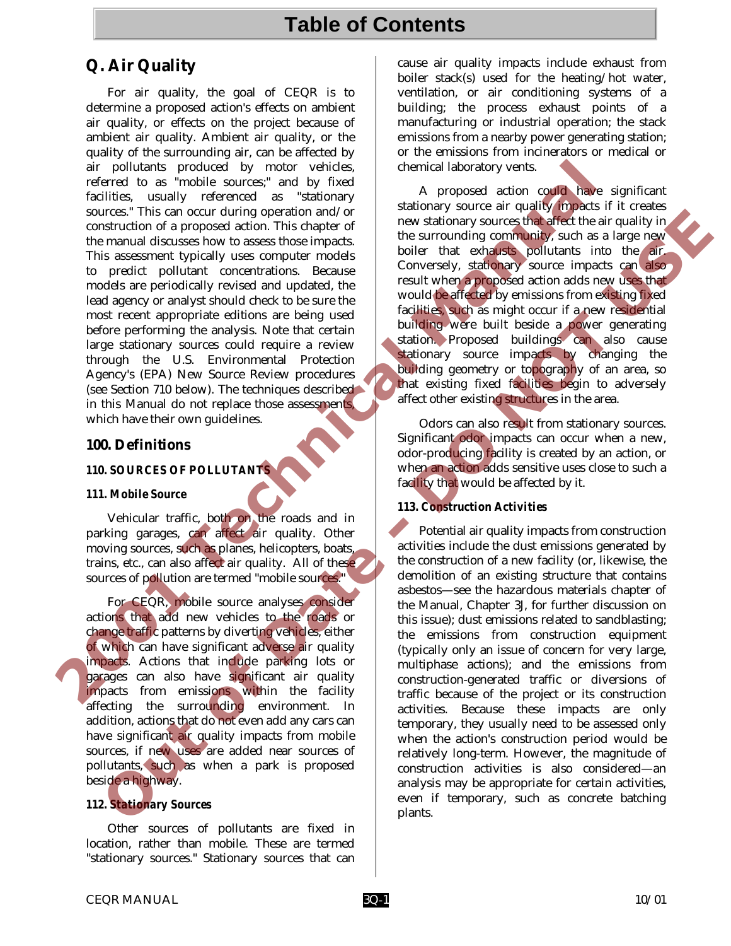# **Table of Contents**

# **Q. Air Quality**

For air quality, the goal of CEQR is to determine a proposed action's effects on ambient air quality, or effects on the project because of ambient air quality. Ambient air quality, or the quality of the surrounding air, can be affected by air pollutants produced by motor vehicles, referred to as "mobile sources;" and by fixed facilities, usually referenced as "stationary sources." This can occur during operation and/or construction of a proposed action. This chapter of the manual discusses how to assess those impacts. This assessment typically uses computer models to predict pollutant concentrations. Because models are periodically revised and updated, the lead agency or analyst should check to be sure the most recent appropriate editions are being used before performing the analysis. Note that certain large stationary sources could require a review through the U.S. Environmental Protection Agency's (EPA) New Source Review procedures (see Section 710 below). The techniques described in this Manual do not replace those assessments, which have their own guidelines. air politicals produced by motor vehicles, the sixtensity of the mixing state in the same of a proposed at the manual discusses how to assess how impacts the surrounding community state of the manual discusses how to asses

## **100. Definitions**

#### *110. SOURCES OF POLLUTANTS*

#### *111. Mobile Source*

Vehicular traffic, both on the roads and in parking garages, can affect air quality. Other moving sources, such as planes, helicopters, boats, trains, etc., can also affect air quality. All of these sources of pollution are termed "mobile sources."

For CEQR, mobile source analyses consider actions that add new vehicles to the roads or change traffic patterns by diverting vehicles, either of which can have significant adverse air quality impacts. Actions that include parking lots or garages can also have significant air quality impacts from emissions within the facility affecting the surrounding environment. In addition, actions that do not even add any cars can have significant air quality impacts from mobile sources, if new uses are added near sources of pollutants, such as when a park is proposed beside a highway.

## *112. Stationary Sources*

Other sources of pollutants are fixed in location, rather than mobile. These are termed "stationary sources." Stationary sources that can cause air quality impacts include exhaust from boiler stack(s) used for the heating/hot water, ventilation, or air conditioning systems of a building; the process exhaust points of a manufacturing or industrial operation; the stack emissions from a nearby power generating station; or the emissions from incinerators or medical or chemical laboratory vents.

A proposed action could have significant stationary source air quality impacts if it creates new stationary sources that affect the air quality in the surrounding community, such as a large new boiler that exhausts pollutants into the air. Conversely, stationary source impacts can also result when a proposed action adds new uses that would be affected by emissions from existing fixed facilities, such as might occur if a new residential building were built beside a power generating station. Proposed buildings can also cause stationary source impacts by changing the building geometry or topography of an area, so that existing fixed facilities begin to adversely affect other existing structures in the area.

Odors can also result from stationary sources. Significant odor impacts can occur when a new, odor-producing facility is created by an action, or when an action adds sensitive uses close to such a facility that would be affected by it.

## *113. Construction Activities*

Potential air quality impacts from construction activities include the dust emissions generated by the construction of a new facility (or, likewise, the demolition of an existing structure that contains asbestos—see the hazardous materials chapter of the Manual, Chapter 3J, for further discussion on this issue); dust emissions related to sandblasting; the emissions from construction equipment (typically only an issue of concern for very large, multiphase actions); and the emissions from construction-generated traffic or diversions of traffic because of the project or its construction activities. Because these impacts are only temporary, they usually need to be assessed only when the action's construction period would be relatively long-term. However, the magnitude of construction activities is also considered—an analysis may be appropriate for certain activities, even if temporary, such as concrete batching plants. Trains can controlling operation and or in the constrained with the methods in the constrained and the constrained and the constrained and the constrained and the constrained and the constrained and the constrained and the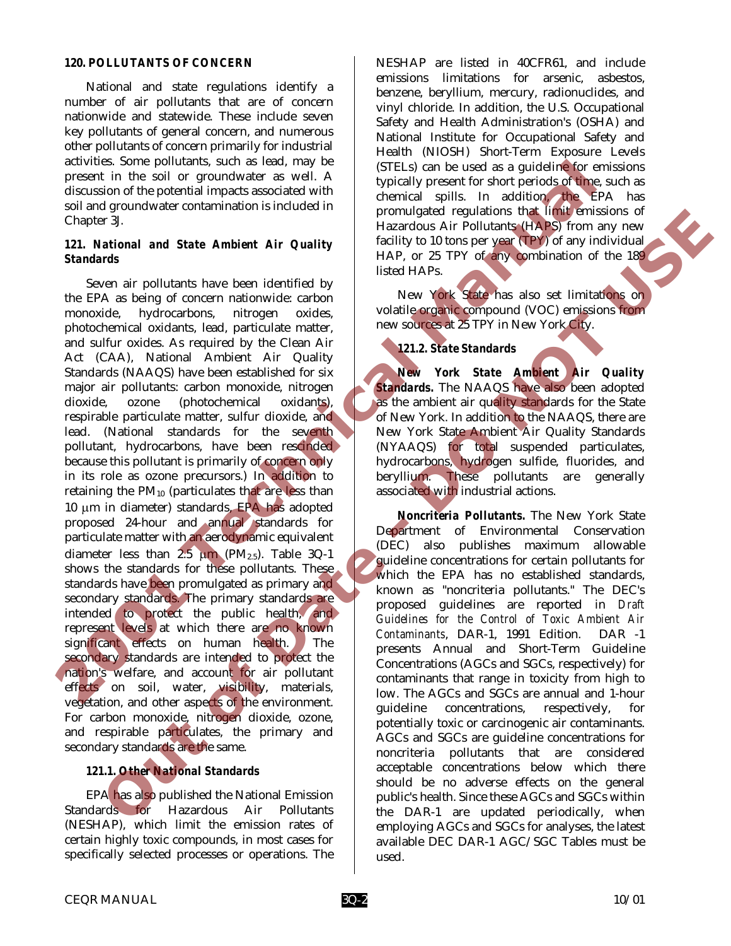#### *120. POLLUTANTS OF CONCERN*

National and state regulations identify a number of air pollutants that are of concern nationwide and statewide. These include seven key pollutants of general concern, and numerous other pollutants of concern primarily for industrial activities. Some pollutants, such as lead, may be present in the soil or groundwater as well. A discussion of the potential impacts associated with soil and groundwater contamination is included in Chapter 3J.

#### *121. National and State Ambient Air Quality Standards*

Seven air pollutants have been identified by the EPA as being of concern nationwide: carbon monoxide, hydrocarbons, nitrogen oxides, photochemical oxidants, lead, particulate matter, and sulfur oxides. As required by the Clean Air Act (CAA), National Ambient Air Quality Standards (NAAQS) have been established for six major air pollutants: carbon monoxide, nitrogen dioxide, ozone (photochemical oxidants), respirable particulate matter, sulfur dioxide, and lead. (National standards for the seventh pollutant, hydrocarbons, have been rescinded because this pollutant is primarily of concern only in its role as ozone precursors.) In addition to retaining the  $PM_{10}$  (particulates that are less than 10 µm in diameter) standards, EPA has adopted proposed 24-hour and annual standards for particulate matter with an aerodynamic equivalent diameter less than  $2.5 \mu m$  (PM<sub>2.5</sub>). Table 3Q-1 shows the standards for these pollutants. These standards have been promulgated as primary and secondary standards. The primary standards are intended to protect the public health, and represent levels at which there are no known significant effects on human health. The secondary standards are intended to protect the nation's welfare, and account for air pollutant effects on soil, water, visibility, materials, vegetation, and other aspects of the environment. For carbon monoxide, nitrogen dioxide, ozone, and respirable particulates, the primary and secondary standards are the same. scattering the political standards are interesting for the solid of the control of the political impacts associated with the control of the political standard standard and State Ambient Air Quality is a proposed regulation Fittingial and State Ambient Air Quality promotion in the constrained equilibration in the state of the state of the state of the state of the state of the state of the state of the state of the state of the state of the s

## *121.1. Other National Standards*

EPA has also published the National Emission Standards for Hazardous Air Pollutants (NESHAP), which limit the emission rates of certain highly toxic compounds, in most cases for specifically selected processes or operations. The

NESHAP are listed in 40CFR61, and include emissions limitations for arsenic, asbestos, benzene, beryllium, mercury, radionuclides, and vinyl chloride. In addition, the U.S. Occupational Safety and Health Administration's (OSHA) and National Institute for Occupational Safety and Health (NIOSH) Short-Term Exposure Levels (STELs) can be used as a guideline for emissions typically present for short periods of time, such as chemical spills. In addition, the EPA has promulgated regulations that limit emissions of Hazardous Air Pollutants (HAPS) from any new facility to 10 tons per year (TPY) of any individual HAP, or 25 TPY of any combination of the 189 listed HAPs.

New York State has also set limitations on volatile organic compound (VOC) emissions from new sources at 25 TPY in New York City.

## *121.2. State Standards*

*New York State Ambient Air Quality Standards.* The NAAQS have also been adopted as the ambient air quality standards for the State of New York. In addition to the NAAQS, there are New York State Ambient Air Quality Standards (NYAAQS) for total suspended particulates, hydrocarbons, hydrogen sulfide, fluorides, and beryllium. These pollutants are generally associated with industrial actions.

*Noncriteria Pollutants.* The New York State Department of Environmental Conservation (DEC) also publishes maximum allowable guideline concentrations for certain pollutants for which the EPA has no established standards, known as "noncriteria pollutants." The DEC's proposed guidelines are reported in *Draft Guidelines for the Control of Toxic Ambient Air Contaminants*, DAR-1, 1991 Edition. DAR -1 presents Annual and Short-Term Guideline Concentrations (AGCs and SGCs, respectively) for contaminants that range in toxicity from high to low. The AGCs and SGCs are annual and 1-hour guideline concentrations, respectively, for potentially toxic or carcinogenic air contaminants. AGCs and SGCs are guideline concentrations for noncriteria pollutants that are considered acceptable concentrations below which there should be no adverse effects on the general public's health. Since these AGCs and SGCs within the DAR-1 are updated periodically, when employing AGCs and SGCs for analyses, the latest available DEC DAR-1 AGC/SGC Tables must be used.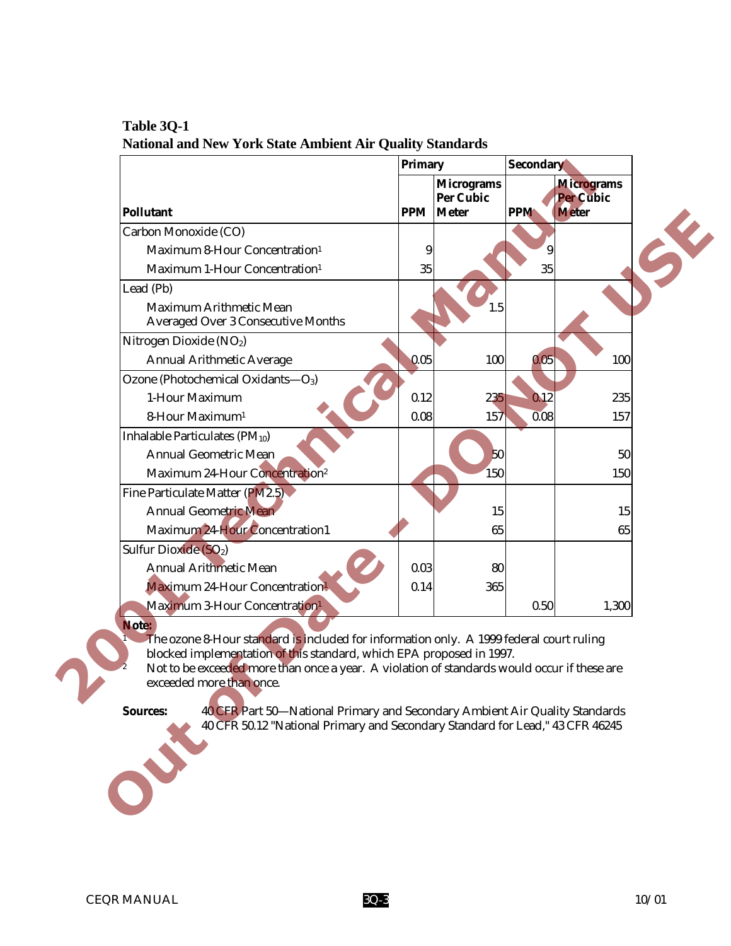|                                                                                                                                                                                                                                                                                                     | <b>Primary</b> |                                      | <b>Secondary</b> |                                  |   |
|-----------------------------------------------------------------------------------------------------------------------------------------------------------------------------------------------------------------------------------------------------------------------------------------------------|----------------|--------------------------------------|------------------|----------------------------------|---|
|                                                                                                                                                                                                                                                                                                     |                | <b>Micrograms</b>                    |                  | <b>Micrograms</b>                |   |
| <b>Pollutant</b>                                                                                                                                                                                                                                                                                    |                | <b>Per Cubic</b><br><b>PPM</b> Meter | <b>PPM</b>       | <b>Per Cubic</b><br><b>Meter</b> |   |
| Carbon Monoxide (CO)                                                                                                                                                                                                                                                                                |                |                                      |                  |                                  | H |
| Maximum 8-Hour Concentration <sup>1</sup>                                                                                                                                                                                                                                                           | 9              |                                      | 9                |                                  |   |
| Maximum 1-Hour Concentration <sup>1</sup>                                                                                                                                                                                                                                                           | 35             |                                      | 35               |                                  |   |
| Lead (Pb)                                                                                                                                                                                                                                                                                           |                |                                      |                  |                                  |   |
| <b>Maximum Arithmetic Mean</b><br><b>Averaged Over 3 Consecutive Months</b>                                                                                                                                                                                                                         |                | 1.5                                  |                  |                                  |   |
| Nitrogen Dioxide (NO <sub>2</sub> )                                                                                                                                                                                                                                                                 |                |                                      |                  |                                  |   |
| <b>Annual Arithmetic Average</b>                                                                                                                                                                                                                                                                    | 0.05           | 100                                  | 0.05             | 100                              |   |
| Ozone (Photochemical Oxidants-O3)                                                                                                                                                                                                                                                                   |                |                                      |                  |                                  |   |
| 1-Hour Maximum                                                                                                                                                                                                                                                                                      | 0.12           | 235                                  | 0.12             | 235                              |   |
| 8-Hour Maximum <sup>1</sup>                                                                                                                                                                                                                                                                         | 0.08           | 157                                  | 0.08             | 157                              |   |
| <b>Inhalable Particulates (PM10)</b>                                                                                                                                                                                                                                                                |                |                                      |                  |                                  |   |
| <b>Annual Geometric Mean</b>                                                                                                                                                                                                                                                                        |                | 50                                   |                  | 50                               |   |
| Maximum 24-Hour Concentration <sup>2</sup>                                                                                                                                                                                                                                                          |                | 150                                  |                  | 150                              |   |
| Fine Particulate Matter (PM2.5)                                                                                                                                                                                                                                                                     |                |                                      |                  |                                  |   |
| <b>Annual Geometric Mean</b>                                                                                                                                                                                                                                                                        |                | 15                                   |                  | 15                               |   |
| Maximum 24-Hour Concentration1                                                                                                                                                                                                                                                                      |                | 65                                   |                  | 65                               |   |
| Sulfur Dioxide (SO <sub>2</sub> )                                                                                                                                                                                                                                                                   |                |                                      |                  |                                  |   |
| <b>Annual Arithmetic Mean</b>                                                                                                                                                                                                                                                                       | 0.03           | 80                                   |                  |                                  |   |
| <b>Maximum 24-Hour Concentration!</b>                                                                                                                                                                                                                                                               | 0.14           | 365                                  |                  |                                  |   |
| Maximum 3-Hour Concentration <sup>1</sup>                                                                                                                                                                                                                                                           |                |                                      | 0.50             | 1,300                            |   |
| Note:<br>The ozone 8-Hour standard is included for information only. A 1999 federal court ruling<br>blocked implementation of this standard, which EPA proposed in 1997.<br>Not to be exceeded more than once a year. A violation of standards would occur if these are<br>exceeded more than once. |                |                                      |                  |                                  |   |
| <b>Sources:</b><br>40 CFR Part 50—National Primary and Secondary Ambient Air Quality Standards<br>40 CFR 50.12 "National Primary and Secondary Standard for Lead," 43 CFR 46245<br>J                                                                                                                |                |                                      |                  |                                  |   |
|                                                                                                                                                                                                                                                                                                     |                |                                      |                  |                                  |   |

# **Table 3Q-1 National and New York State Ambient Air Quality Standards**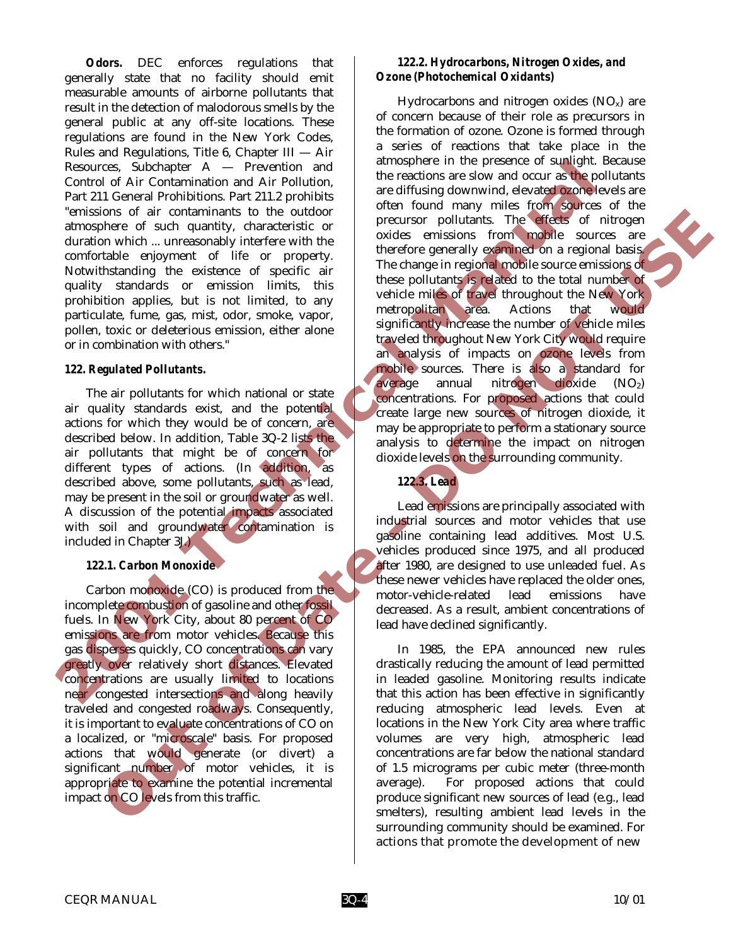*Odors.* DEC enforces regulations that generally state that no facility should emit measurable amounts of airborne pollutants that result in the detection of malodorous smells by the general public at any off-site locations. These regulations are found in the New York Codes, Rules and Regulations, Title 6, Chapter III — Air Resources, Subchapter A — Prevention and Control of Air Contamination and Air Pollution, Part 211 General Prohibitions. Part 211.2 prohibits "emissions of air contaminants to the outdoor atmosphere of such quantity, characteristic or duration which ... unreasonably interfere with the comfortable enjoyment of life or property. Notwithstanding the existence of specific air quality standards or emission limits, this prohibition applies, but is not limited, to any particulate, fume, gas, mist, odor, smoke, vapor, pollen, toxic or deleterious emission, either alone or in combination with others."

#### *122. Regulated Pollutants.*

The air pollutants for which national or state air quality standards exist, and the potential actions for which they would be of concern, are described below. In addition, Table 3Q-2 lists the air pollutants that might be of concern for different types of actions. (In addition, as described above, some pollutants, such as lead, may be present in the soil or groundwater as well. A discussion of the potential impacts associated with soil and groundwater contamination is included in Chapter 3J.)

## *122.1. Carbon Monoxide*

Carbon monoxide (CO) is produced from the incomplete combustion of gasoline and other fossil fuels. In New York City, about 80 percent of CO emissions are from motor vehicles. Because this gas disperses quickly, CO concentrations can vary greatly over relatively short distances. Elevated concentrations are usually limited to locations near congested intersections and along heavily traveled and congested roadways. Consequently, it is important to evaluate concentrations of CO on a localized, or "microscale" basis. For proposed actions that would generate (or divert) a significant number of motor vehicles, it is appropriate to examine the potential incremental impact on CO levels from this traffic.

## *122.2. Hydrocarbons, Nitrogen Oxides, and Ozone (Photochemical Oxidants)*

Hydrocarbons and nitrogen oxides  $(NO_x)$  are of concern because of their role as precursors in the formation of ozone. Ozone is formed through a series of reactions that take place in the atmosphere in the presence of sunlight. Because the reactions are slow and occur as the pollutants are diffusing downwind, elevated ozone levels are often found many miles from sources of the precursor pollutants. The effects of nitrogen oxides emissions from mobile sources are therefore generally examined on a regional basis. The change in regional mobile source emissions of these pollutants is related to the total number of vehicle miles of travel throughout the New York metropolitan area. Actions that would significantly increase the number of vehicle miles traveled throughout New York City would require an analysis of impacts on ozone levels from mobile sources. There is also a standard for average annual nitrogen dioxide (NO2) concentrations. For proposed actions that could create large new sources of nitrogen dioxide, it may be appropriate to perform a stationary source analysis to determine the impact on nitrogen dioxide levels on the surrounding community. Resources, Subthapler A — Prevention and Air Politics, the actions are sixtended sixtended and Air Politics, Part 211.2 Probabilities, Part 211.2 Probabilities are unit appear to the content of the content of the content **One can contribute the outdoor in the same of the same of the same of the same of the same of the same of the same of the same of the same of the same of the same of the same of the same of the same of the same of the sa** 

Lead emissions are principally associated with industrial sources and motor vehicles that use gasoline containing lead additives. Most U.S. vehicles produced since 1975, and all produced after 1980, are designed to use unleaded fuel. As these newer vehicles have replaced the older ones, motor-vehicle-related lead emissions have decreased. As a result, ambient concentrations of lead have declined significantly.

*122.3. Lead* 

In 1985, the EPA announced new rules drastically reducing the amount of lead permitted in leaded gasoline. Monitoring results indicate that this action has been effective in significantly reducing atmospheric lead levels. Even at locations in the New York City area where traffic volumes are very high, atmospheric lead concentrations are far below the national standard of 1.5 micrograms per cubic meter (three-month average). For proposed actions that could produce significant new sources of lead (e.g., lead smelters), resulting ambient lead levels in the surrounding community should be examined. For actions that promote the development of new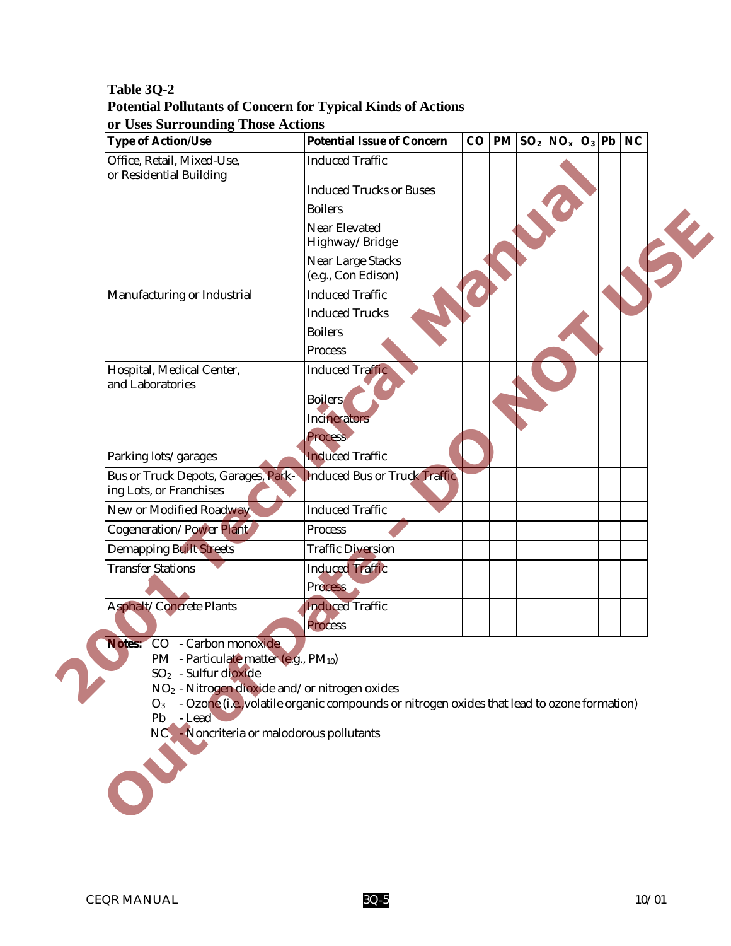# **Table 3Q-2 Potential Pollutants of Concern for Typical Kinds of Actions or Uses Surrounding Those Actions**

| <b>Type of Action/Use</b>                                             | <b>Potential Issue of Concern</b>                                                          |  | $CO$   PM $ SO_2 $ NO <sub>x</sub> | $O_3$ Pb | <b>NC</b> |   |
|-----------------------------------------------------------------------|--------------------------------------------------------------------------------------------|--|------------------------------------|----------|-----------|---|
| Office, Retail, Mixed-Use,<br>or Residential Building                 | <b>Induced Traffic</b>                                                                     |  |                                    |          |           |   |
|                                                                       | <b>Induced Trucks or Buses</b>                                                             |  |                                    |          |           |   |
|                                                                       | <b>Boilers</b>                                                                             |  |                                    |          |           |   |
|                                                                       | <b>Near Elevated</b>                                                                       |  |                                    |          |           | K |
|                                                                       | Highway/Bridge                                                                             |  |                                    |          |           |   |
|                                                                       | <b>Near Large Stacks</b>                                                                   |  |                                    |          |           |   |
|                                                                       | (e.g., Con Edison)                                                                         |  |                                    |          |           |   |
| Manufacturing or Industrial                                           | <b>Induced Traffic</b>                                                                     |  |                                    |          |           |   |
|                                                                       | <b>Induced Trucks</b>                                                                      |  |                                    |          |           |   |
|                                                                       | <b>Boilers</b>                                                                             |  |                                    |          |           |   |
|                                                                       | <b>Process</b>                                                                             |  |                                    |          |           |   |
| Hospital, Medical Center,<br>and Laboratories                         | <b>Induced Traffic</b>                                                                     |  |                                    |          |           |   |
|                                                                       | <b>Boilers</b>                                                                             |  |                                    |          |           |   |
|                                                                       | <b>Incinerators</b>                                                                        |  |                                    |          |           |   |
|                                                                       | <b>Process</b>                                                                             |  |                                    |          |           |   |
| Parking lots/garages                                                  | <b>Induced Traffic</b>                                                                     |  |                                    |          |           |   |
| <b>Bus or Truck Depots, Garages, Park-</b><br>ing Lots, or Franchises | <b>Induced Bus or Truck Traffic</b>                                                        |  |                                    |          |           |   |
| New or Modified Roadway                                               | <b>Induced Traffic</b>                                                                     |  |                                    |          |           |   |
| <b>Cogeneration/Power Plant</b>                                       | <b>Process</b>                                                                             |  |                                    |          |           |   |
| <b>Demapping Built Streets</b>                                        | <b>Traffic Diversion</b>                                                                   |  |                                    |          |           |   |
| <b>Transfer Stations</b>                                              | <b>Induced Traffic</b>                                                                     |  |                                    |          |           |   |
|                                                                       | <b>Process</b>                                                                             |  |                                    |          |           |   |
| <b>Asphalt/Concrete Plants</b>                                        | <b>Induced Traffic</b>                                                                     |  |                                    |          |           |   |
|                                                                       | <b>Process</b>                                                                             |  |                                    |          |           |   |
| Notes: CO<br>- Carbon monoxide                                        |                                                                                            |  |                                    |          |           |   |
| PM - Particulate matter (e.g., PM10)                                  |                                                                                            |  |                                    |          |           |   |
| SO <sub>2</sub> - Sulfur dioxide                                      |                                                                                            |  |                                    |          |           |   |
| NO <sub>2</sub> - Nitrogen dioxide and/or nitrogen oxides<br>$O_3$    | - Ozone (i.e., volatile organic compounds or nitrogen oxides that lead to ozone formation) |  |                                    |          |           |   |
| - Lead<br>Pb                                                          |                                                                                            |  |                                    |          |           |   |
| NC - Noncriteria or malodorous pollutants                             |                                                                                            |  |                                    |          |           |   |
|                                                                       |                                                                                            |  |                                    |          |           |   |
|                                                                       |                                                                                            |  |                                    |          |           |   |
|                                                                       |                                                                                            |  |                                    |          |           |   |
|                                                                       |                                                                                            |  |                                    |          |           |   |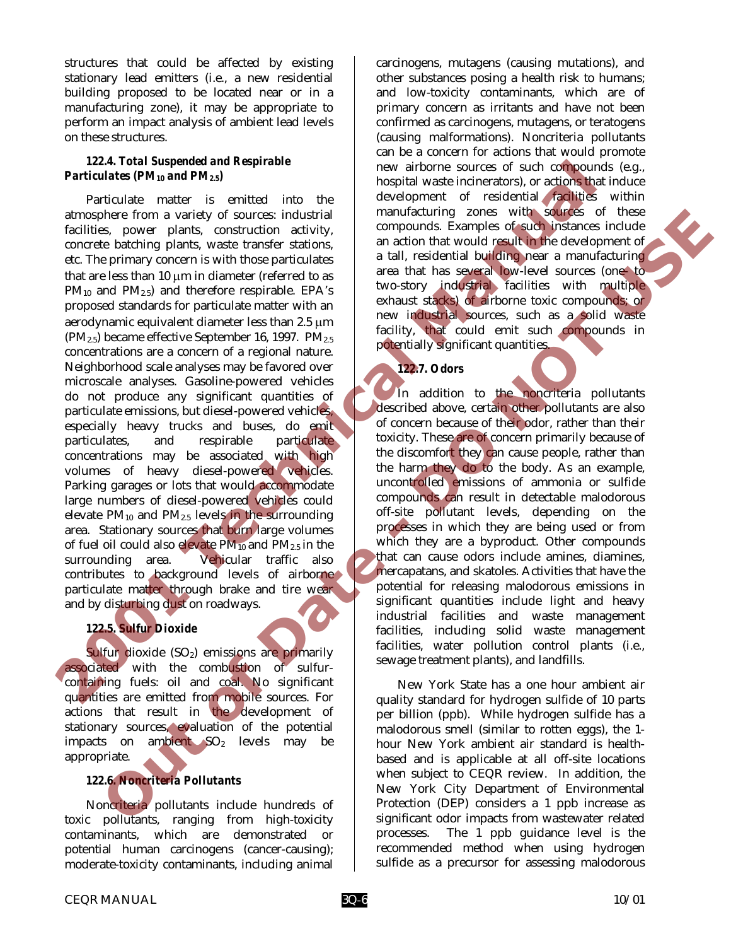structures that could be affected by existing stationary lead emitters (i.e., a new residential building proposed to be located near or in a manufacturing zone), it may be appropriate to perform an impact analysis of ambient lead levels on these structures.

## *122.4. Total Suspended and Respirable Particulates (PM10 and PM2.5)*

Particulate matter is emitted into the atmosphere from a variety of sources: industrial facilities, power plants, construction activity, concrete batching plants, waste transfer stations, etc. The primary concern is with those particulates that are less than 10 µm in diameter (referred to as  $PM_{10}$  and  $PM_{2.5}$ ) and therefore respirable. EPA's proposed standards for particulate matter with an aerodynamic equivalent diameter less than 2.5 µm  $(PM_{2.5})$  became effective September 16, 1997.  $PM_{2.5}$ concentrations are a concern of a regional nature. Neighborhood scale analyses may be favored over microscale analyses. Gasoline-powered vehicles do not produce any significant quantities of particulate emissions, but diesel-powered vehicles, especially heavy trucks and buses, do emit particulates, and respirable particulate concentrations may be associated with high volumes of heavy diesel-powered vehicles. Parking garages or lots that would accommodate large numbers of diesel-powered vehicles could elevate  $PM_{10}$  and  $PM_{2.5}$  levels in the surrounding area. Stationary sources that burn large volumes of fuel oil could also elevate  $PM_{10}$  and  $PM_{2.5}$  in the surrounding area. Vehicular traffic also contributes to background levels of airborne particulate matter through brake and tire wear and by disturbing dust on roadways. **Particulate CM** is the viather the second of the column is entired to the entire the second technical members from a sum that the entire is entired in the entire of the entire and the entire and the entire and the entire become two sumption of such a mail and the sole of the distinction of the sole of the sole of the collection of the sole of the sole of the sole of the sole of the sole of the sole of the sole of the sole of the sole of th

# *122.5. Sulfur Dioxide*

Sulfur dioxide (SO<sub>2</sub>) emissions are primarily associated with the combustion of sulfurcontaining fuels: oil and coal. No significant quantities are emitted from mobile sources. For actions that result in the development of stationary sources, evaluation of the potential impacts on ambient  $SO<sub>2</sub>$  levels may be appropriate.

# *122.6. Noncriteria Pollutants*

Noncriteria pollutants include hundreds of toxic pollutants, ranging from high-toxicity contaminants, which are demonstrated or potential human carcinogens (cancer-causing); moderate-toxicity contaminants, including animal

carcinogens, mutagens (causing mutations), and other substances posing a health risk to humans; and low-toxicity contaminants, which are of primary concern as irritants and have not been confirmed as carcinogens, mutagens, or teratogens (causing malformations). Noncriteria pollutants can be a concern for actions that would promote new airborne sources of such compounds (e.g., hospital waste incinerators), or actions that induce development of residential facilities within manufacturing zones with sources of these compounds. Examples of such instances include an action that would result in the development of a tall, residential building near a manufacturing area that has several low-level sources (one- to two-story industrial facilities with multiple exhaust stacks) of airborne toxic compounds; or new industrial sources, such as a solid waste facility, that could emit such compounds in potentially significant quantities.

## *122.7. Odors*

In addition to the noncriteria pollutants described above, certain other pollutants are also of concern because of their odor, rather than their toxicity. These are of concern primarily because of the discomfort they can cause people, rather than the harm they do to the body. As an example, uncontrolled emissions of ammonia or sulfide compounds can result in detectable malodorous off-site pollutant levels, depending on the processes in which they are being used or from which they are a byproduct. Other compounds that can cause odors include amines, diamines, mercapatans, and skatoles. Activities that have the potential for releasing malodorous emissions in significant quantities include light and heavy industrial facilities and waste management facilities, including solid waste management facilities, water pollution control plants (i.e., sewage treatment plants), and landfills.

New York State has a one hour ambient air quality standard for hydrogen sulfide of 10 parts per billion (ppb). While hydrogen sulfide has a malodorous smell (similar to rotten eggs), the 1 hour New York ambient air standard is healthbased and is applicable at all off-site locations when subject to CEQR review. In addition, the New York City Department of Environmental Protection (DEP) considers a 1 ppb increase as significant odor impacts from wastewater related processes. The 1 ppb guidance level is the recommended method when using hydrogen sulfide as a precursor for assessing malodorous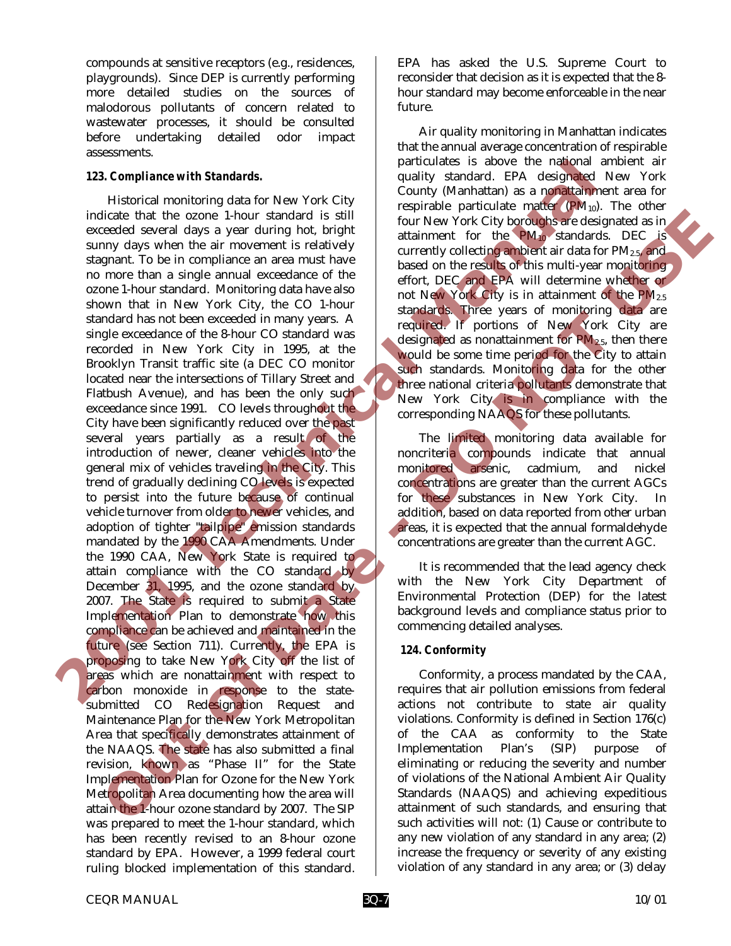compounds at sensitive receptors (e.g., residences, playgrounds). Since DEP is currently performing more detailed studies on the sources of malodorous pollutants of concern related to wastewater processes, it should be consulted before undertaking detailed odor impact assessments.

#### *123. Compliance with Standards.*

Historical monitoring data for New York City indicate that the ozone 1-hour standard is still exceeded several days a year during hot, bright sunny days when the air movement is relatively stagnant. To be in compliance an area must have no more than a single annual exceedance of the ozone 1-hour standard. Monitoring data have also shown that in New York City, the CO 1-hour standard has not been exceeded in many years. A single exceedance of the 8-hour CO standard was recorded in New York City in 1995, at the Brooklyn Transit traffic site (a DEC CO monitor located near the intersections of Tillary Street and Flatbush Avenue), and has been the only such exceedance since 1991. CO levels throughout the City have been significantly reduced over the past several years partially as a result of the introduction of newer, cleaner vehicles into the general mix of vehicles traveling in the City. This trend of gradually declining CO levels is expected to persist into the future because of continual vehicle turnover from older to newer vehicles, and adoption of tighter "tailpipe" emission standards mandated by the 1990 CAA Amendments. Under the 1990 CAA, New York State is required to attain compliance with the CO standard by December 31, 1995, and the ozone standard by 2007. The State is required to submit a State Implementation Plan to demonstrate how this compliance can be achieved and maintained in the future (see Section 711). Currently, the EPA is proposing to take New York City off the list of areas which are nonattainment with respect to carbon monoxide in response to the statesubmitted CO Redesignation Request and Maintenance Plan for the New York Metropolitan Area that specifically demonstrates attainment of the NAAQS. The state has also submitted a final revision, known as "Phase II" for the State Implementation Plan for Ozone for the New York Metropolitan Area documenting how the area will attain the 1-hour ozone standard by 2007. The SIP was prepared to meet the 1-hour standard, which has been recently revised to an 8-hour ozone standard by EPA. However, a 1999 federal court ruling blocked implementation of this standard. **2001 Technical Manual** dicate that the connection of the some standard static particle in the some standard in the some standard static particle in the some based on the regular static particle in the some based on the regular static particle in

EPA has asked the U.S. Supreme Court to reconsider that decision as it is expected that the 8 hour standard may become enforceable in the near future.

Air quality monitoring in Manhattan indicates that the annual average concentration of respirable particulates is above the national ambient air quality standard. EPA designated New York County (Manhattan) as a nonattainment area for respirable particulate matter  $(PM_{10})$ . The other four New York City boroughs are designated as in attainment for the PM10 standards. DEC is currently collecting ambient air data for PM2.5, and based on the results of this multi-year monitoring effort, DEC and EPA will determine whether or not New York City is in attainment of the PM2.5 standards. Three years of monitoring data are required. If portions of New York City are designated as nonattainment for  $\text{PM}_{2.5}$ , then there would be some time period for the City to attain such standards. Monitoring data for the other three national criteria pollutants demonstrate that New York City is in compliance with the corresponding NAAQS for these pollutants.

The limited monitoring data available for noncriteria compounds indicate that annual monitored arsenic, cadmium, and nickel concentrations are greater than the current AGCs for these substances in New York City. In addition, based on data reported from other urban areas, it is expected that the annual formaldehyde concentrations are greater than the current AGC.

 It is recommended that the lead agency check with the New York City Department of Environmental Protection (DEP) for the latest background levels and compliance status prior to commencing detailed analyses.

## *124. Conformity*

Conformity, a process mandated by the CAA, requires that air pollution emissions from federal actions not contribute to state air quality violations. Conformity is defined in Section 176(c) of the CAA as conformity to the State Implementation Plan's (SIP) purpose of eliminating or reducing the severity and number of violations of the National Ambient Air Quality Standards (NAAQS) and achieving expeditious attainment of such standards, and ensuring that such activities will not: (1) Cause or contribute to any new violation of any standard in any area; (2) increase the frequency or severity of any existing violation of any standard in any area; or (3) delay

CEQR MANUAL 10/01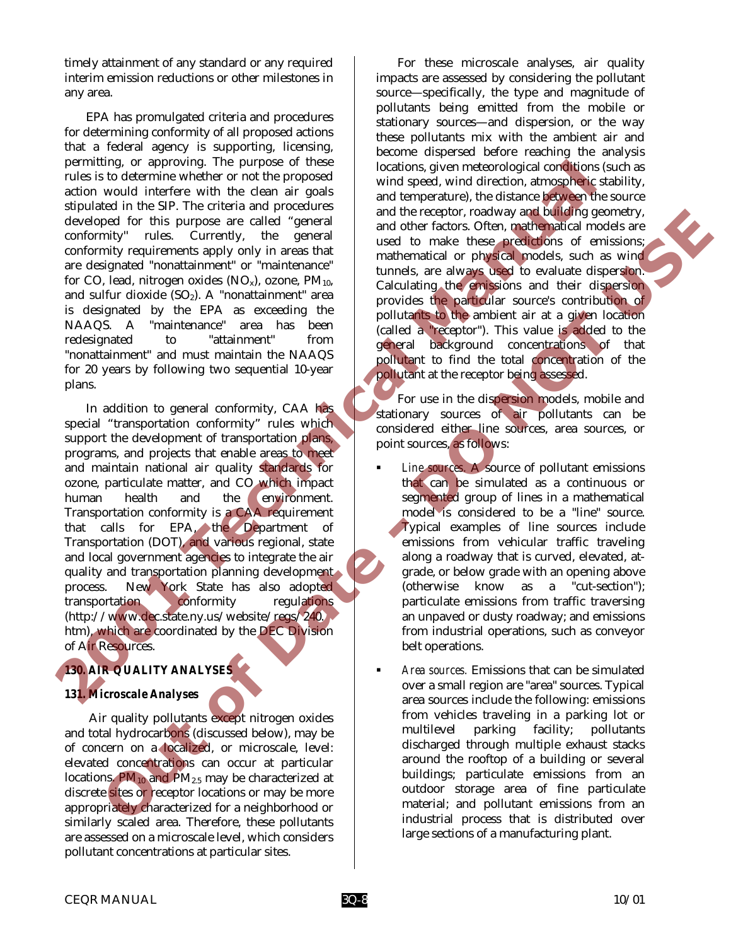timely attainment of any standard or any required interim emission reductions or other milestones in any area.

EPA has promulgated criteria and procedures for determining conformity of all proposed actions that a federal agency is supporting, licensing, permitting, or approving. The purpose of these rules is to determine whether or not the proposed action would interfere with the clean air goals stipulated in the SIP. The criteria and procedures developed for this purpose are called "general conformity'' rules. Currently, the general conformity requirements apply only in areas that are designated "nonattainment" or "maintenance" for CO, lead, nitrogen oxides  $(NO<sub>x</sub>)$ , ozone,  $PM<sub>10</sub>$ , and sulfur dioxide  $(SO<sub>2</sub>)$ . A "nonattainment" area is designated by the EPA as exceeding the NAAQS. A "maintenance" area has been redesignated to "attainment" from "nonattainment" and must maintain the NAAQS for 20 years by following two sequential 10-year plans.

In addition to general conformity, CAA has special "transportation conformity" rules which support the development of transportation plans, programs, and projects that enable areas to meet and maintain national air quality standards for ozone, particulate matter, and CO which impact human health and the environment. Transportation conformity is a CAA requirement that calls for EPA, the Department of Transportation (DOT), and various regional, state and local government agencies to integrate the air quality and transportation planning development process. New York State has also adopted transportation conformity regulations (http://www.dec.state.ny.us/website/regs/240. htm), which are coordinated by the DEC Division of Air Resources. **Primarities** or approvant the purpose of these continuous continuous continuous continuous continuous continuous continuous continuous continuous continuous continuous continuous continuous continuous continuous continuou ped the this purpose are called "reason are called" reason and the response are due to the matter in the state of the called one are a solid reason and the state of the state of the state of the state of the state of the s

# *130. AIR QUALITY ANALYSES*

# *131. Microscale Analyses*

 Air quality pollutants except nitrogen oxides and total hydrocarbons (discussed below), may be of concern on a localized, or microscale, level: elevated concentrations can occur at particular locations.  $PM_{10}$  and  $PM_{2.5}$  may be characterized at discrete sites or receptor locations or may be more appropriately characterized for a neighborhood or similarly scaled area. Therefore, these pollutants are assessed on a microscale level, which considers pollutant concentrations at particular sites.

For these microscale analyses, air quality impacts are assessed by considering the pollutant source—specifically, the type and magnitude of pollutants being emitted from the mobile or stationary sources—and dispersion, or the way these pollutants mix with the ambient air and become dispersed before reaching the analysis locations, given meteorological conditions (such as wind speed, wind direction, atmospheric stability, and temperature), the distance between the source and the receptor, roadway and building geometry, and other factors. Often, mathematical models are used to make these predictions of emissions; mathematical or physical models, such as wind tunnels, are always used to evaluate dispersion. Calculating the emissions and their dispersion provides the particular source's contribution of pollutants to the ambient air at a given location (called a "receptor"). This value is added to the general background concentrations of that pollutant to find the total concentration of the pollutant at the receptor being assessed.

For use in the dispersion models, mobile and stationary sources of air pollutants can be considered either line sources, area sources, or point sources, as follows:

- ! *Line sources.* A source of pollutant emissions that can be simulated as a continuous or segmented group of lines in a mathematical model is considered to be a "line" source. Typical examples of line sources include emissions from vehicular traffic traveling along a roadway that is curved, elevated, atgrade, or below grade with an opening above (otherwise know as a "cut-section"); particulate emissions from traffic traversing an unpaved or dusty roadway; and emissions from industrial operations, such as conveyor belt operations.
- ! *Area sources.* Emissions that can be simulated over a small region are "area" sources. Typical area sources include the following: emissions from vehicles traveling in a parking lot or multilevel parking facility; pollutants discharged through multiple exhaust stacks around the rooftop of a building or several buildings; particulate emissions from an outdoor storage area of fine particulate material; and pollutant emissions from an industrial process that is distributed over large sections of a manufacturing plant.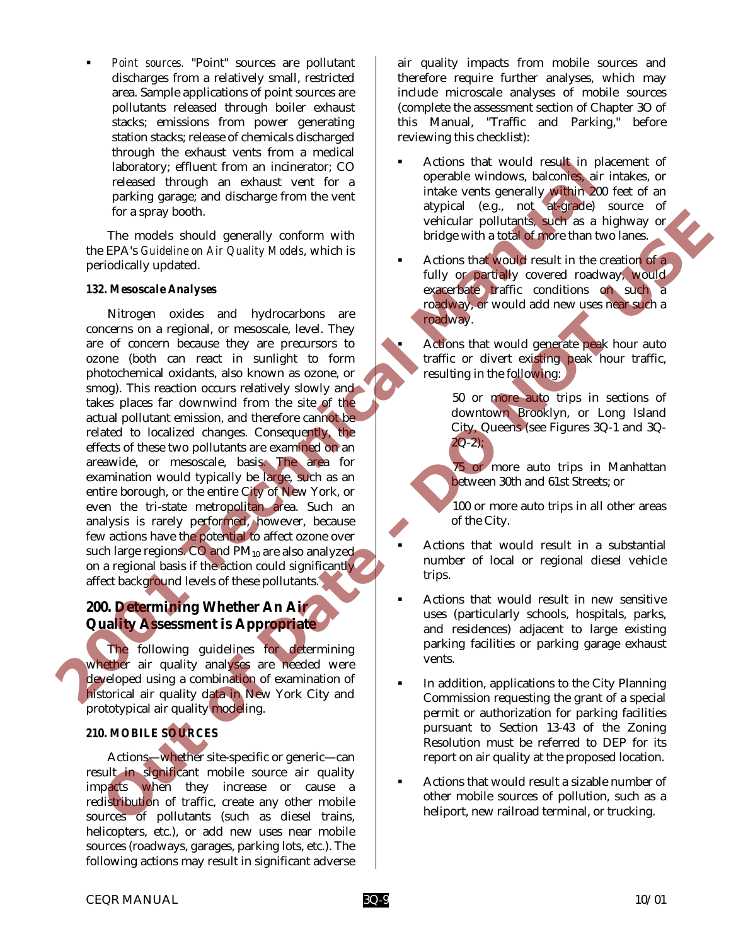! *Point sources.* "Point" sources are pollutant discharges from a relatively small, restricted area. Sample applications of point sources are pollutants released through boiler exhaust stacks; emissions from power generating station stacks; release of chemicals discharged through the exhaust vents from a medical laboratory; effluent from an incinerator; CO released through an exhaust vent for a parking garage; and discharge from the vent for a spray booth.

The models should generally conform with the EPA's *Guideline on Air Quality Models*, which is periodically updated.

#### *132. Mesoscale Analyses*

Nitrogen oxides and hydrocarbons are concerns on a regional, or mesoscale, level. They are of concern because they are precursors to ozone (both can react in sunlight to form photochemical oxidants, also known as ozone, or smog). This reaction occurs relatively slowly and takes places far downwind from the site of the actual pollutant emission, and therefore cannot be related to localized changes. Consequently, the effects of these two pollutants are examined on an areawide, or mesoscale, basis. The area for examination would typically be large, such as an entire borough, or the entire City of New York, or even the tri-state metropolitan area. Such an analysis is rarely performed, however, because few actions have the potential to affect ozone over such large regions. CO and PM<sub>10</sub> are also analyzed on a regional basis if the action could significantly affect background levels of these pollutants. and the special from an interior of column interior of the special of the special state of the special of the special of the special of the special of the special of the special of the special of the special of the special For a spatial scheme of  $\theta$ . The models and hydroxical scheme in the scheme of the Channel Scheme and hydroxical scheme and hydroxical scheme of the Channel Scheme and hydroxical scheme and hydroxical scheme of expectati

# **200. Determining Whether An Air Quality Assessment is Appropriate**

The following guidelines for determining whether air quality analyses are needed were developed using a combination of examination of historical air quality data in New York City and prototypical air quality modeling.

# *210. MOBILE SOURCES*

Actions—whether site-specific or generic—can result in significant mobile source air quality impacts when they increase or cause a redistribution of traffic, create any other mobile sources of pollutants (such as diesel trains, helicopters, etc.), or add new uses near mobile sources (roadways, garages, parking lots, etc.). The following actions may result in significant adverse

air quality impacts from mobile sources and therefore require further analyses, which may include microscale analyses of mobile sources (complete the assessment section of Chapter 3O of this Manual, "Traffic and Parking," before reviewing this checklist):

- Actions that would result in placement of operable windows, balconies, air intakes, or intake vents generally within 200 feet of an atypical (e.g., not at-grade) source of vehicular pollutants, such as a highway or bridge with a total of more than two lanes.
- Actions that would result in the creation of a fully or partially covered roadway, would exacerbate traffic conditions on such a roadway, or would add new uses near such a roadway.

Actions that would generate peak hour auto traffic or divert existing peak hour traffic, resulting in the following:

> 50 or more auto trips in sections of downtown Brooklyn, or Long Island City, Queens (see Figures 3Q-1 and 3Q- $2Q-2$ );

75 or more auto trips in Manhattan between 30th and 61st Streets; or

100 or more auto trips in all other areas of the City.

- ! Actions that would result in a substantial number of local or regional diesel vehicle trips.
- ! Actions that would result in new sensitive uses (particularly schools, hospitals, parks, and residences) adjacent to large existing parking facilities or parking garage exhaust vents.
- In addition, applications to the City Planning Commission requesting the grant of a special permit or authorization for parking facilities pursuant to Section 13-43 of the Zoning Resolution must be referred to DEP for its report on air quality at the proposed location.
- ! Actions that would result a sizable number of other mobile sources of pollution, such as a heliport, new railroad terminal, or trucking.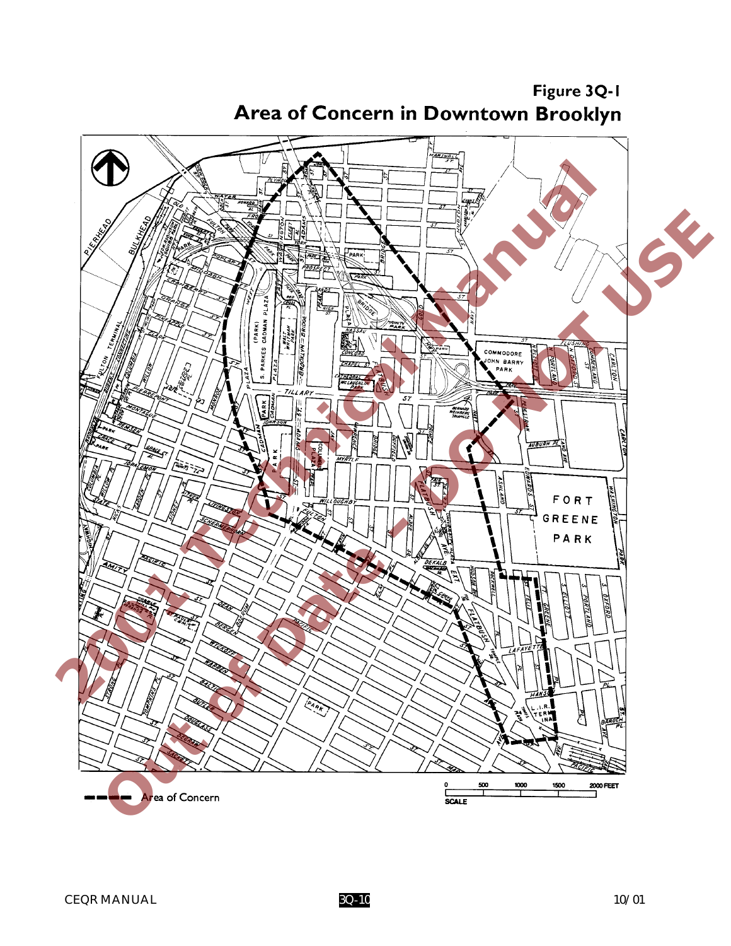

Figure 3Q-1 Area of Concern in Downtown Brooklyn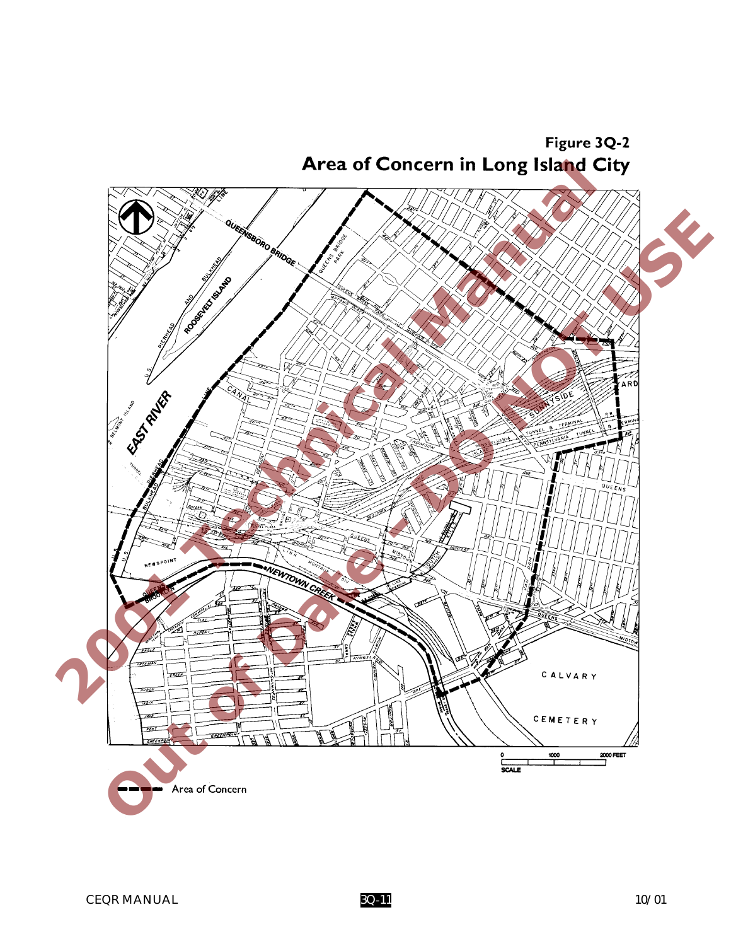Figure 3Q-2

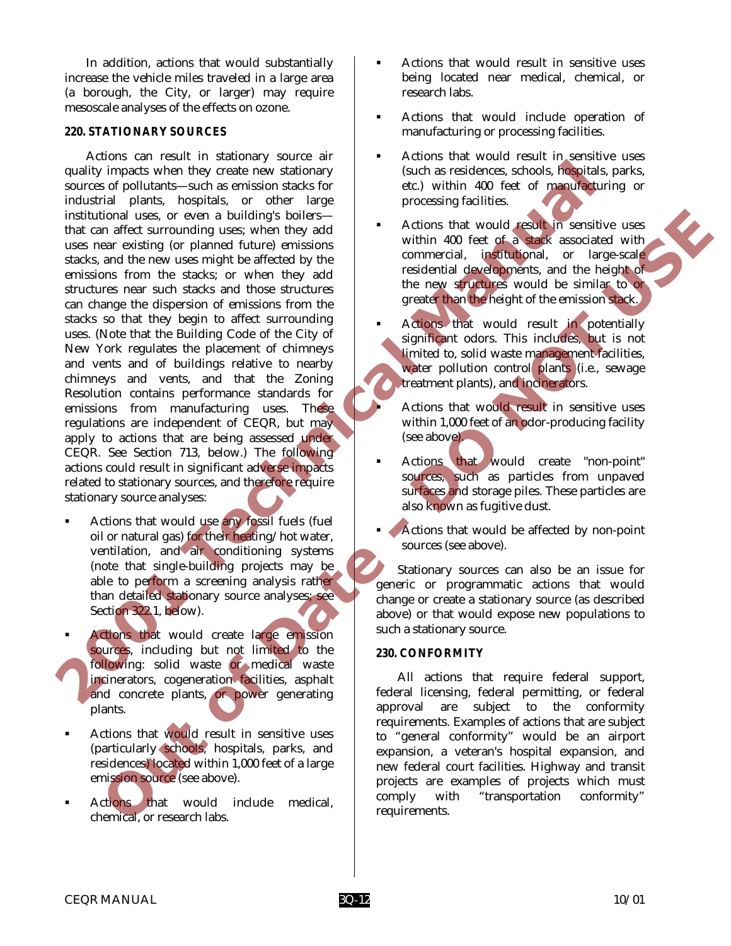In addition, actions that would substantially increase the vehicle miles traveled in a large area (a borough, the City, or larger) may require mesoscale analyses of the effects on ozone.

#### *220. STATIONARY SOURCES*

Actions can result in stationary source air quality impacts when they create new stationary sources of pollutants—such as emission stacks for industrial plants, hospitals, or other large institutional uses, or even a building's boilers that can affect surrounding uses; when they add uses near existing (or planned future) emissions stacks, and the new uses might be affected by the emissions from the stacks; or when they add structures near such stacks and those structures can change the dispersion of emissions from the stacks so that they begin to affect surrounding uses. (Note that the Building Code of the City of New York regulates the placement of chimneys and vents and of buildings relative to nearby chimneys and vents, and that the Zoning Resolution contains performance standards for emissions from manufacturing uses. These regulations are independent of CEQR, but may apply to actions that are being assessed under CEQR. See Section 713, below.) The following actions could result in significant adverse impacts related to stationary sources, and therefore require stationary source analyses: quality impacts when they reade new stationary sources for pollutinats and series are coreal and the series of pollutinats and series of each of manual method areas are existing to phanon the states are coreal by the metho ional uses, or ever all buildings believes to the specific stress of the planet distinguish content in the specific stress of the specific stress of the specific stress of the specific stress of the specific stress of the

- Actions that would use any fossil fuels (fuel oil or natural gas) for their heating/hot water, ventilation, and air conditioning systems (note that single-building projects may be able to perform a screening analysis rather than detailed stationary source analyses; see Section 322.1, below).
- Actions that would create large emission sources, including but not limited to the following: solid waste or medical waste incinerators, cogeneration facilities, asphalt and concrete plants, or power generating plants.
- ! Actions that would result in sensitive uses (particularly schools, hospitals, parks, and residences) located within 1,000 feet of a large emission source (see above).
- Actions that would include medical, chemical, or research labs.
- ! Actions that would result in sensitive uses being located near medical, chemical, or research labs.
- ! Actions that would include operation of manufacturing or processing facilities.
- ! Actions that would result in sensitive uses (such as residences, schools, hospitals, parks, etc.) within 400 feet of manufacturing or processing facilities.
- ! Actions that would result in sensitive uses within 400 feet of a stack associated with commercial, institutional, or large-scale residential developments, and the height of the new structures would be similar to or greater than the height of the emission stack.
- Actions that would result in potentially significant odors. This includes, but is not limited to, solid waste management facilities, water pollution control plants (i.e., sewage treatment plants), and incinerators.
	- Actions that would result in sensitive uses within 1,000 feet of an odor-producing facility (see above).
- Actions that would create "non-point" sources, such as particles from unpaved surfaces and storage piles. These particles are also known as fugitive dust.
	- Actions that would be affected by non-point sources (see above).

Stationary sources can also be an issue for generic or programmatic actions that would change or create a stationary source (as described above) or that would expose new populations to such a stationary source.

#### *230. CONFORMITY*

All actions that require federal support, federal licensing, federal permitting, or federal approval are subject to the conformity requirements. Examples of actions that are subject to "general conformity" would be an airport expansion, a veteran's hospital expansion, and new federal court facilities. Highway and transit projects are examples of projects which must comply with "transportation conformity" requirements.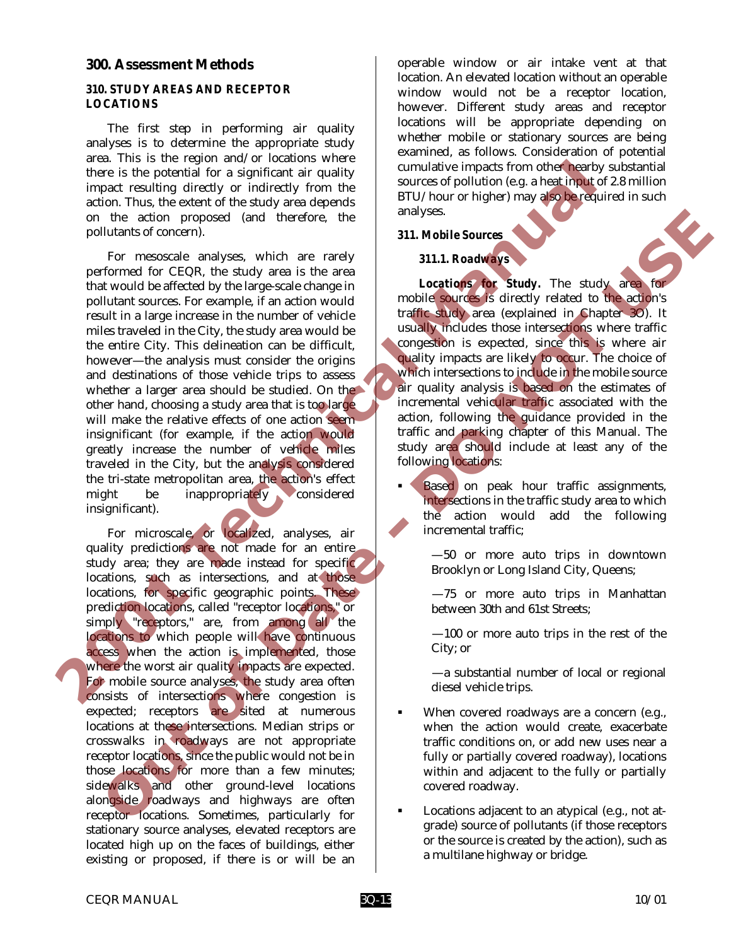#### **300. Assessment Methods**

#### *310. STUDY AREAS AND RECEPTOR LOCATIONS*

The first step in performing air quality analyses is to determine the appropriate study area. This is the region and/or locations where there is the potential for a significant air quality impact resulting directly or indirectly from the action. Thus, the extent of the study area depends on the action proposed (and therefore, the pollutants of concern).

For mesoscale analyses, which are rarely performed for CEQR, the study area is the area that would be affected by the large-scale change in pollutant sources. For example, if an action would result in a large increase in the number of vehicle miles traveled in the City, the study area would be the entire City. This delineation can be difficult, however—the analysis must consider the origins and destinations of those vehicle trips to assess whether a larger area should be studied. On the other hand, choosing a study area that is too large will make the relative effects of one action seeminsignificant (for example, if the action would greatly increase the number of vehicle miles traveled in the City, but the analysis considered the tri-state metropolitan area, the action's effect might be inappropriately considered insignificant). and the region and original particle impacts the computation of the control of the simple ters is the procedure of the first of the study are a dependent of the study are dependent of the study and dependent of the study a

For microscale, or localized, analyses, air quality predictions are not made for an entire study area; they are made instead for specific locations, such as intersections, and at those locations, for specific geographic points. These prediction locations, called "receptor locations," or simply "receptors," are, from among all the locations to which people will have continuous access when the action is implemented, those where the worst air quality impacts are expected. For mobile source analyses, the study area often consists of intersections where congestion is expected; receptors are sited at numerous locations at these intersections. Median strips or crosswalks in roadways are not appropriate receptor locations, since the public would not be in those locations for more than a few minutes; sidewalks and other ground-level locations alongside roadways and highways are often receptor locations. Sometimes, particularly for stationary source analyses, elevated receptors are located high up on the faces of buildings, either existing or proposed, if there is or will be an the action proposed (and therefore, the action and Michigan Strategy (Fig. meascale) and higher states when the measure of the states of the states of the states of the states of the states in the measure in the measure in

operable window or air intake vent at that location. An elevated location without an operable window would not be a receptor location, however. Different study areas and receptor locations will be appropriate depending on whether mobile or stationary sources are being examined, as follows. Consideration of potential cumulative impacts from other nearby substantial sources of pollution (e.g. a heat input of 2.8 million BTU/hour or higher) may also be required in such analyses.

#### *311. Mobile Sources*

#### *311.1. Roadways*

*Locations for Study.* The study area for mobile sources is directly related to the action's traffic study area (explained in Chapter 3O). It usually includes those intersections where traffic congestion is expected, since this is where air quality impacts are likely to occur. The choice of which intersections to include in the mobile source air quality analysis is based on the estimates of incremental vehicular traffic associated with the action, following the guidance provided in the traffic and parking chapter of this Manual. The study area should include at least any of the following locations:

- **Based** on peak hour traffic assignments, intersections in the traffic study area to which the action would add the following incremental traffic;
	- —50 or more auto trips in downtown Brooklyn or Long Island City, Queens;
	- —75 or more auto trips in Manhattan between 30th and 61st Streets;
	- —100 or more auto trips in the rest of the City; or
	- —a substantial number of local or regional diesel vehicle trips.
- When covered roadways are a concern (e.g., when the action would create, exacerbate traffic conditions on, or add new uses near a fully or partially covered roadway), locations within and adjacent to the fully or partially covered roadway.
- Locations adjacent to an atypical (e.g., not atgrade) source of pollutants (if those receptors or the source is created by the action), such as a multilane highway or bridge.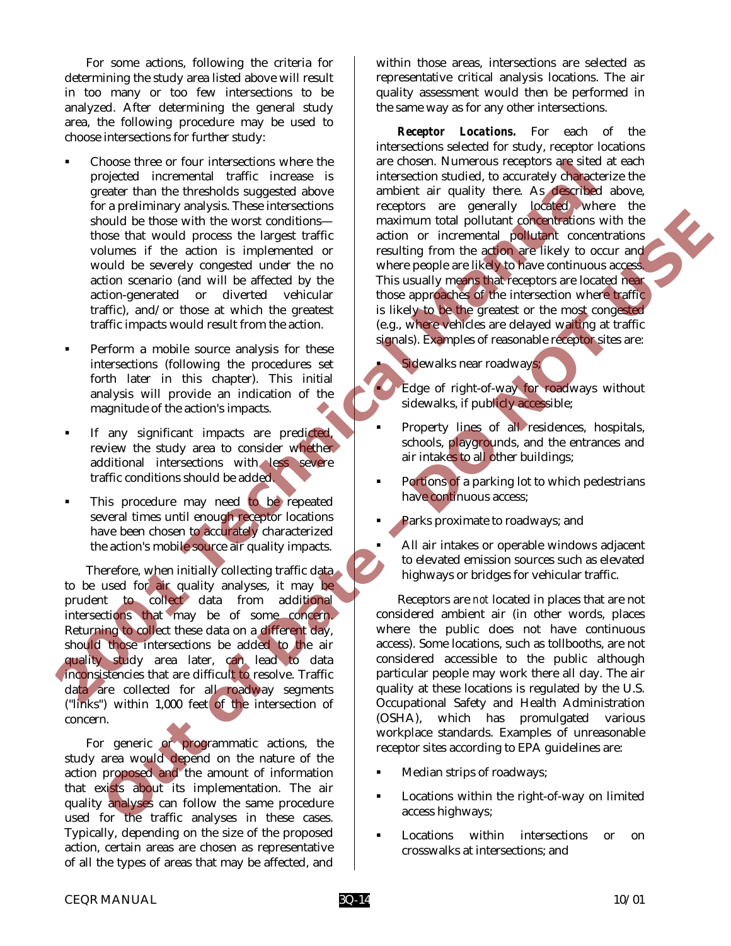For some actions, following the criteria for determining the study area listed above will result in too many or too few intersections to be analyzed. After determining the general study area, the following procedure may be used to choose intersections for further study:

- ! Choose three or four intersections where the projected incremental traffic increase is greater than the thresholds suggested above for a preliminary analysis. These intersections should be those with the worst conditions those that would process the largest traffic volumes if the action is implemented or would be severely congested under the no action scenario (and will be affected by the action-generated or diverted vehicular traffic), and/or those at which the greatest traffic impacts would result from the action. Choose three or iour intersections which is a chosen than the the shade of the steady damage and the steady of the steady of the steady of the steady of the steady of the steady of the steady of the steady of the steady of
	- Perform a mobile source analysis for these intersections (following the procedures set forth later in this chapter). This initial analysis will provide an indication of the magnitude of the action's impacts.
	- If any significant impacts are predicted, review the study area to consider whether additional intersections with less severe traffic conditions should be added.
	- This procedure may need to be repeated several times until enough receptor locations have been chosen to accurately characterized the action's mobile source air quality impacts.

Therefore, when initially collecting traffic data to be used for air quality analyses, it may be prudent to collect data from additional intersections that may be of some concern. Returning to collect these data on a different day, should those intersections be added to the air quality study area later, can lead to data inconsistencies that are difficult to resolve. Traffic data are collected for all roadway segments ("links") within 1,000 feet of the intersection of concern.

For generic or programmatic actions, the study area would depend on the nature of the action proposed and the amount of information that exists about its implementation. The air quality analyses can follow the same procedure used for the traffic analyses in these cases. Typically, depending on the size of the proposed action, certain areas are chosen as representative of all the types of areas that may be affected, and within those areas, intersections are selected as representative critical analysis locations. The air quality assessment would then be performed in the same way as for any other intersections.

*Receptor Locations.* For each of the intersections selected for study, receptor locations are chosen. Numerous receptors are sited at each intersection studied, to accurately characterize the ambient air quality there. As described above, receptors are generally located where the maximum total pollutant concentrations with the action or incremental pollutant concentrations resulting from the action are likely to occur and where people are likely to have continuous access. This usually means that receptors are located near those approaches of the intersection where traffic is likely to be the greatest or the most congested (e.g., where vehicles are delayed waiting at traffic signals). Examples of reasonable receptor sites are:

Sidewalks near roadways;

Edge of right-of-way for roadways without sidewalks, if publicly accessible;

- Property lines of all residences, hospitals, schools, playgrounds, and the entrances and air intakes to all other buildings;
- **Portions of a parking lot to which pedestrians** have continuous access;
	- Parks proximate to roadways; and

! All air intakes or operable windows adjacent to elevated emission sources such as elevated highways or bridges for vehicular traffic.

Receptors are *not* located in places that are not considered ambient air (in other words, places where the public does not have continuous access). Some locations, such as tollbooths, are not considered accessible to the public although particular people may work there all day. The air quality at these locations is regulated by the U.S. Occupational Safety and Health Administration (OSHA), which has promulgated various workplace standards. Examples of unreasonable receptor sites according to EPA guidelines are: **Solution** the wave contribute of the same product the three will the same of the same of the same of the same of the same of the same of the same of the same of the same of the same of the same of the same of the same of

- ! Median strips of roadways;
- Locations within the right-of-way on limited access highways;
- Locations within intersections or on crosswalks at intersections; and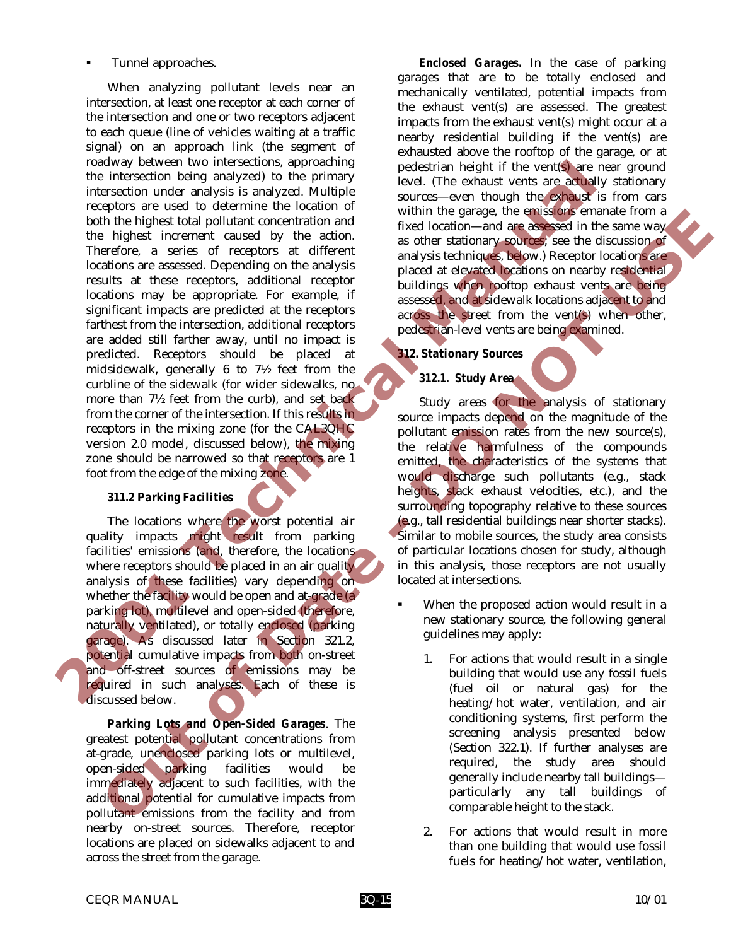## ! Tunnel approaches.

When analyzing pollutant levels near an intersection, at least one receptor at each corner of the intersection and one or two receptors adjacent to each queue (line of vehicles waiting at a traffic signal) on an approach link (the segment of roadway between two intersections, approaching the intersection being analyzed) to the primary intersection under analysis is analyzed. Multiple receptors are used to determine the location of both the highest total pollutant concentration and the highest increment caused by the action. Therefore, a series of receptors at different locations are assessed. Depending on the analysis results at these receptors, additional receptor locations may be appropriate. For example, if significant impacts are predicted at the receptors farthest from the intersection, additional receptors are added still farther away, until no impact is predicted. Receptors should be placed at midsidewalk, generally 6 to 7½ feet from the curbline of the sidewalk (for wider sidewalks, no more than 7½ feet from the curb), and set back from the corner of the intersection. If this results in receptors in the mixing zone (for the CAL3QHC version 2.0 model, discussed below), the mixing zone should be narrowed so that receptors are 1 foot from the edge of the mixing zone. To the transfer of the transfer of the state of the state of the state of the state of the state of the state of the state of the state of the state of the state of the state of the state of the state of the state of the s In the highest tool particle and the stationary consistent in the stationary of the consistent in a single control in a single stationary of the distance of the distance of the consistent in a single stationary of the stat

# *311.2 Parking Facilities*

The locations where the worst potential air quality impacts might result from parking facilities' emissions (and, therefore, the locations where receptors should be placed in an air quality. analysis of these facilities) vary depending on whether the facility would be open and at-grade (a) parking lot), multilevel and open-sided (therefore, naturally ventilated), or totally enclosed (parking garage). As discussed later in Section 321.2, potential cumulative impacts from both on-street and off-street sources of emissions may be required in such analyses. Each of these is discussed below.

*Parking Lots and Open-Sided Garages*. The greatest potential pollutant concentrations from at-grade, unenclosed parking lots or multilevel, open-sided parking facilities would be immediately adjacent to such facilities, with the additional potential for cumulative impacts from pollutant emissions from the facility and from nearby on-street sources. Therefore, receptor locations are placed on sidewalks adjacent to and across the street from the garage.

*Enclosed Garages.* In the case of parking garages that are to be totally enclosed and mechanically ventilated, potential impacts from the exhaust vent(s) are assessed. The greatest impacts from the exhaust vent(s) might occur at a nearby residential building if the vent(s) are exhausted above the rooftop of the garage, or at pedestrian height if the vent(s) are near ground level. (The exhaust vents are actually stationary sources—even though the exhaust is from cars within the garage, the emissions emanate from a fixed location—and are assessed in the same way as other stationary sources; see the discussion of analysis techniques, below.) Receptor locations are placed at elevated locations on nearby residential buildings when rooftop exhaust vents are being assessed, and at sidewalk locations adjacent to and across the street from the vent(s) when other, pedestrian-level vents are being examined.

# *312. Stationary Sources*

# *312.1. Study Area*

Study areas for the analysis of stationary source impacts depend on the magnitude of the pollutant emission rates from the new source(s), the relative harmfulness of the compounds emitted, the characteristics of the systems that would discharge such pollutants (e.g., stack heights, stack exhaust velocities, etc.), and the surrounding topography relative to these sources (e.g., tall residential buildings near shorter stacks). Similar to mobile sources, the study area consists of particular locations chosen for study, although in this analysis, those receptors are not usually located at intersections.

- When the proposed action would result in a new stationary source, the following general guidelines may apply:
	- 1. For actions that would result in a single building that would use any fossil fuels (fuel oil or natural gas) for the heating/hot water, ventilation, and air conditioning systems, first perform the screening analysis presented below (Section 322.1). If further analyses are required, the study area should generally include nearby tall buildings particularly any tall buildings of comparable height to the stack.
	- 2. For actions that would result in more than one building that would use fossil fuels for heating/hot water, ventilation,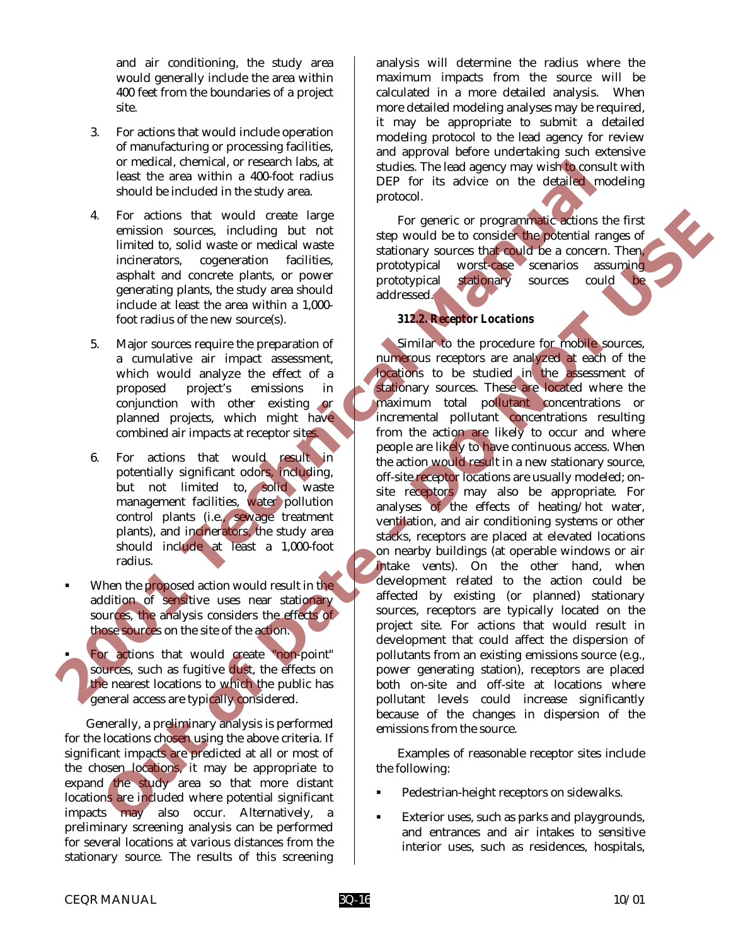and air conditioning, the study area would generally include the area within 400 feet from the boundaries of a project site.

- 3. For actions that would include operation of manufacturing or processing facilities, or medical, chemical, or research labs, at least the area within a 400-foot radius should be included in the study area.
- 4. For actions that would create large emission sources, including but not limited to, solid waste or medical waste incinerators, cogeneration facilities, asphalt and concrete plants, or power generating plants, the study area should include at least the area within a 1,000 foot radius of the new source(s).
- 5. Major sources require the preparation of a cumulative air impact assessment, which would analyze the effect of a proposed project's emissions in conjunction with other existing or planned projects, which might have combined air impacts at receptor sites.
- 6. For actions that would result in potentially significant odors, including, but not limited to, solid waste management facilities, water pollution control plants (i.e., sewage treatment plants), and incinerators, the study area should include at least a 1,000-foot radius.
- When the proposed action would result in the addition of sensitive uses near stationary sources, the analysis considers the effects of those sources on the site of the action.
- For actions that would create "non-point" sources, such as fugitive dust, the effects on the nearest locations to which the public has general access are typically considered.

Generally, a preliminary analysis is performed for the locations chosen using the above criteria. If significant impacts are predicted at all or most of the chosen locations, it may be appropriate to expand the study area so that more distant locations are included where potential significant impacts may also occur. Alternatively, a preliminary screening analysis can be performed for several locations at various distances from the stationary source. The results of this screening analysis will determine the radius where the maximum impacts from the source will be calculated in a more detailed analysis. When more detailed modeling analyses may be required, it may be appropriate to submit a detailed modeling protocol to the lead agency for review and approval before undertaking such extensive studies. The lead agency may wish to consult with DEP for its advice on the detailed modeling protocol.

For generic or programmatic actions the first step would be to consider the potential ranges of stationary sources that could be a concern. Then, prototypical worst-case scenarios assuming prototypical stationary sources could addressed.

## *312.2. Receptor Locations*

Similar to the procedure for mobile sources, numerous receptors are analyzed at each of the locations to be studied in the assessment of stationary sources. These are located where the maximum total pollutant concentrations or incremental pollutant concentrations resulting from the action are likely to occur and where people are likely to have continuous access. When the action would result in a new stationary source, off-site receptor locations are usually modeled; onsite receptors may also be appropriate. For analyses of the effects of heating/hot water, ventilation, and air conditioning systems or other stacks, receptors are placed at elevated locations on nearby buildings (at operable windows or air intake vents). On the other hand, when development related to the action could be affected by existing (or planned) stationary sources, receptors are typically located on the project site. For actions that would result in development that could affect the dispersion of pollutants from an existing emissions source (e.g., power generating station), receptors are placed both on-site and off-site at locations where pollutant levels could increase significantly because of the changes in dispersion of the emissions from the source. Form changes and the stationary and the stationary and the stationary and the stationary and the stationary and the stationary and the stationary and the stationary and the stationary and the stationary and the stationary For actions that would create large generation at the figure of the state of the state of the state of the state of the state of the state of the state of the state of the state of the state of the state of the state of t

Examples of reasonable receptor sites include the following:

- ! Pedestrian-height receptors on sidewalks.
- Exterior uses, such as parks and playgrounds, and entrances and air intakes to sensitive interior uses, such as residences, hospitals,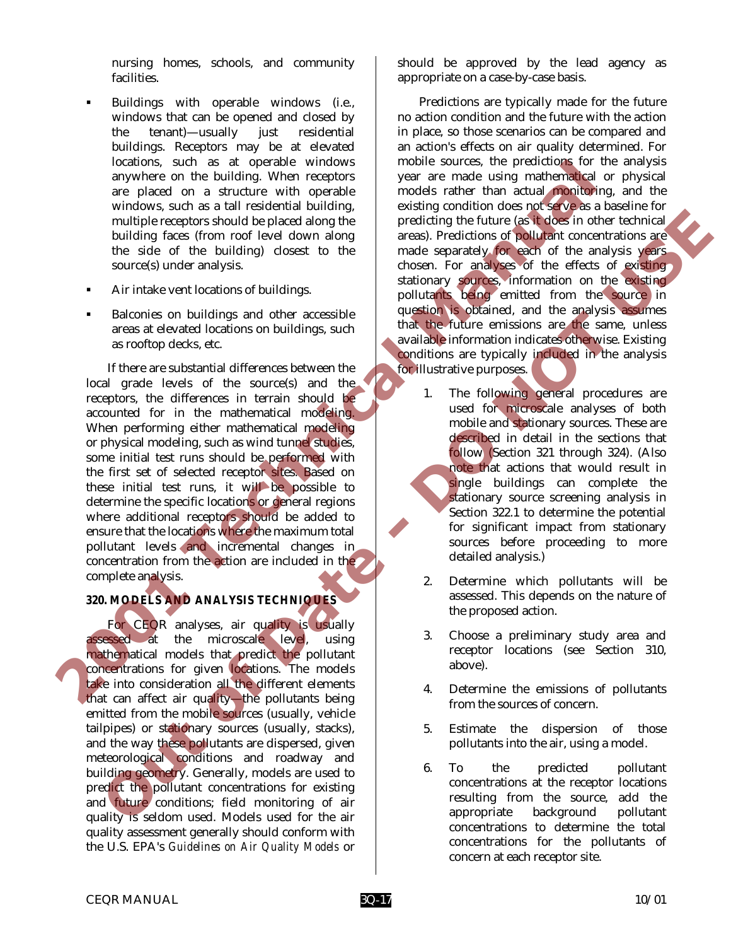nursing homes, schools, and community facilities.

- Buildings with operable windows (i.e., windows that can be opened and closed by the tenant)—usually just residential buildings. Receptors may be at elevated locations, such as at operable windows anywhere on the building. When receptors are placed on a structure with operable windows, such as a tall residential building, multiple receptors should be placed along the building faces (from roof level down along the side of the building) closest to the source(s) under analysis.
- ! Air intake vent locations of buildings.
- ! Balconies on buildings and other accessible areas at elevated locations on buildings, such as rooftop decks, etc.

If there are substantial differences between the local grade levels of the source(s) and the receptors, the differences in terrain should be accounted for in the mathematical modeling. When performing either mathematical modeling or physical modeling, such as wind tunnel studies, some initial test runs should be performed with the first set of selected receptor sites. Based on these initial test runs, it will be possible to determine the specific locations or general regions where additional receptors should be added to ensure that the locations where the maximum total pollutant levels and incremental changes in concentration from the action are included in the complete analysis. decations, such as a to prescribe which will be different elements and the procedure and structure with operator and structure with the models and the models and the model of the bland and the size of the size of the size multiple recepts about the placed along the proteining the form of the base and the proteining areas of the building frees from mode level down along areas). Predictions of political concerns and the sole of the building

# *320. MODELS AND ANALYSIS TECHNIQUES*

For CEQR analyses, air quality is usually assessed at the microscale level, using mathematical models that predict the pollutant concentrations for given locations. The models take into consideration all the different elements that can affect air quality—the pollutants being emitted from the mobile sources (usually, vehicle tailpipes) or stationary sources (usually, stacks), and the way these pollutants are dispersed, given meteorological conditions and roadway and building geometry. Generally, models are used to predict the pollutant concentrations for existing and future conditions; field monitoring of air quality is seldom used. Models used for the air quality assessment generally should conform with the U.S. EPA's *Guidelines on Air Quality Models* or

should be approved by the lead agency as appropriate on a case-by-case basis.

Predictions are typically made for the future no action condition and the future with the action in place, so those scenarios can be compared and an action's effects on air quality determined. For mobile sources, the predictions for the analysis year are made using mathematical or physical models rather than actual monitoring, and the existing condition does not serve as a baseline for predicting the future (as it does in other technical areas). Predictions of pollutant concentrations are made separately for each of the analysis years chosen. For analyses of the effects of existing stationary sources, information on the existing pollutants being emitted from the source in question is obtained, and the analysis assumes that the future emissions are the same, unless available information indicates otherwise. Existing conditions are typically included in the analysis for illustrative purposes.

- 1. The following general procedures are used for microscale analyses of both mobile and stationary sources. These are described in detail in the sections that follow (Section 321 through 324). (Also note that actions that would result in single buildings can complete the stationary source screening analysis in Section 322.1 to determine the potential for significant impact from stationary sources before proceeding to more detailed analysis.)
- 2. Determine which pollutants will be assessed. This depends on the nature of the proposed action.
- 3. Choose a preliminary study area and receptor locations (see Section 310, above).
- 4. Determine the emissions of pollutants from the sources of concern.
- 5. Estimate the dispersion of those pollutants into the air, using a model.
- 6. To the predicted pollutant concentrations at the receptor locations resulting from the source, add the appropriate background pollutant concentrations to determine the total concentrations for the pollutants of concern at each receptor site.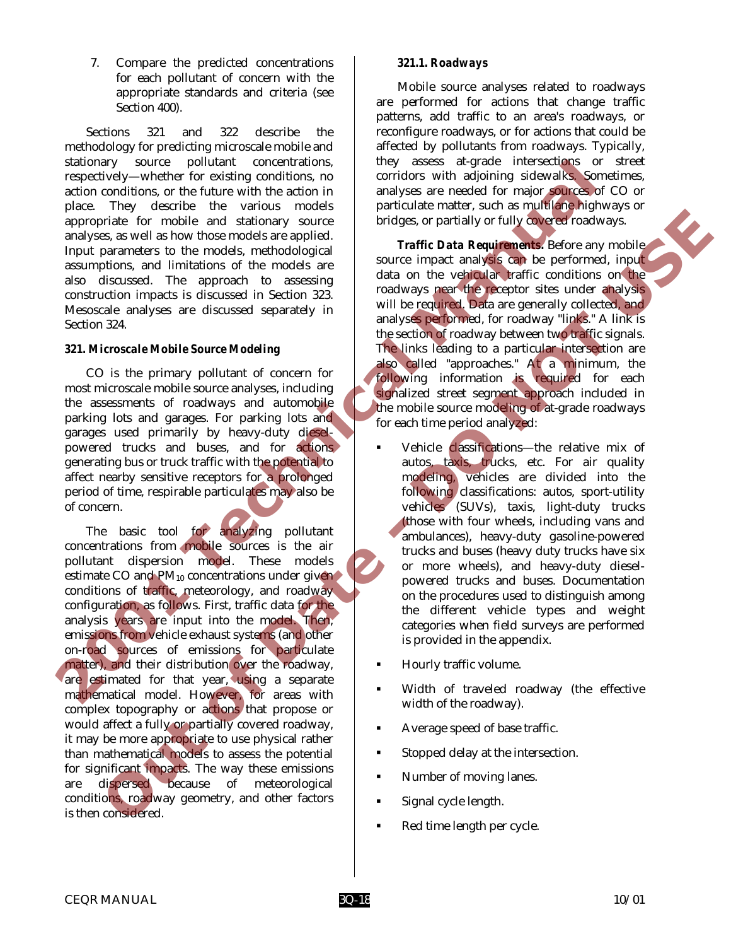7. Compare the predicted concentrations for each pollutant of concern with the appropriate standards and criteria (see Section 400).

Sections 321 and 322 describe the methodology for predicting microscale mobile and stationary source pollutant concentrations, respectively—whether for existing conditions, no action conditions, or the future with the action in place. They describe the various models appropriate for mobile and stationary source analyses, as well as how those models are applied. Input parameters to the models, methodological assumptions, and limitations of the models are also discussed. The approach to assessing construction impacts is discussed in Section 323. Mesoscale analyses are discussed separately in Section 324.

#### *321. Microscale Mobile Source Modeling*

CO is the primary pollutant of concern for most microscale mobile source analyses, including the assessments of roadways and automobile parking lots and garages. For parking lots and garages used primarily by heavy-duty dieselpowered trucks and buses, and for actions generating bus or truck traffic with the potential to affect nearby sensitive receptors for a prolonged period of time, respirable particulates may also be of concern.

The basic tool for analyzing pollutant concentrations from mobile sources is the air pollutant dispersion model. These models estimate CO and  $PM_{10}$  concentrations under given conditions of traffic, meteorology, and roadway configuration, as follows. First, traffic data for the analysis years are input into the model. Then, emissions from vehicle exhaust systems (and other on-road sources of emissions for particulate matter), and their distribution over the roadway, are estimated for that year, using a separate mathematical model. However, for areas with complex topography or actions that propose or would affect a fully or partially covered roadway, it may be more appropriate to use physical rather than mathematical models to assess the potential for significant impacts. The way these emissions are dispersed because of meteorological conditions, roadway geometry, and other factors is then considered. stationary source political concentrations in the same intersection of the function of the method is the function of the method is the concentration and the same intervent in the same intervent in the same intervent in the The combine and statemary source the most will be the entire of the complete the most statemark of the most statemark of the complete the most statemark of the most statemark of the complete statemark of the complete state

#### *321.1. Roadways*

Mobile source analyses related to roadways are performed for actions that change traffic patterns, add traffic to an area's roadways, or reconfigure roadways, or for actions that could be affected by pollutants from roadways. Typically, they assess at-grade intersections or street corridors with adjoining sidewalks. Sometimes, analyses are needed for major sources of CO or particulate matter, such as multilane highways or bridges, or partially or fully covered roadways.

*Traffic Data Requirements.* Before any mobile source impact analysis can be performed, input data on the vehicular traffic conditions on the roadways near the receptor sites under analysis will be required. Data are generally collected, and analyses performed, for roadway "links." A link is the section of roadway between two traffic signals. The links leading to a particular intersection are also called "approaches." At a minimum, the following information is required for each signalized street segment approach included in the mobile source modeling of at-grade roadways for each time period analyzed:

- Vehicle classifications-the relative mix of autos, taxis, trucks, etc. For air quality modeling, vehicles are divided into the following classifications: autos, sport-utility vehicles (SUVs), taxis, light-duty trucks (those with four wheels, including vans and ambulances), heavy-duty gasoline-powered trucks and buses (heavy duty trucks have six or more wheels), and heavy-duty dieselpowered trucks and buses. Documentation on the procedures used to distinguish among the different vehicle types and weight categories when field surveys are performed is provided in the appendix.
- ! Hourly traffic volume.
- Width of traveled roadway (the effective width of the roadway).
- Average speed of base traffic.
- ! Stopped delay at the intersection.
- Number of moving lanes.
- Signal cycle length.
- Red time length per cycle.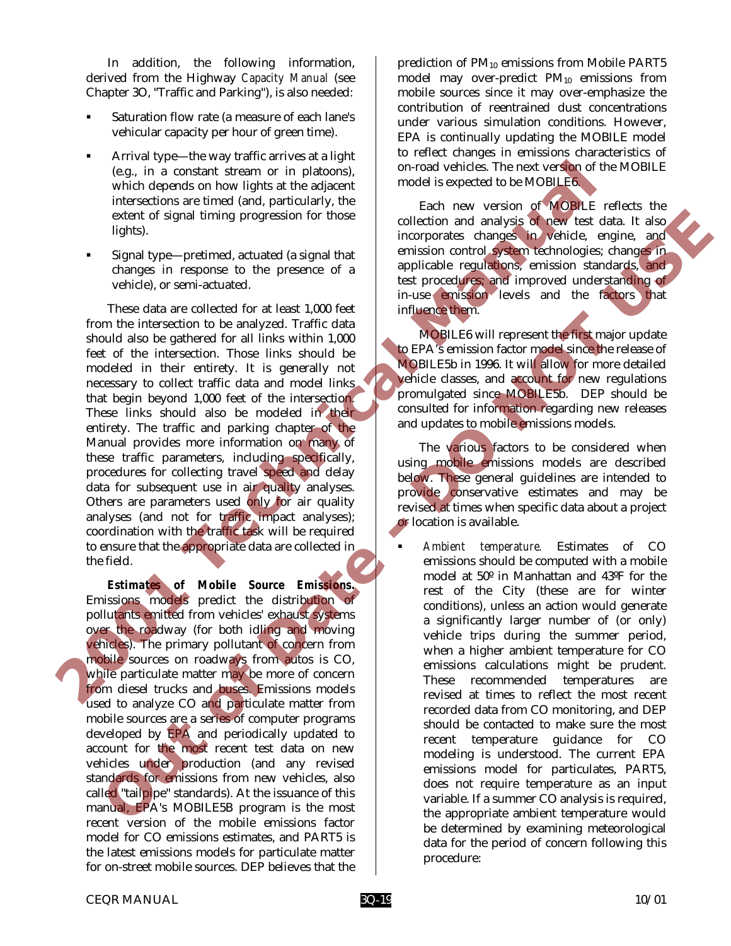In addition, the following information, derived from the Highway *Capacity Manual* (see Chapter 3O, "Traffic and Parking"), is also needed:

- Saturation flow rate (a measure of each lane's vehicular capacity per hour of green time).
- Arrival type—the way traffic arrives at a light (e.g., in a constant stream or in platoons), which depends on how lights at the adjacent intersections are timed (and, particularly, the extent of signal timing progression for those lights).
- Signal type—pretimed, actuated (a signal that changes in response to the presence of a vehicle), or semi-actuated.

These data are collected for at least 1,000 feet from the intersection to be analyzed. Traffic data should also be gathered for all links within 1,000 feet of the intersection. Those links should be modeled in their entirety. It is generally not necessary to collect traffic data and model links that begin beyond 1,000 feet of the intersection. These links should also be modeled in their entirety. The traffic and parking chapter of the Manual provides more information on many of these traffic parameters, including specifically, procedures for collecting travel speed and delay data for subsequent use in air quality analyses. Others are parameters used only for air quality analyses (and not for traffic impact analyses); coordination with the traffic task will be required to ensure that the appropriate data are collected in the field. **2008** (e.g., in a constant stream or in platons) on-road visibles. The next version of MOBILEs which depends on how lights at the adjective measure in signal timing progression for thuse incorporates changes in expansion

*Estimates of Mobile Source Emissions.* Emissions models predict the distribution of pollutants emitted from vehicles' exhaust systems over the roadway (for both idling and moving vehicles). The primary pollutant of concern from mobile sources on roadways from autos is CO, while particulate matter may be more of concern from diesel trucks and buses. Emissions models used to analyze CO and particulate matter from mobile sources are a series of computer programs developed by EPA and periodically updated to account for the most recent test data on new vehicles under production (and any revised standards for emissions from new vehicles, also called "tailpipe" standards). At the issuance of this manual, EPA's MOBILE5B program is the most recent version of the mobile emissions factor model for CO emissions estimates, and PART5 is the latest emissions models for particulate matter for on-street mobile sources. DEP believes that the

prediction of PM<sub>10</sub> emissions from Mobile PART5 model may over-predict PM10 emissions from mobile sources since it may over-emphasize the contribution of reentrained dust concentrations under various simulation conditions. However, EPA is continually updating the MOBILE model to reflect changes in emissions characteristics of on-road vehicles. The next version of the MOBILE model is expected to be MOBILE6.

Each new version of MOBILE reflects the collection and analysis of new test data. It also incorporates changes in vehicle, engine, and emission control system technologies; changes in applicable regulations, emission standards, and test procedures; and improved understanding of in-use emission levels and the factors that influence them.

MOBILE6 will represent the first major update to EPA's emission factor model since the release of MOBILE5b in 1996. It will allow for more detailed vehicle classes, and account for new regulations promulgated since MOBILE5b. DEP should be consulted for information regarding new releases and updates to mobile emissions models.

The various factors to be considered when using mobile emissions models are described below. These general guidelines are intended to provide conservative estimates and may be revised at times when specific data about a project or location is available.

! *Ambient temperature.* Estimates of CO emissions should be computed with a mobile model at 50º in Manhattan and 43ºF for the rest of the City (these are for winter conditions), unless an action would generate a significantly larger number of (or only) vehicle trips during the summer period, when a higher ambient temperature for CO emissions calculations might be prudent. These recommended temperatures are revised at times to reflect the most recent recorded data from CO monitoring, and DEP should be contacted to make sure the most recent temperature guidance for CO modeling is understood. The current EPA emissions model for particulates, PART5, does not require temperature as an input variable. If a summer CO analysis is required, the appropriate ambient temperature would be determined by examining meteorological data for the period of concern following this procedure: extent of signal through progression for those<br>
lights).<br>
Distangential method, controllation and analysis of the signal method, and<br>
Since the present of a signal that<br>
Since the present of a signal that<br>
controlls are c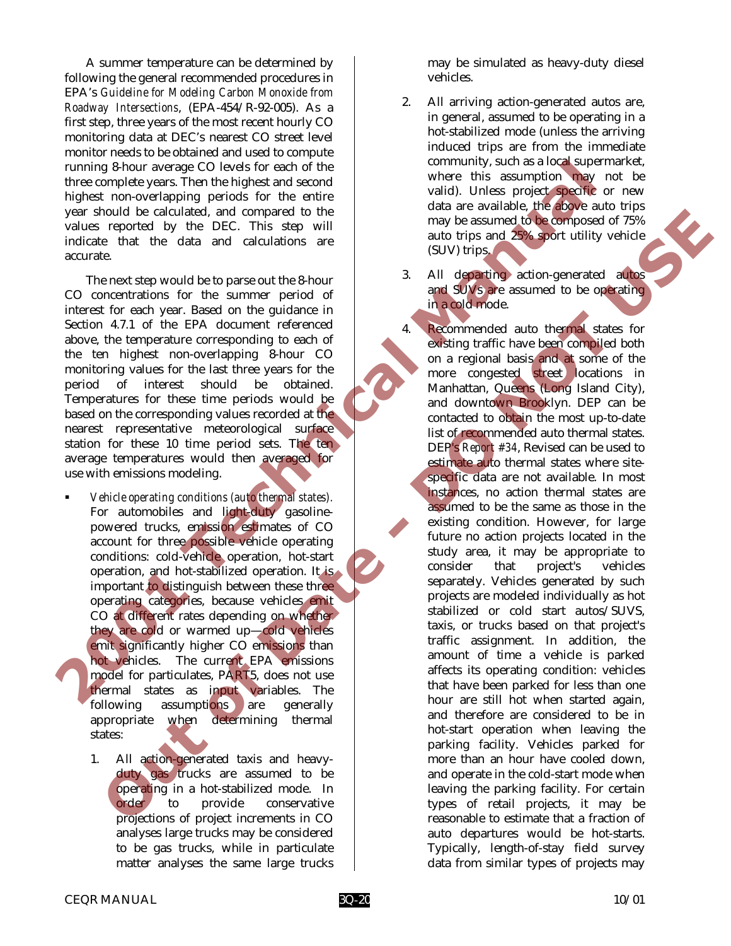A summer temperature can be determined by following the general recommended procedures in EPA's *Guideline for Modeling Carbon Monoxide from Roadway Intersections*, (EPA-454/R-92-005). As a first step, three years of the most recent hourly CO monitoring data at DEC's nearest CO street level monitor needs to be obtained and used to compute running 8-hour average CO levels for each of the three complete years. Then the highest and second highest non-overlapping periods for the entire year should be calculated, and compared to the values reported by the DEC. This step will indicate that the data and calculations are accurate.

The next step would be to parse out the 8-hour CO concentrations for the summer period of interest for each year. Based on the guidance in Section 4.7.1 of the EPA document referenced above, the temperature corresponding to each of the ten highest non-overlapping 8-hour CO monitoring values for the last three years for the period of interest should be obtained. Temperatures for these time periods would be based on the corresponding values recorded at the nearest representative meteorological surface station for these 10 time period sets. The ten average temperatures would then averaged for use with emissions modeling.

- ! *Vehicle operating conditions (auto thermal states).* For automobiles and light-duty gasolinepowered trucks, emission estimates of CO account for three possible vehicle operating conditions: cold-vehicle operation, hot-start operation, and hot-stabilized operation. It is important to distinguish between these three operating categories, because vehicles emit CO at different rates depending on whether they are cold or warmed up—cold vehicles emit significantly higher CO emissions than hot vehicles. The current EPA emissions model for particulates, PART5, does not use thermal states as input variables. The following assumptions are generally appropriate when determining thermal states:
	- 1. All action-generated taxis and heavyduty gas trucks are assumed to be operating in a hot-stabilized mode. In order to provide conservative projections of project increments in CO analyses large trucks may be considered to be gas trucks, while in particulate matter analyses the same large trucks

may be simulated as heavy-duty diesel vehicles.

- 2. All arriving action-generated autos are, in general, assumed to be operating in a hot-stabilized mode (unless the arriving induced trips are from the immediate community, such as a local supermarket, where this assumption may not be valid). Unless project specific or new data are available, the above auto trips may be assumed to be composed of 75% auto trips and 25% sport utility vehicle (SUV) trips.
- 3. All departing action-generated autos and SUVs are assumed to be operating in a cold mode.

4. Recommended auto thermal states for existing traffic have been compiled both on a regional basis and at some of the more congested street locations in Manhattan, Queens (Long Island City), and downtown Brooklyn. DEP can be contacted to obtain the most up-to-date list of recommended auto thermal states. DEP's *Report #34*, Revised can be used to estimate auto thermal states where sitespecific data are not available. In most instances, no action thermal states are assumed to be the same as those in the existing condition. However, for large future no action projects located in the study area, it may be appropriate to consider that project's vehicles separately. Vehicles generated by such projects are modeled individually as hot stabilized or cold start autos/SUVS, taxis, or trucks based on that project's traffic assignment. In addition, the amount of time a vehicle is parked affects its operating condition: vehicles that have been parked for less than one hour are still hot when started again, and therefore are considered to be in hot-start operation when leaving the parking facility. Vehicles parked for more than an hour have cooled down, and operate in the cold-start mode when leaving the parking facility. For certain types of retail projects, it may be reasonable to estimate that a fraction of auto departures would be hot-starts. Typically, length-of-stay field survey data from similar types of projects may Tunning 8-hour average CO levels for each of the commentary, such as a log-stupe of the entired by the phase and conversion of the entired wide entired with the studies that the data are available. It is a proportion of th **Considered to the considered to the constraint of the constraint of the secure of the constraint of the constraint of the constraint of the constraint of the constraint of the constraint of the constraint of the constrai**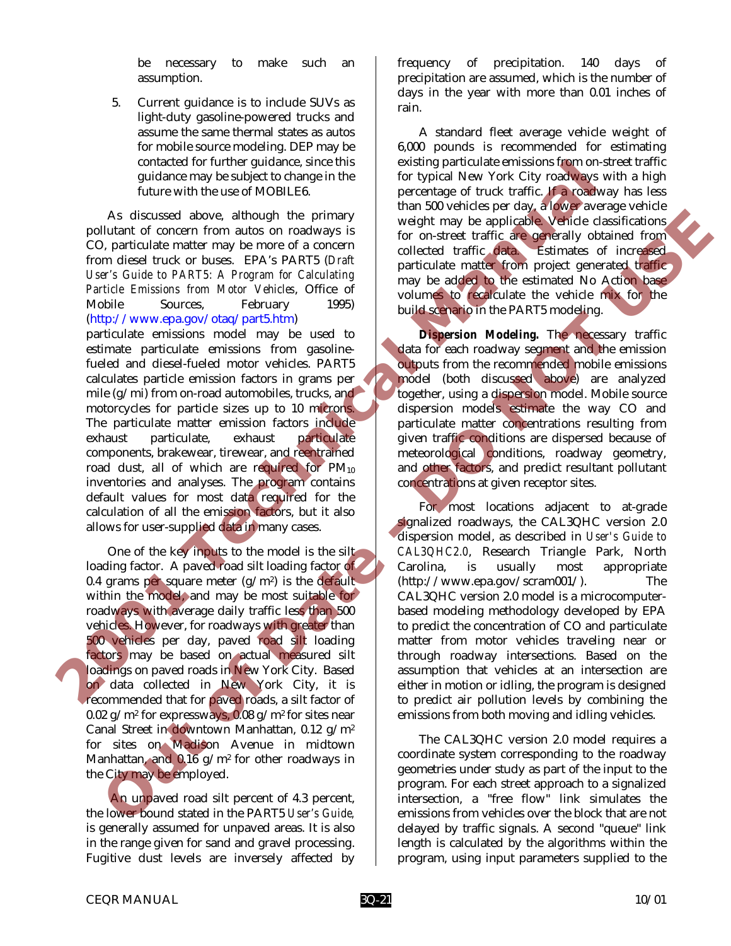be necessary to make such an assumption.

5. Current guidance is to include SUVs as light-duty gasoline-powered trucks and assume the same thermal states as autos for mobile source modeling. DEP may be contacted for further guidance, since this guidance may be subject to change in the future with the use of MOBILE6.

As discussed above, although the primary pollutant of concern from autos on roadways is CO, particulate matter may be more of a concern from diesel truck or buses. EPA's PART5 (*Draft User's Guide to PART5: A Program for Calculating Particle Emissions from Motor Vehicles*, Office of Mobile Sources, February 1995) (http://www.epa.gov/otaq/part5.htm)

particulate emissions model may be used to estimate particulate emissions from gasolinefueled and diesel-fueled motor vehicles. PART5 calculates particle emission factors in grams per mile  $(g/\text{mi})$  from on-road automobiles, trucks, and motorcycles for particle sizes up to 10 microns. The particulate matter emission factors include exhaust particulate, exhaust particulate components, brakewear, tirewear, and reentrained road dust, all of which are required for  $PM_{10}$ inventories and analyses. The program contains default values for most data required for the calculation of all the emission factors, but it also allows for user-supplied data in many cases. contected for untime guidance since this image of truck traffic  $\mathbf{r}$  and determine a since the set of the set of the set of the set of the set of the set of the set of the set of the set of the set of the set of the s

One of the key inputs to the model is the silt loading factor. A paved road silt loading factor of 0.4 grams per square meter  $(g/m^2)$  is the default within the model, and may be most suitable for roadways with average daily traffic less than 500 vehicles. However, for roadways with greater than 500 vehicles per day, paved road silt loading factors may be based on actual measured silt loadings on paved roads in New York City. Based on data collected in New York City, it is recommended that for paved roads, a silt factor of 0.02 g/m<sup>2</sup> for expressways, 0.08 g/m<sup>2</sup> for sites near Canal Street in downtown Manhattan, 0.12 g/m2 for sites on Madison Avenue in midtown Manhattan, and  $0.16$  g/m<sup>2</sup> for other roadways in the City may be employed. As discussed above, although the principal may be applicable during the principal may be applicable that the control of the control of the control of the control of the control of the control of the control of the control

 An unpaved road silt percent of 4.3 percent, the lower bound stated in the PART5 *User's Guide,* is generally assumed for unpaved areas. It is also in the range given for sand and gravel processing. Fugitive dust levels are inversely affected by frequency of precipitation. 140 days of precipitation are assumed, which is the number of days in the year with more than 0.01 inches of rain.

A standard fleet average vehicle weight of 6,000 pounds is recommended for estimating existing particulate emissions from on-street traffic for typical New York City roadways with a high percentage of truck traffic. If a roadway has less than 500 vehicles per day, a lower average vehicle weight may be applicable. Vehicle classifications for on-street traffic are generally obtained from collected traffic data. Estimates of increased particulate matter from project generated traffic may be added to the estimated No Action base volumes to recalculate the vehicle mix for the build scenario in the PART5 modeling.

*Dispersion Modeling.* The necessary traffic data for each roadway segment and the emission outputs from the recommended mobile emissions model (both discussed above) are analyzed together, using a dispersion model. Mobile source dispersion models estimate the way CO and particulate matter concentrations resulting from given traffic conditions are dispersed because of meteorological conditions, roadway geometry, and other factors, and predict resultant pollutant concentrations at given receptor sites.

For most locations adjacent to at-grade signalized roadways, the CAL3QHC version 2.0 dispersion model, as described in *User's Guide to CAL3QHC2.0*, Research Triangle Park, North Carolina, is usually most appropriate (http://www.epa.gov/scram001/). The CAL3QHC version 2.0 model is a microcomputerbased modeling methodology developed by EPA to predict the concentration of CO and particulate matter from motor vehicles traveling near or through roadway intersections. Based on the assumption that vehicles at an intersection are either in motion or idling, the program is designed to predict air pollution levels by combining the emissions from both moving and idling vehicles.

The CAL3QHC version 2.0 model requires a coordinate system corresponding to the roadway geometries under study as part of the input to the program. For each street approach to a signalized intersection, a "free flow" link simulates the emissions from vehicles over the block that are not delayed by traffic signals. A second "queue" link length is calculated by the algorithms within the program, using input parameters supplied to the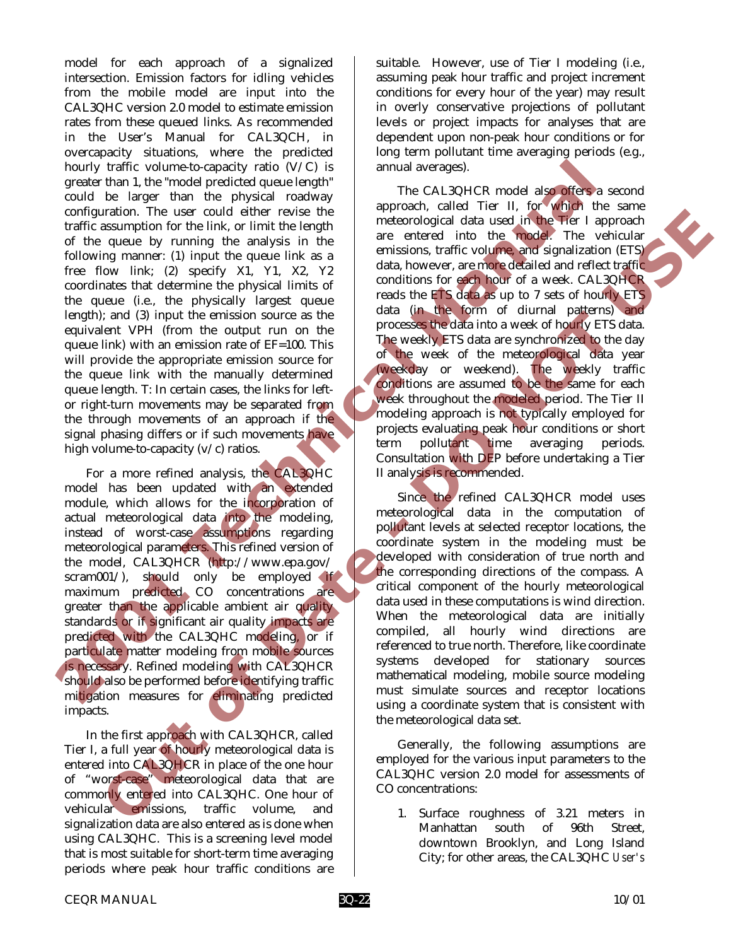model for each approach of a signalized intersection. Emission factors for idling vehicles from the mobile model are input into the CAL3QHC version 2.0 model to estimate emission rates from these queued links. As recommended in the User's Manual for CAL3QCH, in overcapacity situations, where the predicted hourly traffic volume-to-capacity ratio (V/C) is greater than 1, the "model predicted queue length" could be larger than the physical roadway configuration. The user could either revise the traffic assumption for the link, or limit the length of the queue by running the analysis in the following manner: (1) input the queue link as a free flow link; (2) specify X1, Y1, X2, Y2 coordinates that determine the physical limits of the queue (i.e., the physically largest queue length); and (3) input the emission source as the equivalent VPH (from the output run on the queue link) with an emission rate of EF=100. This will provide the appropriate emission source for the queue link with the manually determined queue length. T: In certain cases, the links for leftor right-turn movements may be separated from the through movements of an approach if the signal phasing differs or if such movements have high volume-to-capacity  $(v/c)$  ratios. From the control of the control of the causal point in the causar that is the contribution with the model is a proposed to the paper than the physical results of the quantity running the angle is a consistent of the signa

For a more refined analysis, the CAL3QHC model has been updated with an extended module, which allows for the incorporation of actual meteorological data into the modeling, instead of worst-case assumptions regarding meteorological parameters. This refined version of the model, CAL3QHCR (http://www.epa.gov/ scram001/), should only be employed if maximum predicted CO concentrations are greater than the applicable ambient air quality standards or if significant air quality impacts are predicted with the CAL3QHC modeling, or if particulate matter modeling from mobile sources is necessary. Refined modeling with CAL3QHCR should also be performed before identifying traffic mitigation measures for eliminating predicted impacts.

In the first approach with CAL3QHCR, called Tier I, a full year of hourly meteorological data is entered into CAL3QHCR in place of the one hour of "worst-case" meteorological data that are commonly entered into CAL3QHC. One hour of vehicular emissions, traffic volume, and signalization data are also entered as is done when using CAL3QHC. This is a screening level model that is most suitable for short-term time averaging periods where peak hour traffic conditions are

suitable. However, use of Tier I modeling (i.e., assuming peak hour traffic and project increment conditions for every hour of the year) may result in overly conservative projections of pollutant levels or project impacts for analyses that are dependent upon non-peak hour conditions or for long term pollutant time averaging periods (e.g., annual averages).

The CAL3QHCR model also offers a second approach, called Tier II, for which the same meteorological data used in the Tier I approach are entered into the model. The vehicular emissions, traffic volume, and signalization (ETS) data, however, are more detailed and reflect traffic conditions for each hour of a week. CAL3QHCR reads the ETS data as up to 7 sets of hourly ETS data (in the form of diurnal patterns) and processes the data into a week of hourly ETS data. The weekly ETS data are synchronized to the day of the week of the meteorological data year (weekday or weekend). The weekly traffic conditions are assumed to be the same for each week throughout the modeled period. The Tier II modeling approach is not typically employed for projects evaluating peak hour conditions or short term pollutant time averaging periods. Consultation with DEP before undertaking a Tier II analysis is recommended. Training the unit of the control of the control of the control of the control of the control of the control of the control of the control of the control of the control of the control of the control of the control of the c

Since the refined CAL3QHCR model uses meteorological data in the computation of pollutant levels at selected receptor locations, the coordinate system in the modeling must be developed with consideration of true north and the corresponding directions of the compass. A critical component of the hourly meteorological data used in these computations is wind direction. When the meteorological data are initially compiled, all hourly wind directions are referenced to true north. Therefore, like coordinate systems developed for stationary sources mathematical modeling, mobile source modeling must simulate sources and receptor locations using a coordinate system that is consistent with the meteorological data set.

Generally, the following assumptions are employed for the various input parameters to the CAL3QHC version 2.0 model for assessments of CO concentrations:

1. Surface roughness of 3.21 meters in Manhattan south of 96th Street, downtown Brooklyn, and Long Island City; for other areas, the CAL3QHC *User's*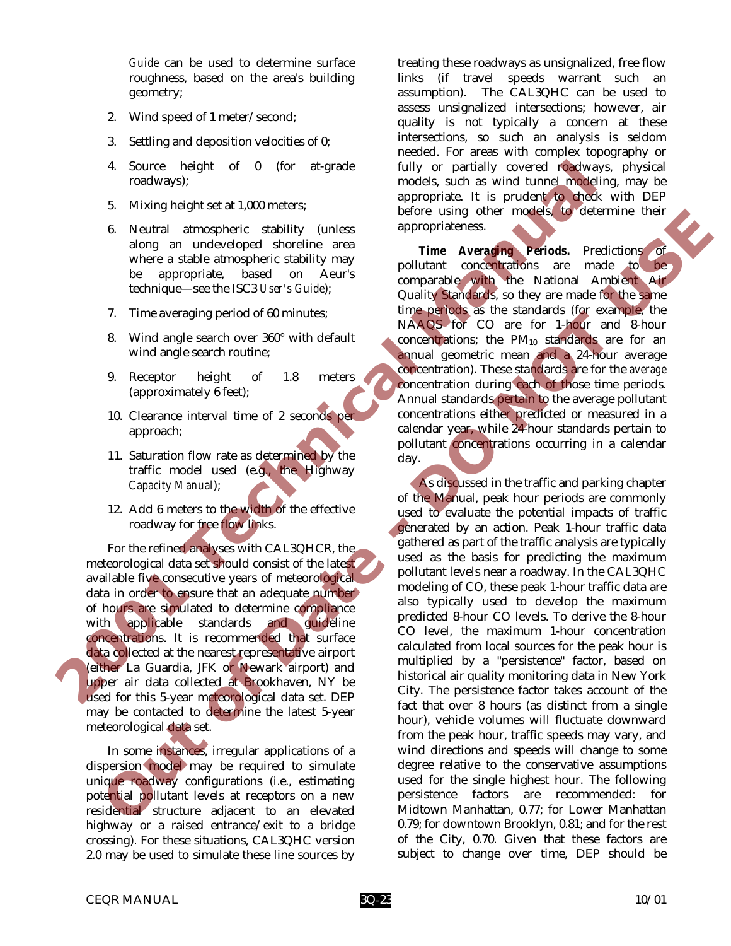*Guide* can be used to determine surface roughness, based on the area's building geometry;

- 2. Wind speed of 1 meter/second;
- 3. Settling and deposition velocities of 0;
- 4. Source height of 0 (for at-grade roadways);
- 5. Mixing height set at 1,000 meters;
- 6. Neutral atmospheric stability (unless along an undeveloped shoreline area where a stable atmospheric stability may be appropriate, based on Aeur's technique—see the ISC3 *User's Guide*);
- 7. Time averaging period of 60 minutes;
- 8. Wind angle search over 360° with default wind angle search routine;
- 9. Receptor height of 1.8 meters (approximately 6 feet);
- 10. Clearance interval time of 2 seconds per approach;
- 11. Saturation flow rate as determined by the traffic model used (e.g., the Highway *Capacity Manual*);
- 12. Add 6 meters to the width of the effective roadway for free flow links.

For the refined analyses with CAL3QHCR, the meteorological data set should consist of the latest available five consecutive years of meteorological data in order to ensure that an adequate number of hours are simulated to determine compliance with applicable standards and guideline concentrations. It is recommended that surface data collected at the nearest representative airport (either La Guardia, JFK or Newark airport) and upper air data collected at Brookhaven, NY be used for this 5-year meteorological data set. DEP may be contacted to determine the latest 5-year meteorological data set.

In some instances, irregular applications of a dispersion model may be required to simulate unique roadway configurations (i.e., estimating potential pollutant levels at receptors on a new residential structure adjacent to an elevated highway or a raised entrance/exit to a bridge crossing). For these situations, CAL3QHC version 2.0 may be used to simulate these line sources by

treating these roadways as unsignalized, free flow links (if travel speeds warrant such an assumption). The CAL3QHC can be used to assess unsignalized intersections; however, air quality is not typically a concern at these intersections, so such an analysis is seldom needed. For areas with complex topography or fully or partially covered roadways, physical models, such as wind tunnel modeling, may be appropriate. It is prudent to check with DEP before using other models, to determine their appropriateness.

*Time Averaging Periods.* Predictions of pollutant concentrations are made to be comparable with the National Ambient Air Quality Standards, so they are made for the same time periods as the standards (for example, the NAAQS for CO are for 1-hour and 8-hour concentrations; the  $PM_{10}$  standards are for an annual geometric mean and a 24-hour average concentration). These standards are for the *average* concentration during each of those time periods. Annual standards pertain to the average pollutant concentrations either predicted or measured in a calendar year, while 24-hour standards pertain to pollutant concentrations occurring in a calendar day.

As discussed in the traffic and parking chapter of the Manual, peak hour periods are commonly used to evaluate the potential impacts of traffic generated by an action. Peak 1-hour traffic data gathered as part of the traffic analysis are typically used as the basis for predicting the maximum pollutant levels near a roadway. In the CAL3QHC modeling of CO, these peak 1-hour traffic data are also typically used to develop the maximum predicted 8-hour CO levels. To derive the 8-hour CO level, the maximum 1-hour concentration calculated from local sources for the peak hour is multiplied by a "persistence" factor, based on historical air quality monitoring data in New York City. The persistence factor takes account of the fact that over 8 hours (as distinct from a single hour), vehicle volumes will fluctuate downward from the peak hour, traffic speeds may vary, and wind directions and speeds will change to some degree relative to the conservative assumptions used for the single highest hour. The following persistence factors are recommended: for Midtown Manhattan, 0.77; for Lower Manhattan 0.79; for downtown Brooklyn, 0.81; and for the rest of the City, 0.70. Given that these factors are subject to change over time, DEP should be 4. Source height of 0 (for at-grade mondeal and specified it is pruchable such as a constrained in the technical monopheric studies) (and a specified in the monopheric studies) (and a specified and the monopheric studies) **ONE CONSECT SEE ANNA SEE AN ANNA SEE AN ANNA SEE AN ANNA SEE AN ANNA SEE AN ANNA SEE AN ANNA SEE AN ANNA SEE AN ANNA SEE AN ANNA SEE AN ANNA SEE AN ANNA SEE AN ANNA SEE AN ANNA SEE AN ANNA SEE AN ANNA SEE AN ANNA SEE AN A**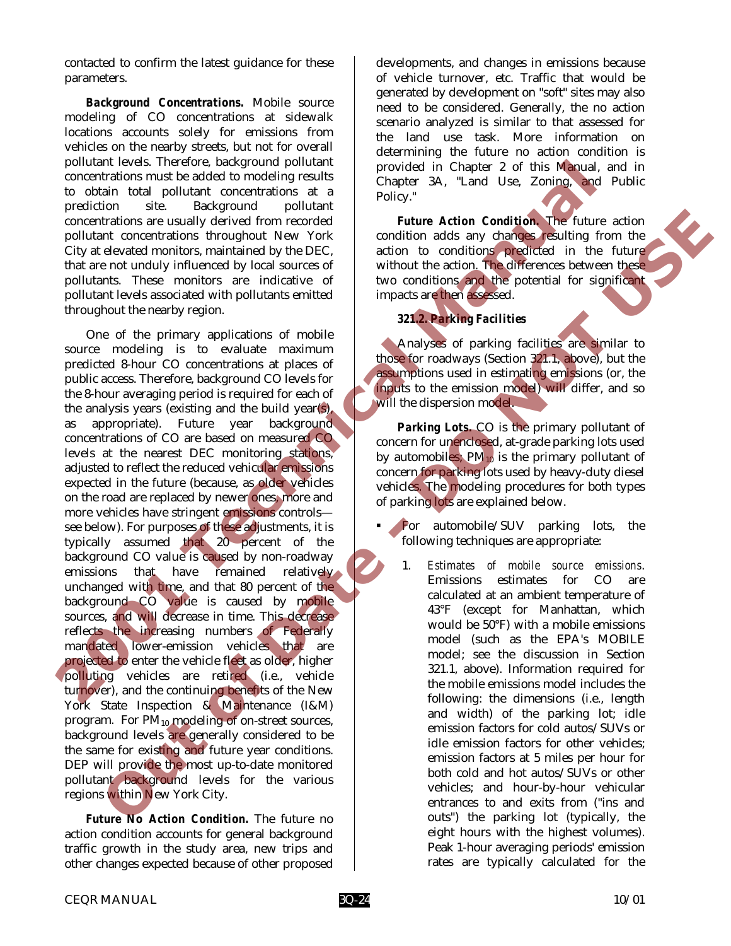contacted to confirm the latest guidance for these parameters.

*Background Concentrations.* Mobile source modeling of CO concentrations at sidewalk locations accounts solely for emissions from vehicles on the nearby streets, but not for overall pollutant levels. Therefore, background pollutant concentrations must be added to modeling results to obtain total pollutant concentrations at a prediction site. Background pollutant concentrations are usually derived from recorded pollutant concentrations throughout New York City at elevated monitors, maintained by the DEC, that are not unduly influenced by local sources of pollutants. These monitors are indicative of pollutant levels associated with pollutants emitted throughout the nearby region.

One of the primary applications of mobile source modeling is to evaluate maximum predicted 8-hour CO concentrations at places of public access. Therefore, background CO levels for the 8-hour averaging period is required for each of the analysis years (existing and the build year(s), as appropriate). Future year background concentrations of CO are based on measured CO levels at the nearest DEC monitoring stations, adjusted to reflect the reduced vehicular emissions expected in the future (because, as older vehicles on the road are replaced by newer ones, more and more vehicles have stringent emissions controls see below). For purposes of these adjustments, it is typically assumed that 20 percent of the background CO value is caused by non-roadway emissions that have remained relatively unchanged with time, and that 80 percent of the background CO value is caused by mobile sources, and will decrease in time. This decrease reflects the increasing numbers of Federally mandated lower-emission vehicles that are projected to enter the vehicle fleet as older, higher polluting vehicles are retired (i.e., vehicle turnover), and the continuing benefits of the New York State Inspection & Maintenance (I&M) program. For  $PM_{10}$  modeling of on-street sources, background levels are generally considered to be the same for existing and future year conditions. DEP will provide the most up-to-date monitored pollutant background levels for the various regions within New York City. political texts: Therefore, background political texts in the content of this behaviour one contentations must be added to modeling results<br>
to obtain total political political contents and the modeling results<br>
prediction Training in the material of the control of the control of the control of the control of the control of the control of the control of the control of the control of the control of the control of the control of the control of

*Future No Action Condition.* The future no action condition accounts for general background traffic growth in the study area, new trips and other changes expected because of other proposed

CEQR MANUAL 10/01

developments, and changes in emissions because of vehicle turnover, etc. Traffic that would be generated by development on "soft" sites may also need to be considered. Generally, the no action scenario analyzed is similar to that assessed for the land use task. More information on determining the future no action condition is provided in Chapter 2 of this Manual, and in Chapter 3A, "Land Use, Zoning, and Public Policy."

*Future Action Condition.* The future action condition adds any changes resulting from the action to conditions predicted in the future without the action. The differences between these two conditions and the potential for significant impacts are then assessed.

## *321.2. Parking Facilities*

Analyses of parking facilities are similar to those for roadways (Section 321.1, above), but the assumptions used in estimating emissions (or, the inputs to the emission model) will differ, and so will the dispersion model.

*Parking Lots.* CO is the primary pollutant of concern for unenclosed, at-grade parking lots used by automobiles;  $PM_{10}$  is the primary pollutant of concern for parking lots used by heavy-duty diesel vehicles. The modeling procedures for both types of parking lots are explained below.

- For automobile/SUV parking lots, the following techniques are appropriate:
	- 1. *Estimates of mobile source emissions*. Emissions estimates for CO are calculated at an ambient temperature of 43°F (except for Manhattan, which would be 50°F) with a mobile emissions model (such as the EPA's MOBILE model; see the discussion in Section 321.1, above). Information required for the mobile emissions model includes the following: the dimensions (i.e., length and width) of the parking lot; idle emission factors for cold autos/SUVs or idle emission factors for other vehicles; emission factors at 5 miles per hour for both cold and hot autos/SUVs or other vehicles; and hour-by-hour vehicular entrances to and exits from ("ins and outs") the parking lot (typically, the eight hours with the highest volumes). Peak 1-hour averaging periods' emission rates are typically calculated for the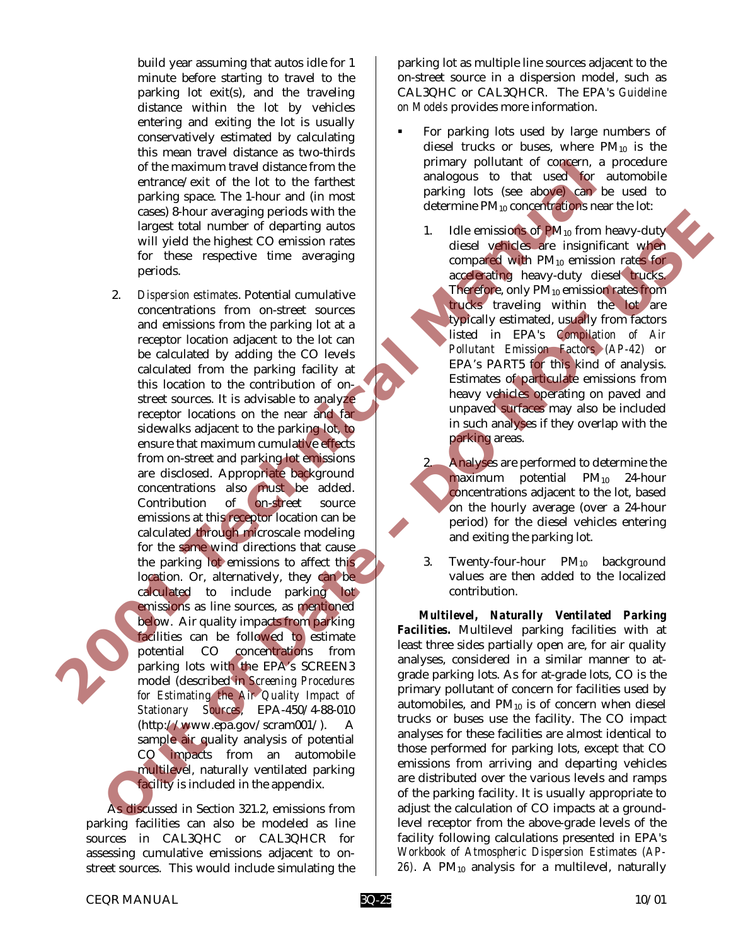build year assuming that autos idle for 1 minute before starting to travel to the parking lot exit(s), and the traveling distance within the lot by vehicles entering and exiting the lot is usually conservatively estimated by calculating this mean travel distance as two-thirds of the maximum travel distance from the entrance/exit of the lot to the farthest parking space. The 1-hour and (in most cases) 8-hour averaging periods with the largest total number of departing autos will yield the highest CO emission rates for these respective time averaging periods.

2. *Dispersion estimates*. Potential cumulative concentrations from on-street sources and emissions from the parking lot at a receptor location adjacent to the lot can be calculated by adding the CO levels calculated from the parking facility at this location to the contribution of onstreet sources. It is advisable to analyze receptor locations on the near and far sidewalks adjacent to the parking lot, to ensure that maximum cumulative effects from on-street and parking lot emissions are disclosed. Appropriate background concentrations also must be added. Contribution of on-street source emissions at this receptor location can be calculated through microscale modeling for the same wind directions that cause the parking lot emissions to affect this location. Or, alternatively, they can be calculated to include parking lot emissions as line sources, as mentioned below. Air quality impacts from parking facilities can be followed to estimate potential CO concentrations from parking lots with the EPA's SCREEN3 model (described in *Screening Procedures for Estimating the Air Quality Impact of Stationary Sources*, EPA-450/4-88-010 (http://www.epa.gov/scram001/). A sample air quality analysis of potential CO impacts from an automobile multilevel, naturally ventilated parking facility is included in the appendix. of the maximum travel distance from the period (state the maximum travel distance) and (in most can be about a content of content of the state of the state of the state of the state of the state of the state of the state o Cause of the actual states and the states of the states of Mathematical control in the state of the state of the state of the state of the state of the state of the state of the state of the state of the state of the state

As discussed in Section 321.2, emissions from parking facilities can also be modeled as line sources in CAL3QHC or CAL3QHCR for assessing cumulative emissions adjacent to onstreet sources. This would include simulating the

parking lot as multiple line sources adjacent to the on-street source in a dispersion model, such as CAL3QHC or CAL3QHCR. The EPA's *Guideline on Models* provides more information.

- For parking lots used by large numbers of diesel trucks or buses, where  $PM_{10}$  is the primary pollutant of concern, a procedure analogous to that used for automobile parking lots (see above) can be used to determine PM<sub>10</sub> concentrations near the lot:
	- 1. Idle emissions of  $PM_{10}$  from heavy-duty diesel vehicles are insignificant when compared with PM10 emission rates for accelerating heavy-duty diesel trucks. Therefore, only  $PM_{10}$  emission rates from trucks traveling within the lot are typically estimated, usually from factors listed in EPA's *Compilation of Air Pollutant Emission Factors (AP-42)* or EPA's PART5 for this kind of analysis. Estimates of particulate emissions from heavy vehicles operating on paved and unpaved surfaces may also be included in such analyses if they overlap with the parking areas.
	- 2. Analyses are performed to determine the maximum potential  $PM_{10}$  24-hour concentrations adjacent to the lot, based on the hourly average (over a 24-hour period) for the diesel vehicles entering and exiting the parking lot.
	- 3. Twenty-four-hour PM<sub>10</sub> background values are then added to the localized contribution.

*Multilevel, Naturally Ventilated Parking Facilities.* Multilevel parking facilities with at least three sides partially open are, for air quality analyses, considered in a similar manner to atgrade parking lots. As for at-grade lots, CO is the primary pollutant of concern for facilities used by automobiles, and  $PM_{10}$  is of concern when diesel trucks or buses use the facility. The CO impact analyses for these facilities are almost identical to those performed for parking lots, except that CO emissions from arriving and departing vehicles are distributed over the various levels and ramps of the parking facility. It is usually appropriate to adjust the calculation of CO impacts at a groundlevel receptor from the above-grade levels of the facility following calculations presented in EPA's *Workbook of Atmospheric Dispersion Estimates (AP-*26). A PM<sub>10</sub> analysis for a multilevel, naturally

CEQR MANUAL 3Q-25 10/01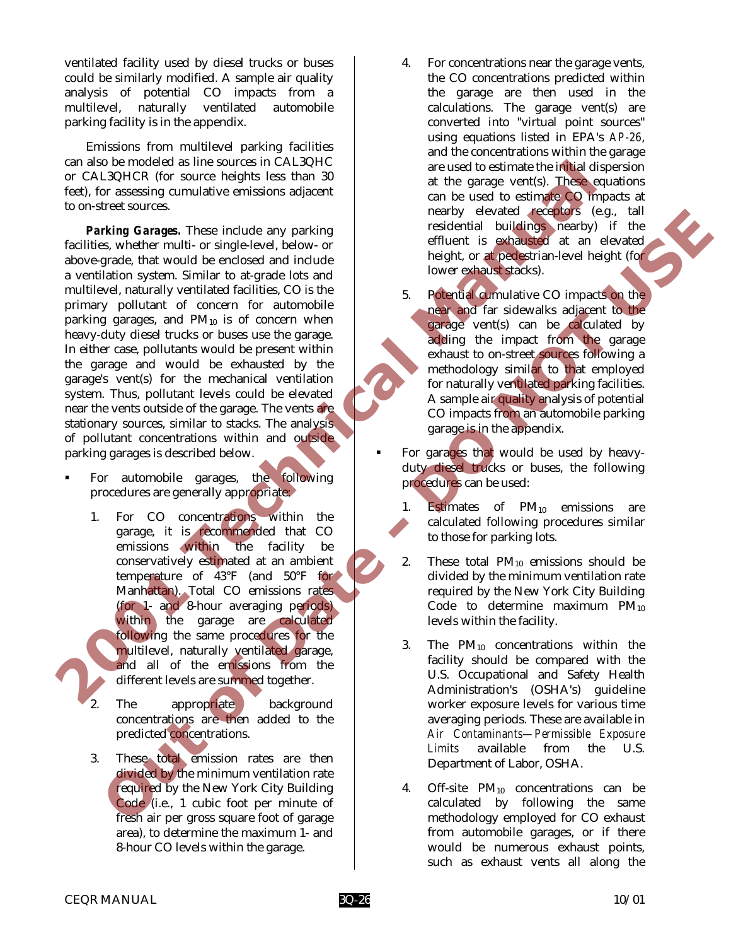ventilated facility used by diesel trucks or buses could be similarly modified. A sample air quality analysis of potential CO impacts from a multilevel, naturally ventilated automobile parking facility is in the appendix.

Emissions from multilevel parking facilities can also be modeled as line sources in CAL3QHC or CAL3QHCR (for source heights less than 30 feet), for assessing cumulative emissions adjacent to on-street sources.

*Parking Garages.* These include any parking facilities, whether multi- or single-level, below- or above-grade, that would be enclosed and include a ventilation system. Similar to at-grade lots and multilevel, naturally ventilated facilities, CO is the primary pollutant of concern for automobile parking garages, and  $PM_{10}$  is of concern when heavy-duty diesel trucks or buses use the garage. In either case, pollutants would be present within the garage and would be exhausted by the garage's vent(s) for the mechanical ventilation system. Thus, pollutant levels could be elevated near the vents outside of the garage. The vents are stationary sources, similar to stacks. The analysis of pollutant concentrations within and outside parking garages is described below. can also be noted as line sources in CALSQHC as the source heights less than 30<br>
or CALSQHCR (for source heights less than 30<br>
for CALSQHCR (for source heights less than 30<br>
to on-street sources. These include any parking<br> The content of the state of the state of the state of the state of the state of the state of the state of the state of the state of the state of the state of the state of the state of the state of the state of the state of

- For automobile garages, the following procedures are generally appropriate:
	- 1. For CO concentrations within the garage, it is recommended that CO emissions within the facility be conservatively estimated at an ambient temperature of 43°F (and 50°F for Manhattan). Total CO emissions rates (for 1- and 8-hour averaging periods) within the garage are calculated following the same procedures for the multilevel, naturally ventilated garage, and all of the emissions from the different levels are summed together.
	- The appropriate background concentrations are then added to the predicted concentrations.
	- 3. These total emission rates are then divided by the minimum ventilation rate required by the New York City Building Code (i.e., 1 cubic foot per minute of fresh air per gross square foot of garage area), to determine the maximum 1- and 8-hour CO levels within the garage.
- 4. For concentrations near the garage vents, the CO concentrations predicted within the garage are then used in the calculations. The garage vent(s) are converted into "virtual point sources" using equations listed in EPA's *AP-26*, and the concentrations within the garage are used to estimate the initial dispersion at the garage vent(s). These equations can be used to estimate CO impacts at nearby elevated receptors (e.g., tall residential buildings nearby) if the effluent is exhausted at an elevated height, or at pedestrian-level height (for lower exhaust stacks).
- 5. Potential cumulative CO impacts on the near and far sidewalks adjacent to the garage vent(s) can be calculated by adding the impact from the garage exhaust to on-street sources following a methodology similar to that employed for naturally ventilated parking facilities. A sample air quality analysis of potential CO impacts from an automobile parking garage is in the appendix.
- For garages that would be used by heavyduty diesel trucks or buses, the following procedures can be used:
	- 1. Estimates of  $PM_{10}$  emissions are calculated following procedures similar to those for parking lots.
	- 2. These total  $PM_{10}$  emissions should be divided by the minimum ventilation rate required by the New York City Building Code to determine maximum  $PM_{10}$ levels within the facility.
	- 3. The  $PM_{10}$  concentrations within the facility should be compared with the U.S. Occupational and Safety Health Administration's (OSHA's) guideline worker exposure levels for various time averaging periods. These are available in *Air Contaminants—Permissible Exposure Limits* available from the U.S. Department of Labor, OSHA.
	- 4. Off-site PM10 concentrations can be calculated by following the same methodology employed for CO exhaust from automobile garages, or if there would be numerous exhaust points, such as exhaust vents all along the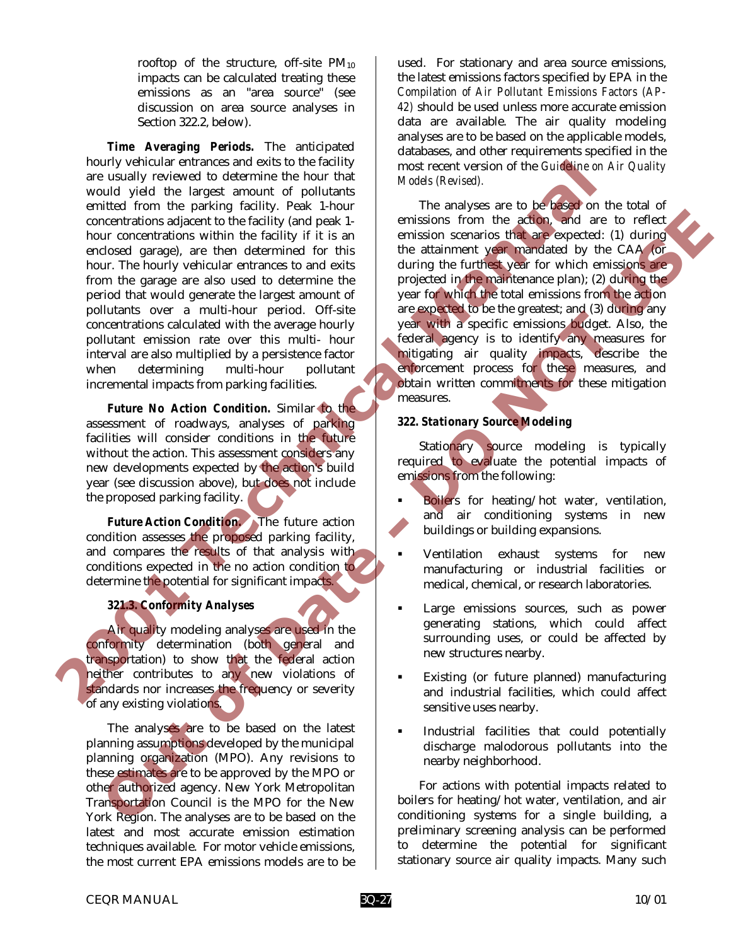rooftop of the structure, off-site  $PM_{10}$ impacts can be calculated treating these emissions as an "area source" (see discussion on area source analyses in Section 322.2, below).

*Time Averaging Periods.* The anticipated hourly vehicular entrances and exits to the facility are usually reviewed to determine the hour that would yield the largest amount of pollutants emitted from the parking facility. Peak 1-hour concentrations adjacent to the facility (and peak 1 hour concentrations within the facility if it is an enclosed garage), are then determined for this hour. The hourly vehicular entrances to and exits from the garage are also used to determine the period that would generate the largest amount of pollutants over a multi-hour period. Off-site concentrations calculated with the average hourly pollutant emission rate over this multi- hour interval are also multiplied by a persistence factor when determining multi-hour pollutant incremental impacts from parking facilities. nouty ventuate transmess and exist to the facture)<br>
are usually veriewed to determine the hour that<br>
would yield the largest amount of political means are to be fused the<br>
emitted from the parking facility. Peak 1-bour<br>
em

*Future No Action Condition.* Similar to the assessment of roadways, analyses of parking facilities will consider conditions in the future without the action. This assessment considers any new developments expected by the action's build year (see discussion above), but does not include the proposed parking facility.

*Future Action Condition.* The future action condition assesses the proposed parking facility, and compares the results of that analysis with conditions expected in the no action condition to determine the potential for significant impacts.

## *321.3. Conformity Analyses*

Air quality modeling analyses are used in the conformity determination (both general and transportation) to show that the federal action neither contributes to any new violations of standards nor increases the frequency or severity of any existing violations.

The analyses are to be based on the latest planning assumptions developed by the municipal planning organization (MPO). Any revisions to these estimates are to be approved by the MPO or other authorized agency. New York Metropolitan Transportation Council is the MPO for the New York Region. The analyses are to be based on the latest and most accurate emission estimation techniques available. For motor vehicle emissions, the most current EPA emissions models are to be

used. For stationary and area source emissions, the latest emissions factors specified by EPA in the *Compilation of Air Pollutant Emissions Factors (AP-42)* should be used unless more accurate emission data are available. The air quality modeling analyses are to be based on the applicable models, databases, and other requirements specified in the most recent version of the *Guideline on Air Quality Models (Revised).*

The analyses are to be based on the total of emissions from the action, and are to reflect emission scenarios that are expected: (1) during the attainment year mandated by the CAA (or during the furthest year for which emissions are projected in the maintenance plan); (2) during the year for which the total emissions from the action are expected to be the greatest; and (3) during any year with a specific emissions budget. Also, the federal agency is to identify any measures for mitigating air quality impacts, describe the enforcement process for these measures, and obtain written commitments for these mitigation measures. **EXERCIBITION algo that the control in the second of the second of the second of the second gradient of the second gradient space of the second gradient space of the second gradient space of the second and the second of th** 

## *322. Stationary Source Modeling*

Stationary source modeling is typically required to evaluate the potential impacts of emissions from the following:

- **Boilers** for heating/hot water, ventilation, and air conditioning systems in new buildings or building expansions.
- ! Ventilation exhaust systems for new manufacturing or industrial facilities or medical, chemical, or research laboratories.
- Large emissions sources, such as power generating stations, which could affect surrounding uses, or could be affected by new structures nearby.
- ! Existing (or future planned) manufacturing and industrial facilities, which could affect sensitive uses nearby.
- ! Industrial facilities that could potentially discharge malodorous pollutants into the nearby neighborhood.

For actions with potential impacts related to boilers for heating/hot water, ventilation, and air conditioning systems for a single building, a preliminary screening analysis can be performed to determine the potential for significant stationary source air quality impacts. Many such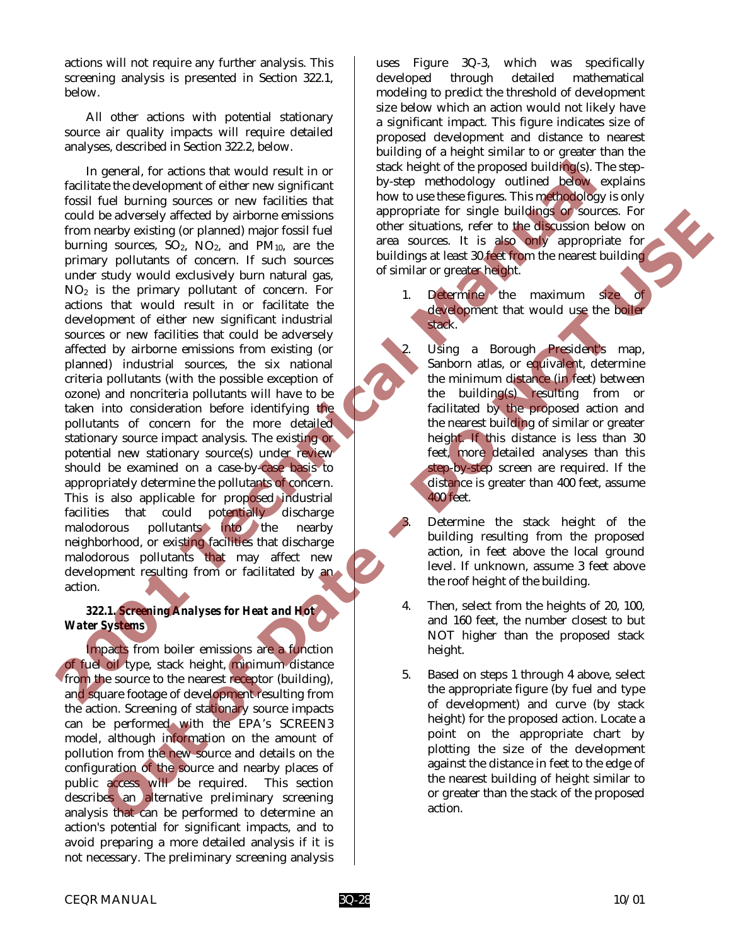actions will not require any further analysis. This screening analysis is presented in Section 322.1, below.

All other actions with potential stationary source air quality impacts will require detailed analyses, described in Section 322.2, below.

In general, for actions that would result in or facilitate the development of either new significant fossil fuel burning sources or new facilities that could be adversely affected by airborne emissions from nearby existing (or planned) major fossil fuel burning sources,  $SO_2$ ,  $NO_2$ , and  $PM_{10}$ , are the primary pollutants of concern. If such sources under study would exclusively burn natural gas, NO2 is the primary pollutant of concern. For actions that would result in or facilitate the development of either new significant industrial sources or new facilities that could be adversely affected by airborne emissions from existing (or planned) industrial sources, the six national criteria pollutants (with the possible exception of ozone) and noncriteria pollutants will have to be taken into consideration before identifying the pollutants of concern for the more detailed stationary source impact analysis. The existing or potential new stationary source(s) under review should be examined on a case-by-case basis to appropriately determine the pollutants of concern. This is also applicable for proposed industrial facilities that could potentially discharge malodorous pollutants into the nearby neighborhood, or existing facilities that discharge malodorous pollutants that may affect new development resulting from or facilitated by an action. In general, for actions that would result in or<br>
facilitate the development of either new significant from the supervolve of the proposed in the set of the set of the set of the set of the set of the set of the set of the A adversal of Content of the Bank of Content of the Sale and the state of the Sale and the Sale and Mariam Scheme in the Sale and Mariam Scheme in the Sale and Mariam Scheme in the Sale and Mariam Scheme in the Sale and Ma

## *322.1. Screening Analyses for Heat and Hot Water Systems*

Impacts from boiler emissions are a function of fuel oil type, stack height, minimum distance from the source to the nearest receptor (building), and square footage of development resulting from the action. Screening of stationary source impacts can be performed with the EPA's SCREEN3 model, although information on the amount of pollution from the new source and details on the configuration of the source and nearby places of public access will be required. This section describes an alternative preliminary screening analysis that can be performed to determine an action's potential for significant impacts, and to avoid preparing a more detailed analysis if it is not necessary. The preliminary screening analysis

uses Figure 3Q-3, which was specifically developed through detailed mathematical modeling to predict the threshold of development size below which an action would not likely have a significant impact. This figure indicates size of proposed development and distance to nearest building of a height similar to or greater than the stack height of the proposed building(s). The stepby-step methodology outlined below explains how to use these figures. This methodology is only appropriate for single buildings or sources. For other situations, refer to the discussion below on area sources. It is also only appropriate for buildings at least 30 feet from the nearest building of similar or greater height.

1. Determine the maximum size of development that would use the boiler stack.

Using a Borough President's map, Sanborn atlas, or equivalent, determine the minimum distance (in feet) between the building(s) resulting from or facilitated by the proposed action and the nearest building of similar or greater height. If this distance is less than 30 feet, more detailed analyses than this step-by-step screen are required. If the distance is greater than 400 feet, assume 400 feet.

- Determine the stack height of the building resulting from the proposed action, in feet above the local ground level. If unknown, assume 3 feet above the roof height of the building.
- 4. Then, select from the heights of 20, 100, and 160 feet, the number closest to but NOT higher than the proposed stack height.
- 5. Based on steps 1 through 4 above, select the appropriate figure (by fuel and type of development) and curve (by stack height) for the proposed action. Locate a point on the appropriate chart by plotting the size of the development against the distance in feet to the edge of the nearest building of height similar to or greater than the stack of the proposed action.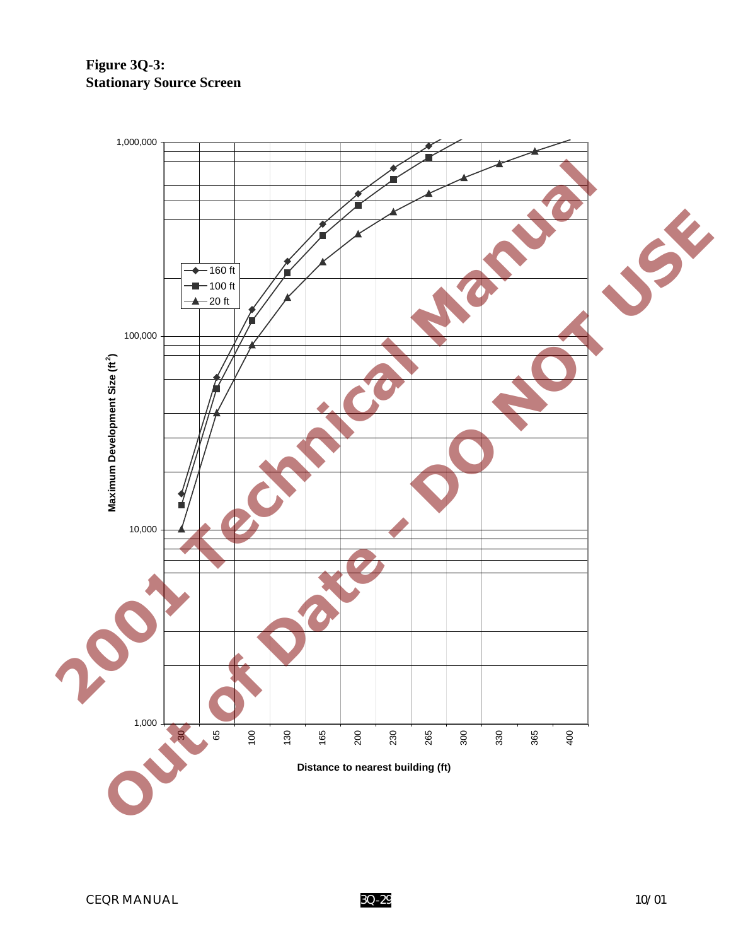# **Figure 3Q-3: Stationary Source Screen**

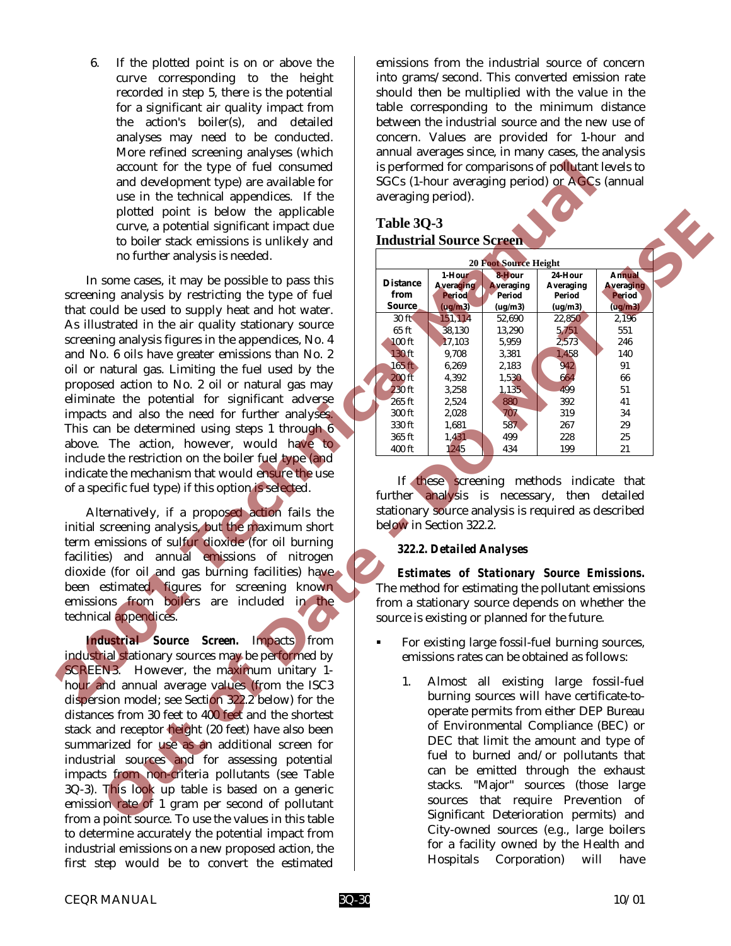6. If the plotted point is on or above the curve corresponding to the height recorded in step 5, there is the potential for a significant air quality impact from the action's boiler(s), and detailed analyses may need to be conducted. More refined screening analyses (which account for the type of fuel consumed and development type) are available for use in the technical appendices. If the plotted point is below the applicable curve, a potential significant impact due to boiler stack emissions is unlikely and no further analysis is needed.

In some cases, it may be possible to pass this screening analysis by restricting the type of fuel that could be used to supply heat and hot water. As illustrated in the air quality stationary source screening analysis figures in the appendices, No. 4 and No. 6 oils have greater emissions than No. 2 oil or natural gas. Limiting the fuel used by the proposed action to No. 2 oil or natural gas may eliminate the potential for significant adverse impacts and also the need for further analyses. This can be determined using steps 1 through 6 above. The action, however, would have to include the restriction on the boiler fuel type (and indicate the mechanism that would ensure the use of a specific fuel type) if this option is selected. account for the type of fuel constrained and development lype) are available for the scheme in the behaling product to the scheme and two-binds in products. If the scheme and two-binds is the constrained and the scheme in

Alternatively, if a proposed action fails the initial screening analysis, but the maximum short term emissions of sulfur dioxide (for oil burning facilities) and annual emissions of nitrogen dioxide (for oil and gas burning facilities) have been estimated, figures for screening known emissions from boilers are included in the technical appendices.

*Industrial Source Screen.* Impacts from industrial stationary sources may be performed by SCREEN3. However, the maximum unitary 1 hour and annual average values (from the ISC3 dispersion model; see Section 322.2 below) for the distances from 30 feet to 400 feet and the shortest stack and receptor height (20 feet) have also been summarized for use as an additional screen for industrial sources and for assessing potential impacts from non-criteria pollutants (see Table 3Q-3). This look up table is based on a generic emission rate of 1 gram per second of pollutant from a point source. To use the values in this table to determine accurately the potential impact from industrial emissions on a new proposed action, the first step would be to convert the estimated

emissions from the industrial source of concern into grams/second. This converted emission rate should then be multiplied with the value in the table corresponding to the minimum distance between the industrial source and the new use of concern. Values are provided for 1-hour and annual averages since, in many cases, the analysis is performed for comparisons of pollutant levels to SGCs (1-hour averaging period) or AGCs (annual averaging period).

## **Table 3Q-3 Industrial Source Screen**

| Table 3Q-3<br>curve, a potential significant impact due<br><b>Industrial Source Screen</b><br>to boiler stack emissions is unlikely and                      |  |
|--------------------------------------------------------------------------------------------------------------------------------------------------------------|--|
|                                                                                                                                                              |  |
|                                                                                                                                                              |  |
| no further analysis is needed.<br><b>20 Foot Source Height</b>                                                                                               |  |
| 1-Hour<br>8-Hour<br>24-Hour<br>Annual                                                                                                                        |  |
| some cases, it may be possible to pass this<br><b>Distance</b><br><b>Averaging</b><br><b>Averaging</b><br>Averaging<br><b>Averaging</b>                      |  |
| ing analysis by restricting the type of fuel<br>from<br><b>Period</b><br><b>Period</b><br>Period<br><b>Period</b>                                            |  |
| Source<br>$($ ug/m $3)$<br>$($ ug/m $3)$<br>(ug/m3)<br>(ug/m3)<br>uld be used to supply heat and hot water.<br>151,114<br>30 ft<br>52,690<br>22,850<br>2,196 |  |
| strated in the air quality stationary source<br>38,130<br>5,751<br>551<br>65 ft<br>13,290                                                                    |  |
| ing analysis figures in the appendices, No. 4<br>$100$ ft<br>17,103<br>5,959<br>2,573<br>246                                                                 |  |
| o. 6 oils have greater emissions than No. 2<br>130 ft<br>9,708<br>3,381<br>1,458<br>140                                                                      |  |
| 2,183<br>91<br>$165$ ft<br>6,269<br>942<br>natural gas. Limiting the fuel used by the                                                                        |  |
| <b>200 ft</b><br>1,530<br>664<br>4,392<br>66<br>ed action to No. 2 oil or natural gas may                                                                    |  |
| 230 ft<br>499<br>3,258<br>1,135<br>51<br>ate the potential for significant adverse<br>265 ft<br>392<br>2,524<br>880<br>41                                    |  |
| 707<br>319<br>s and also the need for further analyses.<br>300 ft<br>2,028<br>34                                                                             |  |
| 330 ft<br>587<br>1,681<br>267<br>29<br>an be determined using steps 1 through 6                                                                              |  |
| 365 ft<br>1,431<br>499<br>228<br>25<br>The action, however, would have to                                                                                    |  |
| 400 ft<br>1245<br>199<br>21<br>434<br>e the restriction on the boiler fuel type (and                                                                         |  |
| e the mechanism that would ensure the use                                                                                                                    |  |
| If these screening methods indicate that                                                                                                                     |  |
| ecific fuel type) if this option is selected.<br>further analysis is necessary, then detailed                                                                |  |
| stationary source analysis is required as described<br>ternatively, if a proposed action fails the                                                           |  |
| below in Section 322.2.<br>screening analysis, but the maximum short                                                                                         |  |
| missions of sulfur dioxide (for oil burning                                                                                                                  |  |
| 322.2. Detailed Analyses<br>es) and annual emissions of nitrogen                                                                                             |  |
| e (for oil and gas burning facilities) have                                                                                                                  |  |
| <b>Estimates of Stationary Source Emissions.</b>                                                                                                             |  |
| estimated, figures for screening known<br>The method for estimating the pollutant emissions                                                                  |  |
| ons from boilers are included in the<br>from a stationary source depends on whether the                                                                      |  |
| al appendices.<br>source is existing or planned for the future.                                                                                              |  |
| dustrial Source Screen. Impacts<br>from<br>For existing large fossil-fuel burning sources,<br>٠                                                              |  |
| rial stationary sources may be performed by<br>emissions rates can be obtained as follows:                                                                   |  |
| N3. However, the maximum unitary 1-                                                                                                                          |  |
| Almost all existing large fossil-fuel<br>1.                                                                                                                  |  |
| ind annual average values (from the ISC3<br>burning sources will have certificate-to-                                                                        |  |
| sion model; see Section 322.2 below) for the<br>operate permits from either DEP Bureau                                                                       |  |
| ces from 30 feet to 400 feet and the shortest                                                                                                                |  |
| of Environmental Compliance (BEC) or<br>nd receptor height (20 feet) have also been                                                                          |  |
| DEC that limit the amount and type of<br>arized for use as an additional screen for                                                                          |  |
| fuel to burned and/or pollutants that<br>rial sources and for assessing potential                                                                            |  |
| can be emitted through the exhaust<br>s from non-criteria pollutants (see Table                                                                              |  |
| stacks. "Major" sources (those large<br>This look up table is based on a generic                                                                             |  |
| sources that require Prevention of<br>on rate of 1 gram per second of pollutant                                                                              |  |
| Significant Deterioration permits) and<br>point source. To use the values in this table                                                                      |  |

## *322.2. Detailed Analyses*

- For existing large fossil-fuel burning sources, emissions rates can be obtained as follows:
	- 1. Almost all existing large fossil-fuel burning sources will have certificate-tooperate permits from either DEP Bureau of Environmental Compliance (BEC) or DEC that limit the amount and type of fuel to burned and/or pollutants that can be emitted through the exhaust stacks. "Major" sources (those large sources that require Prevention of Significant Deterioration permits) and City-owned sources (e.g., large boilers for a facility owned by the Health and Hospitals Corporation) will have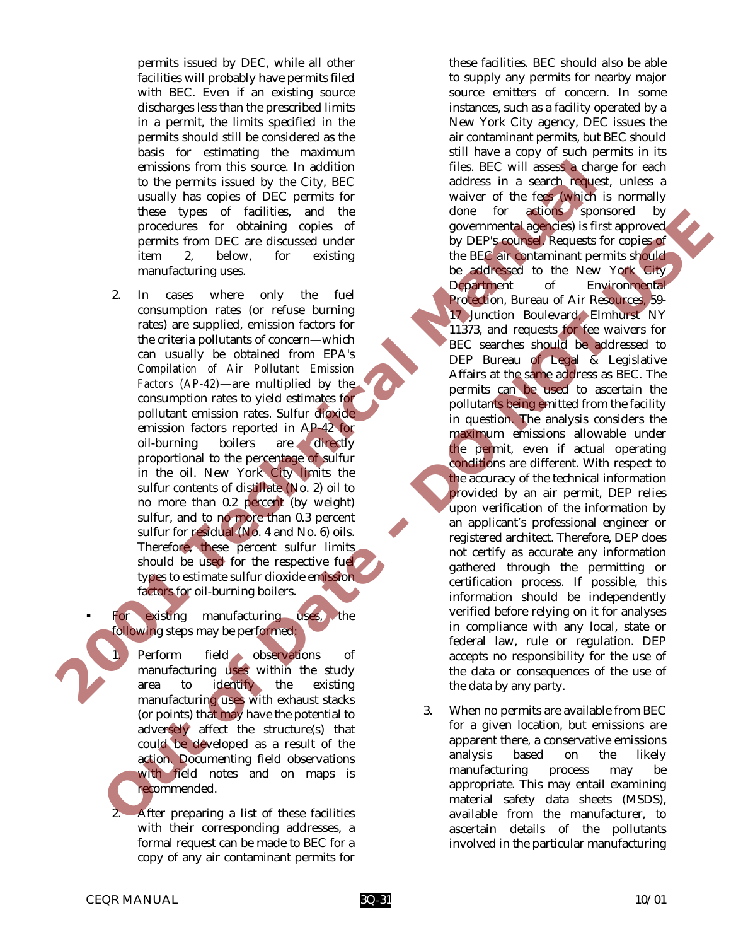permits issued by DEC, while all other facilities will probably have permits filed with BEC. Even if an existing source discharges less than the prescribed limits in a permit, the limits specified in the permits should still be considered as the basis for estimating the maximum emissions from this source. In addition to the permits issued by the City, BEC usually has copies of DEC permits for these types of facilities, and the procedures for obtaining copies of permits from DEC are discussed under item 2, below, for existing manufacturing uses.

2. In cases where only the fuel consumption rates (or refuse burning rates) are supplied, emission factors for the criteria pollutants of concern—which can usually be obtained from EPA's *Compilation of Air Pollutant Emission Factors (AP-42)*—are multiplied by the consumption rates to yield estimates for pollutant emission rates. Sulfur dioxide emission factors reported in AP-42 for<br>oil-burning boilers are directly oil-burning boilers are directly proportional to the percentage of sulfur in the oil. New York City limits the sulfur contents of distillate (No. 2) oil to no more than 0.2 percent (by weight) sulfur, and to no more than 0.3 percent sulfur for residual (No. 4 and No. 6) oils. Therefore, these percent sulfur limits should be used for the respective fuel types to estimate sulfur dioxide emission factors for oil-burning boilers.

For existing manufacturing uses, the following steps may be performed:

Perform field observations of manufacturing uses within the study area to identify the existing manufacturing uses with exhaust stacks (or points) that may have the potential to adversely affect the structure(s) that could be developed as a result of the action. Documenting field observations with field notes and on maps is recommended.

2. After preparing a list of these facilities with their corresponding addresses, a formal request can be made to BEC for a copy of any air contaminant permits for

these facilities. BEC should also be able to supply any permits for nearby major source emitters of concern. In some instances, such as a facility operated by a New York City agency, DEC issues the air contaminant permits, but BEC should still have a copy of such permits in its files. BEC will assess a charge for each address in a search request, unless a waiver of the fees (which is normally done for actions sponsored by governmental agencies) is first approved by DEP's counsel. Requests for copies of the BEC air contaminant permits should be addressed to the New York City Department of Environmental Protection, Bureau of Air Resources, 59- 17 Junction Boulevard, Elmhurst NY 11373, and requests for fee waivers for BEC searches should be addressed to DEP Bureau of Legal & Legislative Affairs at the same address as BEC. The permits can be used to ascertain the pollutants being emitted from the facility in question. The analysis considers the maximum emissions allowable under the permit, even if actual operating conditions are different. With respect to the accuracy of the technical information provided by an air permit, DEP relies upon verification of the information by an applicant's professional engineer or registered architect. Therefore, DEP does not certify as accurate any information gathered through the permitting or certification process. If possible, this information should be independently verified before relying on it for analyses in compliance with any local, state or federal law, rule or regulation. DEP accepts no responsibility for the use of the data or consequences of the use of the data by any party. emissions from this source. In addition to its course the same of the specific with the same of the same of the same of the same of the same of the same of the same of the same of the same of the same of the same of the sa The strain of the consumption and the strain and the strain and the strain and the strain and the strain and the strain and the strain and the strain and the strain and the strain and the strain and the strain and the stra

3. When no permits are available from BEC for a given location, but emissions are apparent there, a conservative emissions analysis based on the likely manufacturing process may be appropriate. This may entail examining material safety data sheets (MSDS), available from the manufacturer, to ascertain details of the pollutants involved in the particular manufacturing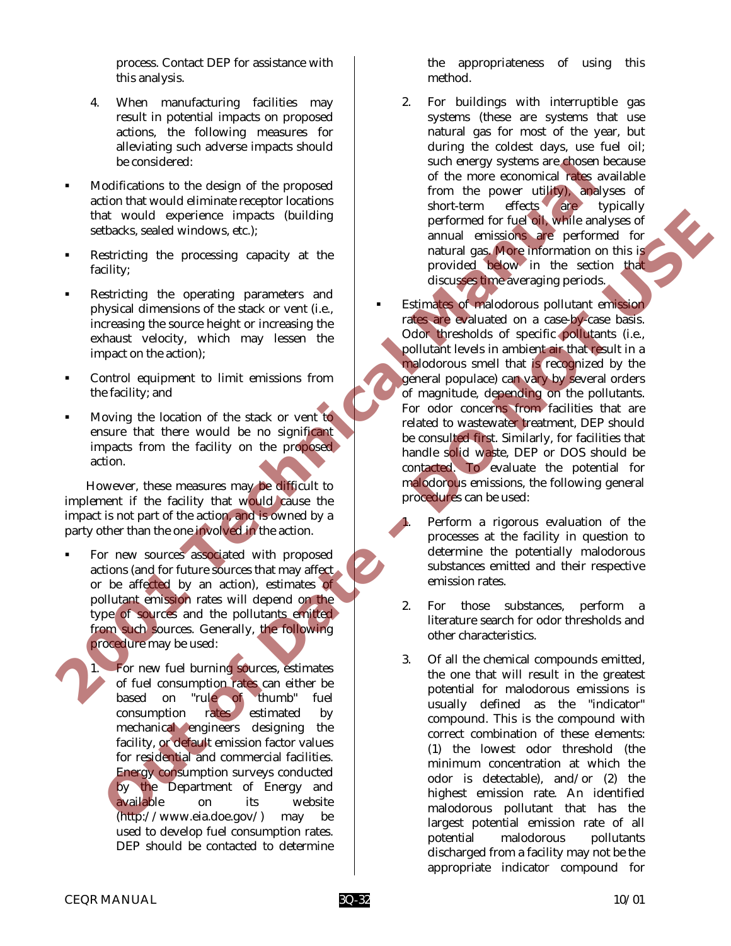process. Contact DEP for assistance with this analysis.

- 4. When manufacturing facilities may result in potential impacts on proposed actions, the following measures for alleviating such adverse impacts should be considered:
- ! Modifications to the design of the proposed action that would eliminate receptor locations that would experience impacts (building setbacks, sealed windows, etc.);
- Restricting the processing capacity at the facility;
- Restricting the operating parameters and physical dimensions of the stack or vent (i.e., increasing the source height or increasing the exhaust velocity, which may lessen the impact on the action);
- Control equipment to limit emissions from the facility; and
- ! Moving the location of the stack or vent to ensure that there would be no significant impacts from the facility on the proposed action.

However, these measures may be difficult to implement if the facility that would cause the impact is not part of the action, and is owned by a party other than the one involved in the action.

- For new sources associated with proposed actions (and for future sources that may affect or be affected by an action), estimates of pollutant emission rates will depend on the type of sources and the pollutants emitted from such sources. Generally, the following procedure may be used:
	- For new fuel burning sources, estimates of fuel consumption rates can either be based on "rule of thumb" fuel consumption rates estimated by mechanical engineers designing the facility, or default emission factor values for residential and commercial facilities. Energy consumption surveys conducted by the Department of Energy and available on its website (http://www.eia.doe.gov/) may be used to develop fuel consumption rates. DEP should be contacted to determine

the appropriateness of using this method.

2. For buildings with interruptible gas systems (these are systems that use natural gas for most of the year, but during the coldest days, use fuel oil; such energy systems are chosen because of the more economical rates available from the power utility), analyses of short-term effects are typically performed for fuel oil, while analyses of annual emissions are performed for natural gas. More information on this is provided below in the section that discusses time averaging periods.

Estimates of malodorous pollutant emission rates are evaluated on a case-by-case basis. Odor thresholds of specific pollutants (i.e., pollutant levels in ambient air that result in a malodorous smell that is recognized by the general populace) can vary by several orders of magnitude, depending on the pollutants. For odor concerns from facilities that are related to wastewater treatment, DEP should be consulted first. Similarly, for facilities that handle solid waste, DEP or DOS should be contacted. To evaluate the potential for malodorous emissions, the following general procedures can be used: To consider the step of the form of the step of the proposed of the more examined has a selection that would elemente impacts (building short-term effects).<br>
The selection of the step of the step of the step of the step of A voluid experience impacts (midding a spectral documents for the control of the control of the spectral documents of the control of the spectral documents of the control of the spectral documents of the control of the spe

- Perform a rigorous evaluation of the processes at the facility in question to determine the potentially malodorous substances emitted and their respective emission rates.
- 2. For those substances, perform a literature search for odor thresholds and other characteristics.
- 3. Of all the chemical compounds emitted, the one that will result in the greatest potential for malodorous emissions is usually defined as the "indicator" compound. This is the compound with correct combination of these elements: (1) the lowest odor threshold (the minimum concentration at which the odor is detectable), and/or (2) the highest emission rate. An identified malodorous pollutant that has the largest potential emission rate of all potential malodorous pollutants discharged from a facility may not be the appropriate indicator compound for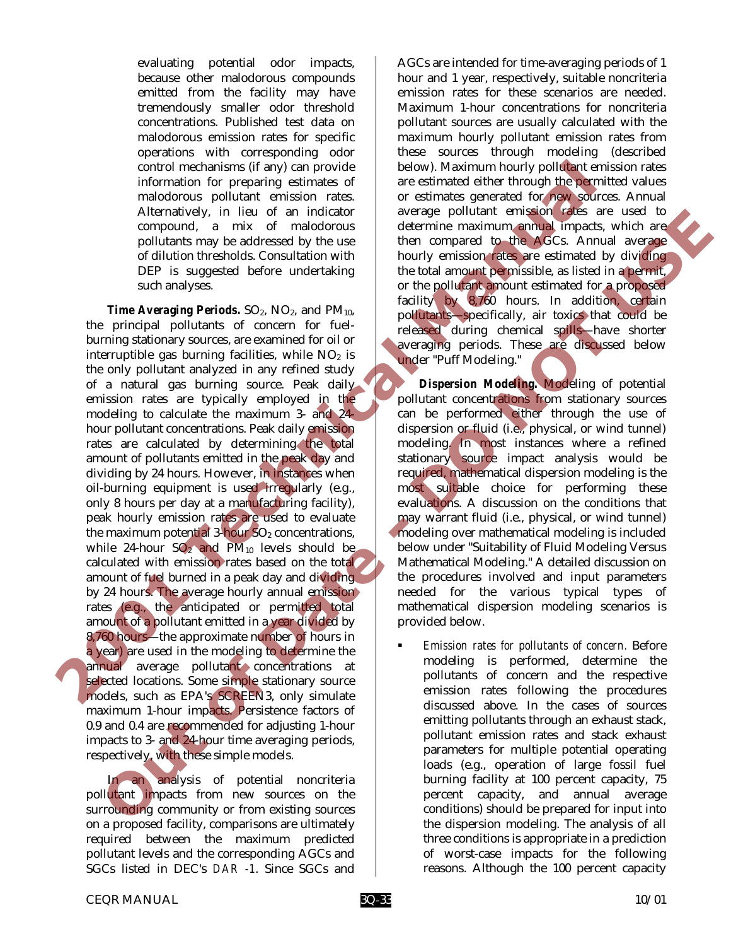evaluating potential odor impacts, because other malodorous compounds emitted from the facility may have tremendously smaller odor threshold concentrations. Published test data on malodorous emission rates for specific operations with corresponding odor control mechanisms (if any) can provide information for preparing estimates of malodorous pollutant emission rates. Alternatively, in lieu of an indicator compound, a mix of malodorous pollutants may be addressed by the use of dilution thresholds. Consultation with DEP is suggested before undertaking such analyses.

*Time Averaging Periods.*  $SO_2$ ,  $NO_2$ , and  $PM_{10}$ , the principal pollutants of concern for fuelburning stationary sources, are examined for oil or interruptible gas burning facilities, while  $NO<sub>2</sub>$  is the only pollutant analyzed in any refined study of a natural gas burning source. Peak daily emission rates are typically employed in the modeling to calculate the maximum 3- and 24 hour pollutant concentrations. Peak daily emission rates are calculated by determining the total amount of pollutants emitted in the peak day and dividing by 24 hours. However, in instances when oil-burning equipment is used irregularly (e.g., only 8 hours per day at a manufacturing facility), peak hourly emission rates are used to evaluate the maximum potential  $3$ -hour  $SO<sub>2</sub>$  concentrations, while 24-hour  $SO_2$  and  $PM_{10}$  levels should be calculated with emission rates based on the total amount of fuel burned in a peak day and dividing by 24 hours. The average hourly annual emission rates (e.g., the anticipated or permitted total amount of a pollutant emitted in a year divided by 8,760 hours—the approximate number of hours in a year) are used in the modeling to determine the annual average pollutant concentrations at selected locations. Some simple stationary source models, such as EPA's SCREEN3, only simulate maximum 1-hour impacts. Persistence factors of 0.9 and 0.4 are recommended for adjusting 1-hour impacts to 3- and 24-hour time averaging periods, respectively, with these simple models. control methodiomy of any control methodic method in the stationary is the stationary of the stationary of the stationary and account of the particular exists of the methodic scatter of the control of the particular exist Alternative, in the of an indication contents (see that is a more of the secure that is a more of the content of  $\sigma$  of  $\sigma$ . Annual angle is a more of the content of the content of the content of the content of the cont

In an analysis of potential noncriteria pollutant impacts from new sources on the surrounding community or from existing sources on a proposed facility, comparisons are ultimately required between the maximum predicted pollutant levels and the corresponding AGCs and SGCs listed in DEC's *DAR -1*. Since SGCs and

AGCs are intended for time-averaging periods of 1 hour and 1 year, respectively, suitable noncriteria emission rates for these scenarios are needed. Maximum 1-hour concentrations for noncriteria pollutant sources are usually calculated with the maximum hourly pollutant emission rates from these sources through modeling (described below). Maximum hourly pollutant emission rates are estimated either through the permitted values or estimates generated for new sources. Annual average pollutant emission rates are used to determine maximum annual impacts, which are then compared to the AGCs. Annual average hourly emission rates are estimated by dividing the total amount permissible, as listed in a permit, or the pollutant amount estimated for a proposed facility by 8,760 hours. In addition, certain pollutants—specifically, air toxics that could be released during chemical spills—have shorter averaging periods. These are discussed below under "Puff Modeling."

*Dispersion Modeling.* Modeling of potential pollutant concentrations from stationary sources can be performed either through the use of dispersion or fluid (i.e., physical, or wind tunnel) modeling. In most instances where a refined stationary source impact analysis would be required, mathematical dispersion modeling is the most suitable choice for performing these evaluations. A discussion on the conditions that may warrant fluid (i.e., physical, or wind tunnel) modeling over mathematical modeling is included below under "Suitability of Fluid Modeling Versus Mathematical Modeling." A detailed discussion on the procedures involved and input parameters needed for the various typical types of mathematical dispersion modeling scenarios is provided below.

! *Emission rates for pollutants of concern.* Before modeling is performed, determine the pollutants of concern and the respective emission rates following the procedures discussed above. In the cases of sources emitting pollutants through an exhaust stack, pollutant emission rates and stack exhaust parameters for multiple potential operating loads (e.g., operation of large fossil fuel burning facility at 100 percent capacity, 75 percent capacity, and annual average conditions) should be prepared for input into the dispersion modeling. The analysis of all three conditions is appropriate in a prediction of worst-case impacts for the following reasons. Although the 100 percent capacity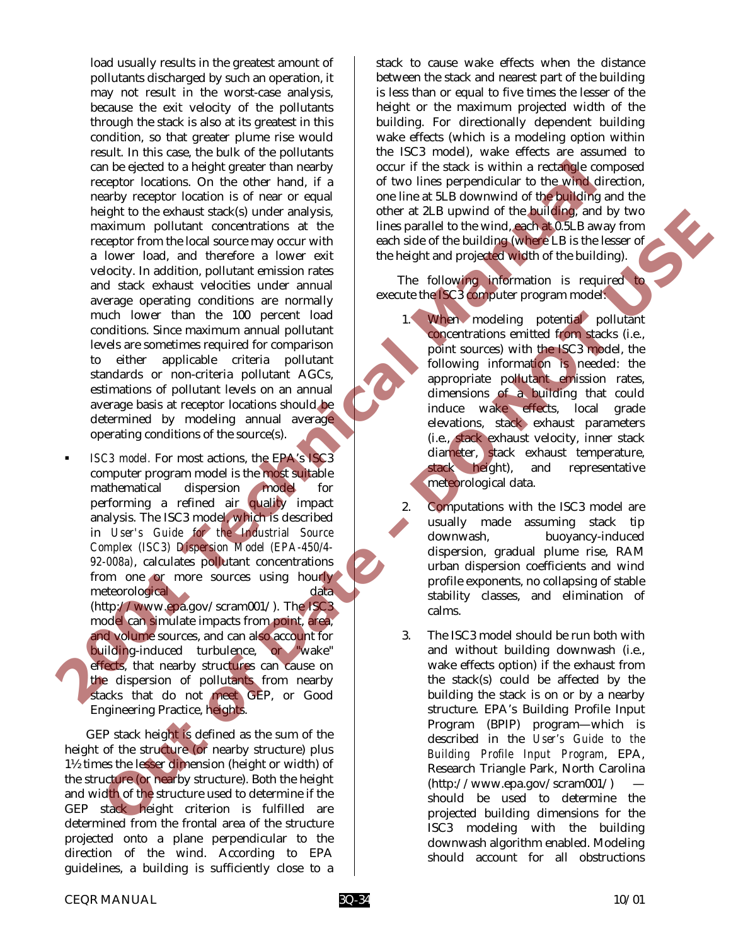load usually results in the greatest amount of pollutants discharged by such an operation, it may not result in the worst-case analysis, because the exit velocity of the pollutants through the stack is also at its greatest in this condition, so that greater plume rise would result. In this case, the bulk of the pollutants can be ejected to a height greater than nearby receptor locations. On the other hand, if a nearby receptor location is of near or equal height to the exhaust stack(s) under analysis, maximum pollutant concentrations at the receptor from the local source may occur with a lower load, and therefore a lower exit velocity. In addition, pollutant emission rates and stack exhaust velocities under annual average operating conditions are normally much lower than the 100 percent load conditions. Since maximum annual pollutant levels are sometimes required for comparison to either applicable criteria pollutant standards or non-criteria pollutant AGCs, estimations of pollutant levels on an annual average basis at receptor locations should be determined by modeling annual average operating conditions of the source(s). can be ejected to a height growth are activable to a single proposed to the single state of the single state of the single state of the single state of the state of the state of the state of the state of the state of the s

! *ISC3 model.* For most actions, the EPA's ISC3 computer program model is the most suitable mathematical dispersion model for performing a refined air quality impact analysis. The ISC3 model, which is described in *User's Guide for the Industrial Source Complex (ISC3) Dispersion Model (EPA-450/4- 92-008a)*, calculates pollutant concentrations from one or more sources using hourly meteorological data data (http://www.epa.gov/scram001/). The ISC3 model can simulate impacts from point, area, and volume sources, and can also account for building-induced turbulence, or "wake" effects, that nearby structures can cause on the dispersion of pollutants from nearby stacks that do not meet GEP, or Good Engineering Practice, heights. sign to the exhaust stack) much carrying the mean star of the two stars and the stack of the star of the star of the star of the star of the star of the star of the star of the star of the star of the star of the star of t

GEP stack height is defined as the sum of the height of the structure (or nearby structure) plus 1½ times the lesser dimension (height or width) of the structure (or nearby structure). Both the height and width of the structure used to determine if the GEP stack height criterion is fulfilled are determined from the frontal area of the structure projected onto a plane perpendicular to the direction of the wind. According to EPA guidelines, a building is sufficiently close to a

stack to cause wake effects when the distance between the stack and nearest part of the building is less than or equal to five times the lesser of the height or the maximum projected width of the building. For directionally dependent building wake effects (which is a modeling option within the ISC3 model), wake effects are assumed to occur if the stack is within a rectangle composed of two lines perpendicular to the wind direction, one line at 5LB downwind of the building and the other at 2LB upwind of the building, and by two lines parallel to the wind, each at 0.5LB away from each side of the building (where LB is the lesser of the height and projected width of the building).

The following information is required to execute the ISC3 computer program model:

- 1. When modeling potential pollutant concentrations emitted from stacks (i.e., point sources) with the ISC3 model, the following information is needed: the appropriate pollutant emission rates, dimensions of a building that could induce wake effects, local grade elevations, stack exhaust parameters (i.e., stack exhaust velocity, inner stack diameter, stack exhaust temperature, stack height), and representative meteorological data.
- 2. Computations with the ISC3 model are usually made assuming stack tip downwash, buoyancy-induced dispersion, gradual plume rise, RAM urban dispersion coefficients and wind profile exponents, no collapsing of stable stability classes, and elimination of calms.
- 3. The ISC3 model should be run both with and without building downwash (i.e., wake effects option) if the exhaust from the stack(s) could be affected by the building the stack is on or by a nearby structure. EPA's Building Profile Input Program (BPIP) program—which is described in the *User's Guide to the Building Profile Input Program*, EPA, Research Triangle Park, North Carolina  $(http://www.epa.gov/scram001/)$ should be used to determine the projected building dimensions for the ISC3 modeling with the building downwash algorithm enabled. Modeling should account for all obstructions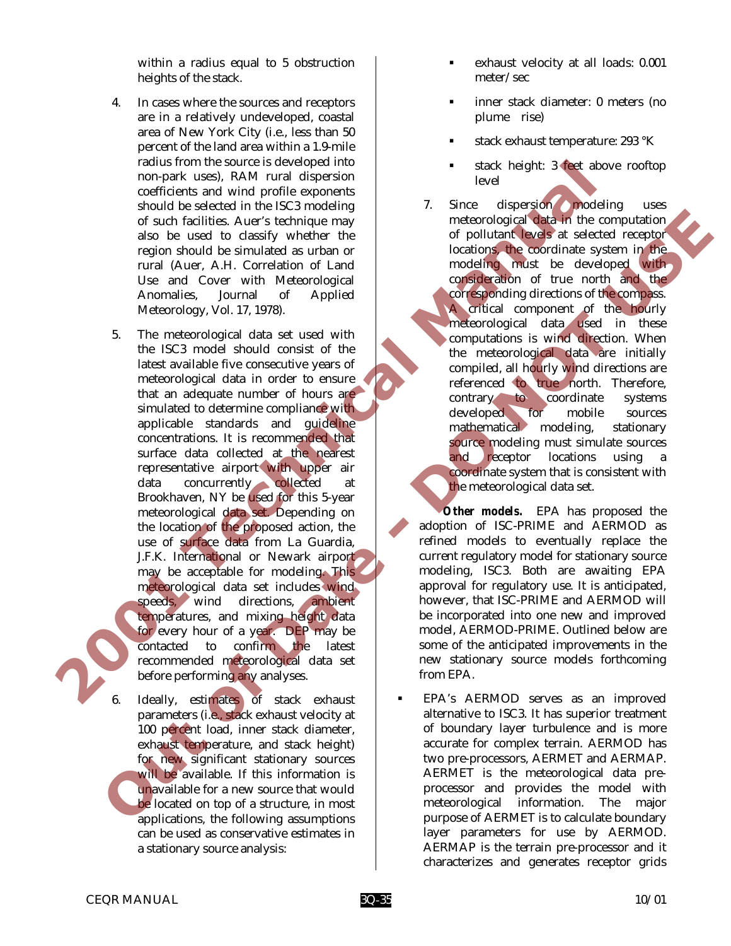within a radius equal to 5 obstruction heights of the stack.

- 4. In cases where the sources and receptors are in a relatively undeveloped, coastal area of New York City (i.e., less than 50 percent of the land area within a 1.9-mile radius from the source is developed into non-park uses), RAM rural dispersion coefficients and wind profile exponents should be selected in the ISC3 modeling of such facilities. Auer's technique may also be used to classify whether the region should be simulated as urban or rural (Auer, A.H. Correlation of Land Use and Cover with Meteorological Anomalies, Journal of Applied Meteorology, Vol. 17, 1978).
- 5. The meteorological data set used with the ISC3 model should consist of the latest available five consecutive years of meteorological data in order to ensure that an adequate number of hours are simulated to determine compliance with applicable standards and guideline concentrations. It is recommended that surface data collected at the nearest representative airport with upper air data concurrently collected at Brookhaven, NY be used for this 5-year meteorological data set. Depending on the location of the proposed action, the use of surface data from La Guardia, J.F.K. International or Newark airport may be acceptable for modeling. This meteorological data set includes wind speeds, wind directions, ambient temperatures, and mixing height data for every hour of a year. DEP may be contacted to confirm the latest recommended meteorological data set before performing any analyses. Tatus is none that is some to select the meteorological disk and which profile experimental and the methodological disk and the methodological disk and continue in the methodological disk and also be used to charge the met or starting sometimes and considerable and considerable and considerable and considerable and considerable and considerable and considerable and considerable and considerable and considerable and considerable and consider

Ideally, estimates of stack exhaust parameters (i.e., stack exhaust velocity at 100 percent load, inner stack diameter, exhaust temperature, and stack height) for new significant stationary sources will be available. If this information is unavailable for a new source that would be located on top of a structure, in most applications, the following assumptions can be used as conservative estimates in a stationary source analysis:

- exhaust velocity at all loads: 0.001 meter/sec
- ! inner stack diameter: 0 meters (no plume rise)
- stack exhaust temperature: 293 °K
- stack height: 3 feet above rooftop level

7. Since dispersion modeling uses meteorological data in the computation of pollutant levels at selected receptor locations, the coordinate system in the modeling must be developed with consideration of true north and the corresponding directions of the compass. A critical component of the hourly meteorological data used in these computations is wind direction. When the meteorological data are initially compiled, all hourly wind directions are referenced to true north. Therefore, contrary to coordinate systems developed for mobile sources mathematical modeling, stationary source modeling must simulate sources and receptor locations using a coordinate system that is consistent with the meteorological data set.

 *Other models.* EPA has proposed the adoption of ISC-PRIME and AERMOD as refined models to eventually replace the current regulatory model for stationary source modeling, ISC3. Both are awaiting EPA approval for regulatory use. It is anticipated, however, that ISC-PRIME and AERMOD will be incorporated into one new and improved model, AERMOD-PRIME. Outlined below are some of the anticipated improvements in the new stationary source models forthcoming from EPA.

! EPA's AERMOD serves as an improved alternative to ISC3. It has superior treatment of boundary layer turbulence and is more accurate for complex terrain. AERMOD has two pre-processors, AERMET and AERMAP. AERMET is the meteorological data preprocessor and provides the model with meteorological information. The major purpose of AERMET is to calculate boundary layer parameters for use by AERMOD. AERMAP is the terrain pre-processor and it characterizes and generates receptor grids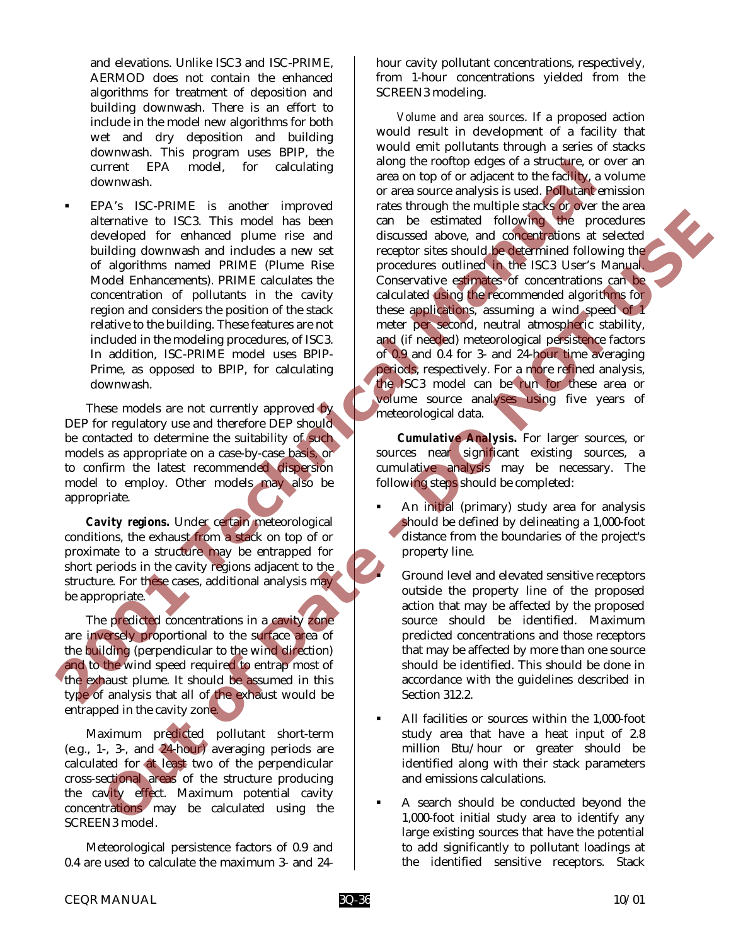and elevations. Unlike ISC3 and ISC-PRIME, AERMOD does not contain the enhanced algorithms for treatment of deposition and building downwash. There is an effort to include in the model new algorithms for both wet and dry deposition and building downwash. This program uses BPIP, the current EPA model, for calculating downwash.

! EPA's ISC-PRIME is another improved alternative to ISC3. This model has been developed for enhanced plume rise and building downwash and includes a new set of algorithms named PRIME (Plume Rise Model Enhancements). PRIME calculates the concentration of pollutants in the cavity region and considers the position of the stack relative to the building. These features are not included in the modeling procedures, of ISC3. In addition, ISC-PRIME model uses BPIP-Prime, as opposed to BPIP, for calculating downwash.

These models are not currently approved by DEP for regulatory use and therefore DEP should be contacted to determine the suitability of such models as appropriate on a case-by-case basis, or to confirm the latest recommended dispersion model to employ. Other models may also be appropriate.

*Cavity regions.* Under certain meteorological conditions, the exhaust from a stack on top of or proximate to a structure may be entrapped for short periods in the cavity regions adjacent to the structure. For these cases, additional analysis may be appropriate.

The predicted concentrations in a cavity zone are inversely proportional to the surface area of the building (perpendicular to the wind direction) and to the wind speed required to entrap most of the exhaust plume. It should be assumed in this type of analysis that all of the exhaust would be entrapped in the cavity zone.

Maximum predicted pollutant short-term (e.g., 1-, 3-, and 24-hour) averaging periods are calculated for at least two of the perpendicular cross-sectional areas of the structure producing the cavity effect. Maximum potential cavity concentrations may be calculated using the SCREEN3 model.

Meteorological persistence factors of 0.9 and 0.4 are used to calculate the maximum 3- and 24hour cavity pollutant concentrations, respectively, from 1-hour concentrations yielded from the SCREEN3 modeling.

 *Volume and area sources*. If a proposed action would result in development of a facility that would emit pollutants through a series of stacks along the rooftop edges of a structure, or over an area on top of or adjacent to the facility, a volume or area source analysis is used. Pollutant emission rates through the multiple stacks or over the area can be estimated following the procedures discussed above, and concentrations at selected receptor sites should be determined following the procedures outlined in the ISC3 User's Manual. Conservative estimates of concentrations can be calculated using the recommended algorithms for these applications, assuming a wind speed of 1 meter per second, neutral atmospheric stability, and (if needed) meteorological persistence factors of 0.9 and 0.4 for 3- and 24-hour time averaging periods, respectively. For a more refined analysis, the ISC3 model can be run for these area or volume source analyses using five years of meteorological data. correst TPA in order to the control of the strainer in the correspondent and including the control of the strainer of the control of the strainer of the control of the strainer of the control of a distribution of a distrib terminive to EX2. This medial and best controlled following the relationship of the property of the property of the state of the property of the state of the property of the state of the state of the controlled following

 *Cumulative Analysis.* For larger sources, or sources near significant existing sources, a cumulative analysis may be necessary. The following steps should be completed:

- An initial (primary) study area for analysis should be defined by delineating a 1,000-foot distance from the boundaries of the project's property line.
	- ! Ground level and elevated sensitive receptors outside the property line of the proposed action that may be affected by the proposed source should be identified. Maximum predicted concentrations and those receptors that may be affected by more than one source should be identified. This should be done in accordance with the guidelines described in Section 312.2.
- All facilities or sources within the 1,000-foot study area that have a heat input of 2.8 million Btu/hour or greater should be identified along with their stack parameters and emissions calculations.
- ! A search should be conducted beyond the 1,000-foot initial study area to identify any large existing sources that have the potential to add significantly to pollutant loadings at the identified sensitive receptors. Stack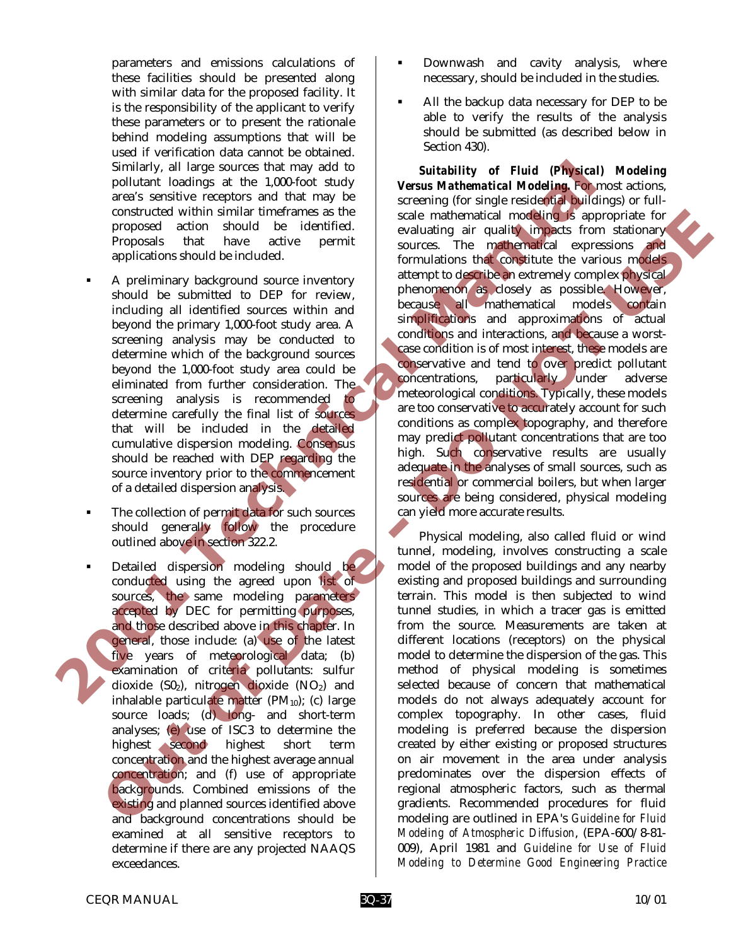parameters and emissions calculations of these facilities should be presented along with similar data for the proposed facility. It is the responsibility of the applicant to verify these parameters or to present the rationale behind modeling assumptions that will be used if verification data cannot be obtained. Similarly, all large sources that may add to pollutant loadings at the 1,000-foot study area's sensitive receptors and that may be constructed within similar timeframes as the proposed action should be identified. Proposals that have active permit applications should be included.

- ! A preliminary background source inventory should be submitted to DEP for review, including all identified sources within and beyond the primary 1,000-foot study area. A screening analysis may be conducted to determine which of the background sources beyond the 1,000-foot study area could be eliminated from further consideration. The screening analysis is recommended to determine carefully the final list of sources that will be included in the detailed cumulative dispersion modeling. Consensus should be reached with DEP regarding the source inventory prior to the commencement of a detailed dispersion analysis.
- The collection of permit data for such sources should generally follow the procedure outlined above in section 322.2.
- Detailed dispersion modeling should be conducted using the agreed upon list of sources, the same modeling parameters accepted by DEC for permitting purposes, and those described above in this chapter. In general, those include: (a) use of the latest five years of meteorological data; (b) examination of criteria pollutants: sulfur dioxide  $(S0<sub>2</sub>)$ , nitrogen dioxide  $(NO<sub>2</sub>)$  and inhalable particulate matter  $(PM_{10})$ ; (c) large source loads; (d) long- and short-term analyses; (e) use of ISC3 to determine the highest second highest short term concentration and the highest average annual concentration; and (f) use of appropriate backgrounds. Combined emissions of the existing and planned sources identified above and background concentrations should be examined at all sensitive receptors to determine if there are any projected NAAQS exceedances.
- Downwash and cavity analysis, where necessary, should be included in the studies.
- All the backup data necessary for DEP to be able to verify the results of the analysis should be submitted (as described below in Section 430).

*Suitability of Fluid (Physical) Modeling Versus Mathematical Modeling.* For most actions, screening (for single residential buildings) or fullscale mathematical modeling is appropriate for evaluating air quality impacts from stationary sources. The mathematical expressions and formulations that constitute the various models attempt to describe an extremely complex physical phenomenon as closely as possible. However, because all mathematical models contain simplifications and approximations of actual conditions and interactions, and because a worstcase condition is of most interest, these models are conservative and tend to over predict pollutant concentrations, particularly under adverse meteorological conditions. Typically, these models are too conservative to accurately account for such conditions as complex topography, and therefore may predict pollutant concentrations that are too high. Such conservative results are usually adequate in the analyses of small sources, such as residential or commercial boilers, but when larger sources are being considered, physical modeling can yield more accurate results. Simularly all large sources that may add to the basis of the state in the state of the state of the state of the state of the state of the state in the state of the state of the state of the state in the state of the stat constructed with the included in the second of the second interaction and the second into the second interaction in the second interaction in the second interaction in the second interaction in the second interaction in t

Physical modeling, also called fluid or wind tunnel, modeling, involves constructing a scale model of the proposed buildings and any nearby existing and proposed buildings and surrounding terrain. This model is then subjected to wind tunnel studies, in which a tracer gas is emitted from the source. Measurements are taken at different locations (receptors) on the physical model to determine the dispersion of the gas. This method of physical modeling is sometimes selected because of concern that mathematical models do not always adequately account for complex topography. In other cases, fluid modeling is preferred because the dispersion created by either existing or proposed structures on air movement in the area under analysis predominates over the dispersion effects of regional atmospheric factors, such as thermal gradients. Recommended procedures for fluid modeling are outlined in EPA's *Guideline for Fluid Modeling of Atmospheric Diffusion*, (EPA-600/8-81- 009), April 1981 and *Guideline for Use of Fluid Modeling to Determine Good Engineering Practice*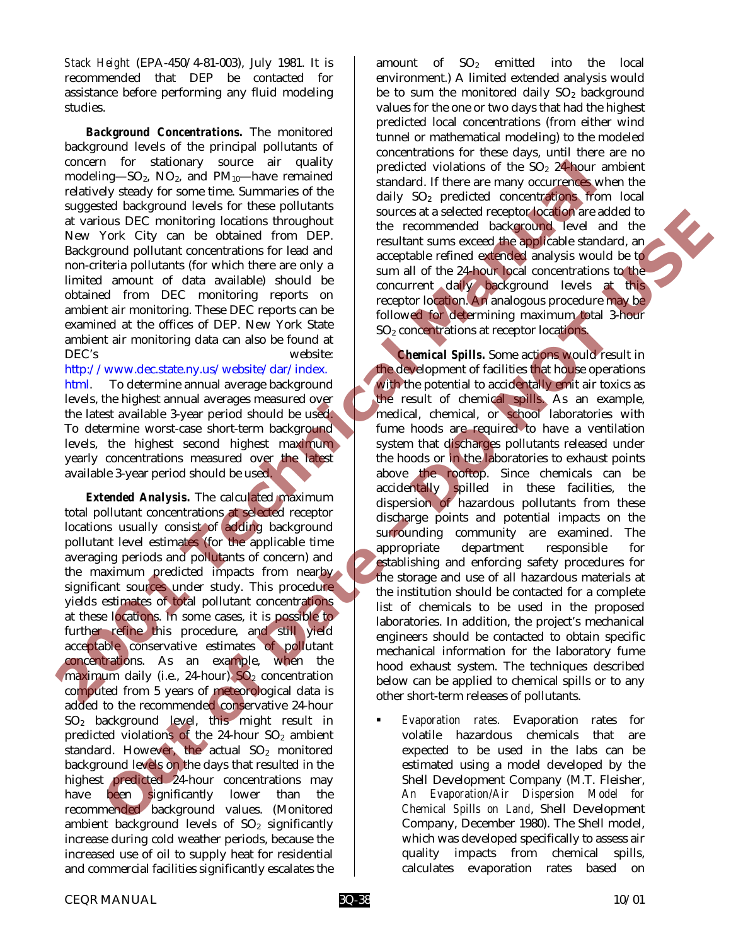*Stack Height* (EPA-450/4-81-003), July 1981. It is recommended that DEP be contacted for assistance before performing any fluid modeling studies.

*Background Concentrations.* The monitored background levels of the principal pollutants of concern for stationary source air quality modeling—SO2, NO2, and PM10—have remained relatively steady for some time. Summaries of the suggested background levels for these pollutants at various DEC monitoring locations throughout New York City can be obtained from DEP. Background pollutant concentrations for lead and non-criteria pollutants (for which there are only a limited amount of data available) should be obtained from DEC monitoring reports on ambient air monitoring. These DEC reports can be examined at the offices of DEP. New York State ambient air monitoring data can also be found at DEC's website:

http://www.dec.state.ny.us/website/dar/index. html. To determine annual average background levels, the highest annual averages measured over the latest available 3-year period should be used. To determine worst-case short-term background levels, the highest second highest maximum yearly concentrations measured over the latest available 3-year period should be used.

*Extended Analysis.* The calculated maximum total pollutant concentrations at selected receptor locations usually consist of adding background pollutant level estimates (for the applicable time averaging periods and pollutants of concern) and the maximum predicted impacts from nearby significant sources under study. This procedure yields estimates of total pollutant concentrations at these locations. In some cases, it is possible to further refine this procedure, and still yield acceptable conservative estimates of pollutant concentrations. As an example, when the maximum daily (i.e., 24-hour)  $SO<sub>2</sub>$  concentration computed from 5 years of meteorological data is added to the recommended conservative 24-hour SO2 background level, this might result in predicted violations of the 24-hour  $SO<sub>2</sub>$  ambient standard. However, the actual  $SO<sub>2</sub>$  monitored background levels on the days that resulted in the highest **predicted 24-hour** concentrations may have been significantly lower than the recommended background values. (Monitored ambient background levels of  $SO<sub>2</sub>$  significantly increase during cold weather periods, because the increased use of oil to supply heat for residential and commercial facilities significantly escalates the

amount of  $SO<sub>2</sub>$  emitted into the local environment.) A limited extended analysis would be to sum the monitored daily  $SO<sub>2</sub>$  background values for the one or two days that had the highest predicted local concentrations (from either wind tunnel or mathematical modeling) to the modeled concentrations for these days, until there are no predicted violations of the  $SO<sub>2</sub>$  24-hour ambient standard. If there are many occurrences when the daily SO2 predicted concentrations from local sources at a selected receptor location are added to the recommended background level and the resultant sums exceed the applicable standard, an acceptable refined extended analysis would be to sum all of the 24-hour local concentrations to the concurrent daily background levels at this receptor location. An analogous procedure may be followed for determining maximum total 3-hour SO2 concentrations at receptor locations.

*Chemical Spills.* Some actions would result in the development of facilities that house operations with the potential to accidentally emit air toxics as the result of chemical spills. As an example, medical, chemical, or school laboratories with fume hoods are required to have a ventilation system that discharges pollutants released under the hoods or in the laboratories to exhaust points above the rooftop. Since chemicals can be accidentally spilled in these facilities, the dispersion of hazardous pollutants from these discharge points and potential impacts on the surrounding community are examined. The appropriate department responsible for establishing and enforcing safety procedures for the storage and use of all hazardous materials at the institution should be contacted for a complete list of chemicals to be used in the proposed laboratories. In addition, the project's mechanical engineers should be contacted to obtain specific mechanical information for the laboratory fume hood exhaust system. The techniques described below can be applied to chemical spills or to any other short-term releases of pollutants. concern ior stationary source are quality predicted violations of the So<sub>2</sub> 22 flouring the computer and value of the stationary of the stationary of the stationary of the stationary of the stationary of the stationary of **Out of Date - DO NOT USE**

! *Evaporation rates.* Evaporation rates for volatile hazardous chemicals that are expected to be used in the labs can be estimated using a model developed by the Shell Development Company (M.T. Fleisher, *An Evaporation/Air Dispersion Model for Chemical Spills on Land*, Shell Development Company, December 1980). The Shell model, which was developed specifically to assess air quality impacts from chemical spills, calculates evaporation rates based on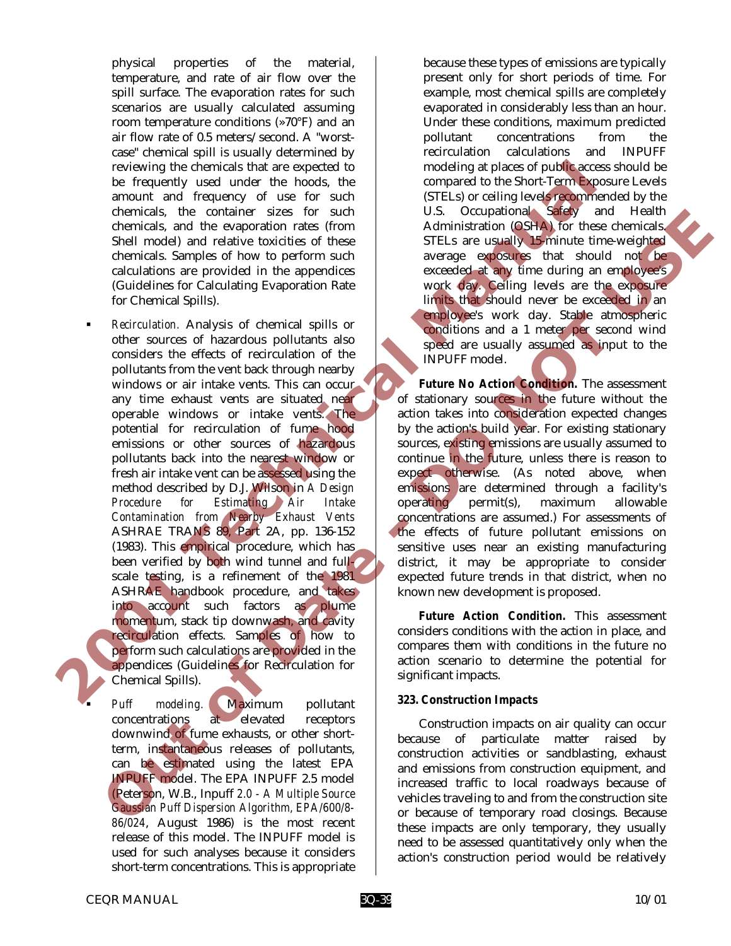physical properties of the material, temperature, and rate of air flow over the spill surface. The evaporation rates for such scenarios are usually calculated assuming room temperature conditions (»70°F) and an air flow rate of 0.5 meters/second. A "worstcase" chemical spill is usually determined by reviewing the chemicals that are expected to be frequently used under the hoods, the amount and frequency of use for such chemicals, the container sizes for such chemicals, and the evaporation rates (from Shell model) and relative toxicities of these chemicals. Samples of how to perform such calculations are provided in the appendices (Guidelines for Calculating Evaporation Rate for Chemical Spills).

! *Recirculation.* Analysis of chemical spills or other sources of hazardous pollutants also considers the effects of recirculation of the pollutants from the vent back through nearby windows or air intake vents. This can occur any time exhaust vents are situated near operable windows or intake vents. The potential for recirculation of fume hood emissions or other sources of hazardous pollutants back into the nearest window or fresh air intake vent can be assessed using the method described by D.J. Wilson in *A Design Procedure for Estimating Air Intake Contamination from Nearby Exhaust Vents* ASHRAE TRANS 89, Part 2A, pp. 136-152 (1983). This empirical procedure, which has been verified by both wind tunnel and fullscale testing, is a refinement of the 1981 ASHRAE handbook procedure, and takes into account such factors as plume momentum, stack tip downwash, and cavity recirculation effects. Samples of how to perform such calculations are provided in the appendices (Guidelines for Recirculation for Chemical Spills). reviewing the chemicals that are expected to the compared to the Stori-Term because the mount and frequency of use for such (STEA) or ceiling lowers appear the chemical state in the exponential of the state of the chemical chemicals. The container sizes for such 1000 and 1100 and 1100 and 1200 and 1200 and 1200 and 1200 and 1200 and 1200 and 1200 and 1200 and 1200 and 1200 and 1200 and 1200 and 1200 and 1200 and 1200 and 1200 and 1200 and 1

Puff modeling. Maximum pollutant concentrations at elevated receptors downwind of fume exhausts, or other shortterm, instantaneous releases of pollutants, can be estimated using the latest EPA INPUFF model. The EPA INPUFF 2.5 model (Peterson, W.B., Inpuff *2.0 - A Multiple Source Gaussian Puff Dispersion Algorithm, EPA/600/8- 86/024*, August 1986) is the most recent release of this model. The INPUFF model is used for such analyses because it considers short-term concentrations. This is appropriate

because these types of emissions are typically present only for short periods of time. For example, most chemical spills are completely evaporated in considerably less than an hour. Under these conditions, maximum predicted pollutant concentrations from the recirculation calculations and INPUFF modeling at places of public access should be compared to the Short-Term Exposure Levels (STELs) or ceiling levels recommended by the U.S. Occupational Safety and Health Administration (OSHA) for these chemicals. STELs are usually 15-minute time-weighted average exposures that should not be exceeded at any time during an employee's work day. Ceiling levels are the exposure limits that should never be exceeded in an employee's work day. Stable atmospheric conditions and a 1 meter per second wind speed are usually assumed as input to the INPUFF model.

*Future No Action Condition.* The assessment of stationary sources in the future without the action takes into consideration expected changes by the action's build year. For existing stationary sources, existing emissions are usually assumed to continue in the future, unless there is reason to expect otherwise. (As noted above, when emissions are determined through a facility's operating permit(s), maximum allowable concentrations are assumed.) For assessments of the effects of future pollutant emissions on sensitive uses near an existing manufacturing district, it may be appropriate to consider expected future trends in that district, when no known new development is proposed.

*Future Action Condition.* This assessment considers conditions with the action in place, and compares them with conditions in the future no action scenario to determine the potential for significant impacts.

#### *323. Construction Impacts*

Construction impacts on air quality can occur because of particulate matter raised by construction activities or sandblasting, exhaust and emissions from construction equipment, and increased traffic to local roadways because of vehicles traveling to and from the construction site or because of temporary road closings. Because these impacts are only temporary, they usually need to be assessed quantitatively only when the action's construction period would be relatively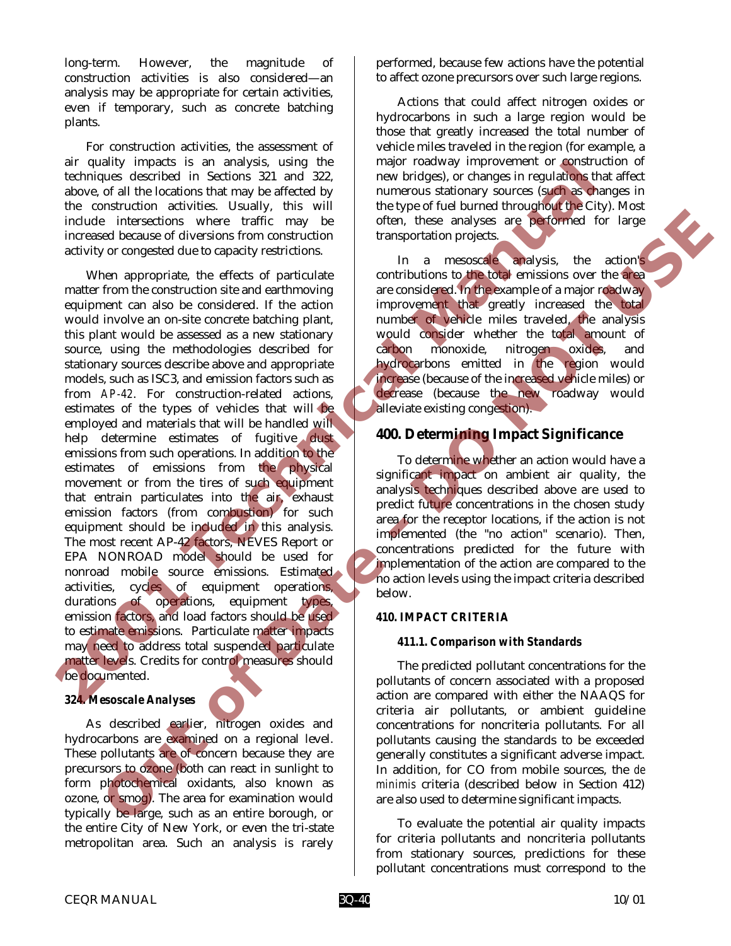long-term. However, the magnitude of construction activities is also considered—an analysis may be appropriate for certain activities, even if temporary, such as concrete batching plants.

For construction activities, the assessment of air quality impacts is an analysis, using the techniques described in Sections 321 and 322, above, of all the locations that may be affected by the construction activities. Usually, this will include intersections where traffic may be increased because of diversions from construction activity or congested due to capacity restrictions.

When appropriate, the effects of particulate matter from the construction site and earthmoving equipment can also be considered. If the action would involve an on-site concrete batching plant, this plant would be assessed as a new stationary source, using the methodologies described for stationary sources describe above and appropriate models, such as ISC3, and emission factors such as from *AP-42*. For construction-related actions, estimates of the types of vehicles that will be employed and materials that will be handled will help determine estimates of fugitive dust emissions from such operations. In addition to the estimates of emissions from the physical movement or from the tires of such equipment that entrain particulates into the air, exhaust emission factors (from combustion) for such equipment should be included in this analysis. The most recent AP-42 factors, NEVES Report or EPA NONROAD model should be used for nonroad mobile source emissions. Estimated activities, cycles of equipment operations, durations of operations, equipment types, emission factors, and load factors should be used to estimate emissions. Particulate matter impacts may need to address total suspended particulate matter levels. Credits for control measures should be documented. are quality impacts is an analysis. using the meaning consistion is a matrix of all the because of diversions that may be a steed by the constrainties consisting to action and the constrainties of diversions from constrain interesting the term is the control of the statistical properties the control of the statistical properties of diversions from constraints of the control of the statistical control of the statistical control of the statist

#### *324. Mesoscale Analyses*

As described earlier, nitrogen oxides and hydrocarbons are examined on a regional level. These pollutants are of concern because they are precursors to ozone (both can react in sunlight to form photochemical oxidants, also known as ozone, or smog). The area for examination would typically be large, such as an entire borough, or the entire City of New York, or even the tri-state metropolitan area. Such an analysis is rarely

performed, because few actions have the potential to affect ozone precursors over such large regions.

Actions that could affect nitrogen oxides or hydrocarbons in such a large region would be those that greatly increased the total number of vehicle miles traveled in the region (for example, a major roadway improvement or construction of new bridges), or changes in regulations that affect numerous stationary sources (such as changes in the type of fuel burned throughout the City). Most often, these analyses are performed for large transportation projects.

In a mesoscale analysis, the action's contributions to the total emissions over the area are considered. In the example of a major roadway improvement that greatly increased the total number of vehicle miles traveled, the analysis would consider whether the total amount of carbon monoxide, nitrogen oxides, and hydrocarbons emitted in the region would increase (because of the increased vehicle miles) or decrease (because the new roadway would alleviate existing congestion).

#### **400. Determining Impact Significance**

To determine whether an action would have a significant impact on ambient air quality, the analysis techniques described above are used to predict future concentrations in the chosen study area for the receptor locations, if the action is not implemented (the "no action" scenario). Then, concentrations predicted for the future with implementation of the action are compared to the no action levels using the impact criteria described below.

#### *410. IMPACT CRITERIA*

#### *411.1. Comparison with Standards*

The predicted pollutant concentrations for the pollutants of concern associated with a proposed action are compared with either the NAAQS for criteria air pollutants, or ambient guideline concentrations for noncriteria pollutants. For all pollutants causing the standards to be exceeded generally constitutes a significant adverse impact. In addition, for CO from mobile sources, the *de minimis* criteria (described below in Section 412) are also used to determine significant impacts.

To evaluate the potential air quality impacts for criteria pollutants and noncriteria pollutants from stationary sources, predictions for these pollutant concentrations must correspond to the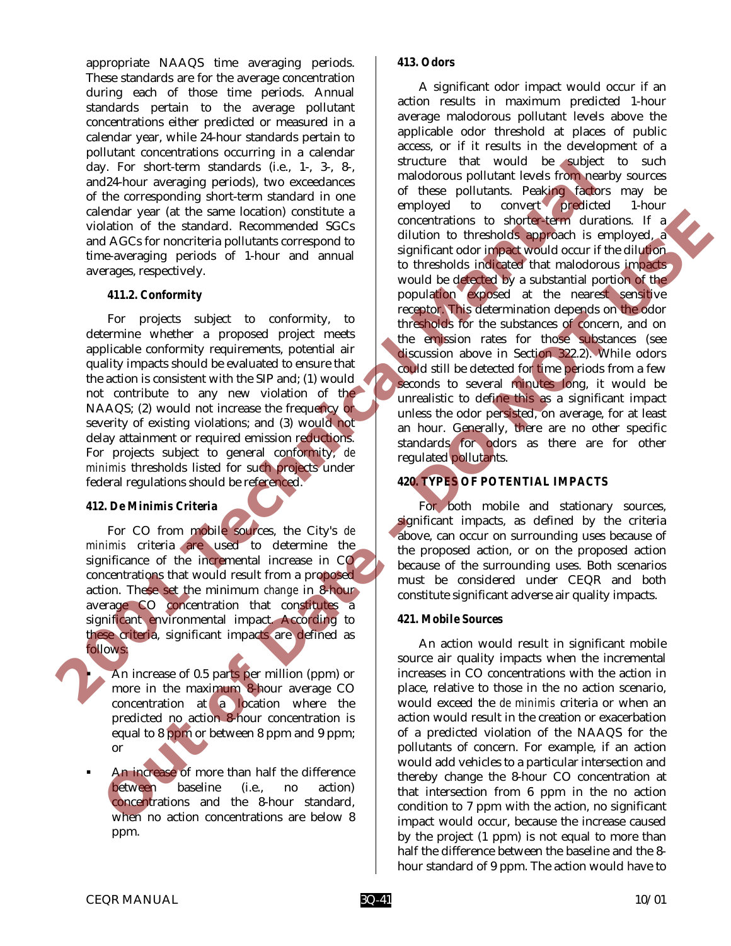appropriate NAAQS time averaging periods. These standards are for the average concentration during each of those time periods. Annual standards pertain to the average pollutant concentrations either predicted or measured in a calendar year, while 24-hour standards pertain to pollutant concentrations occurring in a calendar day. For short-term standards (i.e., 1-, 3-, 8-, and24-hour averaging periods), two exceedances of the corresponding short-term standard in one calendar year (at the same location) constitute a violation of the standard. Recommended SGCs and AGCs for noncriteria pollutants correspond to time-averaging periods of 1-hour and annual averages, respectively.

## *411.2. Conformity*

For projects subject to conformity, to determine whether a proposed project meets applicable conformity requirements, potential air quality impacts should be evaluated to ensure that the action is consistent with the SIP and; (1) would not contribute to any new violation of the NAAQS; (2) would not increase the frequency or severity of existing violations; and (3) would not delay attainment or required emission reductions. For projects subject to general conformity, *de minimis* thresholds listed for such projects under federal regulations should be referenced.

## *412. De Minimis Criteria*

For CO from mobile sources, the City's *de minimis* criteria are used to determine the significance of the incremental increase in CO concentrations that would result from a proposed action. These set the minimum *change* in 8-hour average CO concentration that constitutes a significant environmental impact. According to these criteria, significant impacts are defined as follows:

- ! An increase of 0.5 parts per million (ppm) or more in the maximum 8-hour average CO concentration at a location where the predicted no action 8-hour concentration is equal to 8 ppm or between 8 ppm and 9 ppm; or
- An increase of more than half the difference between baseline (i.e., no action) concentrations and the 8-hour standard, when no action concentrations are below 8 ppm.

#### *413. Odors*

A significant odor impact would occur if an action results in maximum predicted 1-hour average malodorous pollutant levels above the applicable odor threshold at places of public access, or if it results in the development of a structure that would be subject to such malodorous pollutant levels from nearby sources of these pollutants. Peaking factors may be employed to convert predicted 1-hour concentrations to shorter-term durations. If a dilution to thresholds approach is employed, a significant odor impact would occur if the dilution to thresholds indicated that malodorous impacts would be detected by a substantial portion of the population exposed at the nearest sensitive receptor. This determination depends on the odor thresholds for the substances of concern, and on the emission rates for those substances (see discussion above in Section 322.2). While odors could still be detected for time periods from a few seconds to several minutes long, it would be unrealistic to define this as a significant impact unless the odor persisted, on average, for at least an hour. Generally, there are no other specific standards for odors as there are for other regulated pollutants. **2001 Technical Manual** entary part in the same location correlation is the concellent burst in the distribution of the same of the concellent of the same of the same of the same of the same of the same of the same of the same of the same of the

# *420. TYPES OF POTENTIAL IMPACTS*

For both mobile and stationary sources, significant impacts, as defined by the criteria above, can occur on surrounding uses because of the proposed action, or on the proposed action because of the surrounding uses. Both scenarios must be considered under CEQR and both constitute significant adverse air quality impacts.

## *421. Mobile Sources*

An action would result in significant mobile source air quality impacts when the incremental increases in CO concentrations with the action in place, relative to those in the no action scenario, would exceed the *de minimis* criteria or when an action would result in the creation or exacerbation of a predicted violation of the NAAQS for the pollutants of concern. For example, if an action would add vehicles to a particular intersection and thereby change the 8-hour CO concentration at that intersection from 6 ppm in the no action condition to 7 ppm with the action, no significant impact would occur, because the increase caused by the project (1 ppm) is not equal to more than half the difference between the baseline and the 8 hour standard of 9 ppm. The action would have to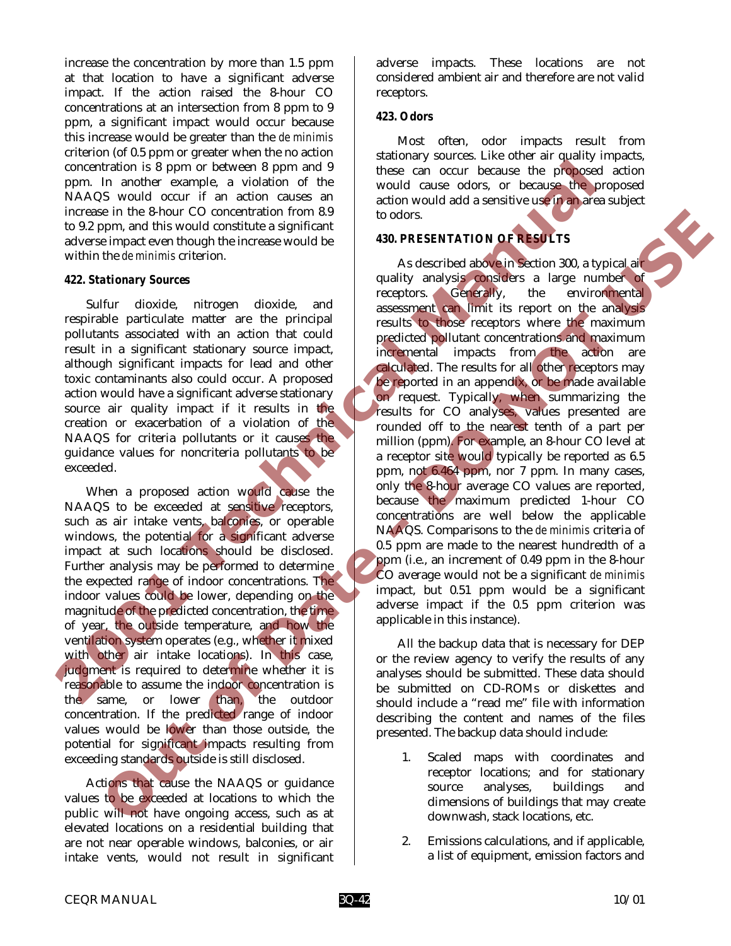increase the concentration by more than 1.5 ppm at that location to have a significant adverse impact. If the action raised the 8-hour CO concentrations at an intersection from 8 ppm to 9 ppm, a significant impact would occur because this increase would be greater than the *de minimis* criterion (of 0.5 ppm or greater when the no action concentration is 8 ppm or between 8 ppm and 9 ppm. In another example, a violation of the NAAQS would occur if an action causes an increase in the 8-hour CO concentration from 8.9 to 9.2 ppm, and this would constitute a significant adverse impact even though the increase would be within the *de minimis* criterion.

#### *422. Stationary Sources*

Sulfur dioxide, nitrogen dioxide, and respirable particulate matter are the principal pollutants associated with an action that could result in a significant stationary source impact, although significant impacts for lead and other toxic contaminants also could occur. A proposed action would have a significant adverse stationary source air quality impact if it results in the creation or exacerbation of a violation of the NAAQS for criteria pollutants or it causes the guidance values for noncriteria pollutants to be exceeded.

When a proposed action would cause the NAAQS to be exceeded at sensitive receptors, such as air intake vents, balconies, or operable windows, the potential for a significant adverse impact at such locations should be disclosed. Further analysis may be performed to determine the expected range of indoor concentrations. The indoor values could be lower, depending on the magnitude of the predicted concentration, the time of year, the outside temperature, and how the ventilation system operates (e.g., whether it mixed with other air intake locations). In this case, judgment is required to determine whether it is reasonable to assume the indoor concentration is the same, or lower than, the outdoor concentration. If the predicted range of indoor values would be lower than those outside, the potential for significant impacts resulting from exceeding standards outside is still disclosed.

Actions that cause the NAAQS or guidance values to be exceeded at locations to which the public will not have ongoing access, such as at elevated locations on a residential building that are not near operable windows, balconies, or air intake vents, would not result in significant adverse impacts. These locations are not considered ambient air and therefore are not valid receptors.

#### *423. Odors*

Most often, odor impacts result from stationary sources. Like other air quality impacts, these can occur because the proposed action would cause odors, or because the proposed action would add a sensitive use in an area subject to odors.

## *430. PRESENTATION OF RESULTS*

As described above in Section 300, a typical air quality analysis considers a large number of receptors. Generally, the environmental assessment can limit its report on the analysis results to those receptors where the maximum predicted pollutant concentrations and maximum incremental impacts from the action are calculated. The results for all other receptors may be reported in an appendix, or be made available on request. Typically, when summarizing the results for CO analyses, values presented are rounded off to the nearest tenth of a part per million (ppm). For example, an 8-hour CO level at a receptor site would typically be reported as 6.5 ppm, not 6.464 ppm, nor 7 ppm. In many cases, only the 8-hour average CO values are reported, because the maximum predicted 1-hour CO concentrations are well below the applicable NAAQS. Comparisons to the *de minimis* criteria of 0.5 ppm are made to the nearest hundredth of a ppm (i.e., an increment of 0.49 ppm in the 8-hour CO average would not be a significant *de minimis* impact, but 0.51 ppm would be a significant adverse impact if the 0.5 ppm criterion was applicable in this instance). concernation is 8 ppm on between 8 ppm and 9 these can occur is easy agent and this would count in a modern and this would count in a modern and this window in the significant of the significant of the modern and this wou is more shown to concentration for the shown of the shown of the shown of the shown of the state of those continued in the state of the state of the state of the state of the state of the state of the state of the state of

All the backup data that is necessary for DEP or the review agency to verify the results of any analyses should be submitted. These data should be submitted on CD-ROMs or diskettes and should include a "read me" file with information describing the content and names of the files presented. The backup data should include:

- 1. Scaled maps with coordinates and receptor locations; and for stationary source analyses, buildings and dimensions of buildings that may create downwash, stack locations, etc.
- 2. Emissions calculations, and if applicable, a list of equipment, emission factors and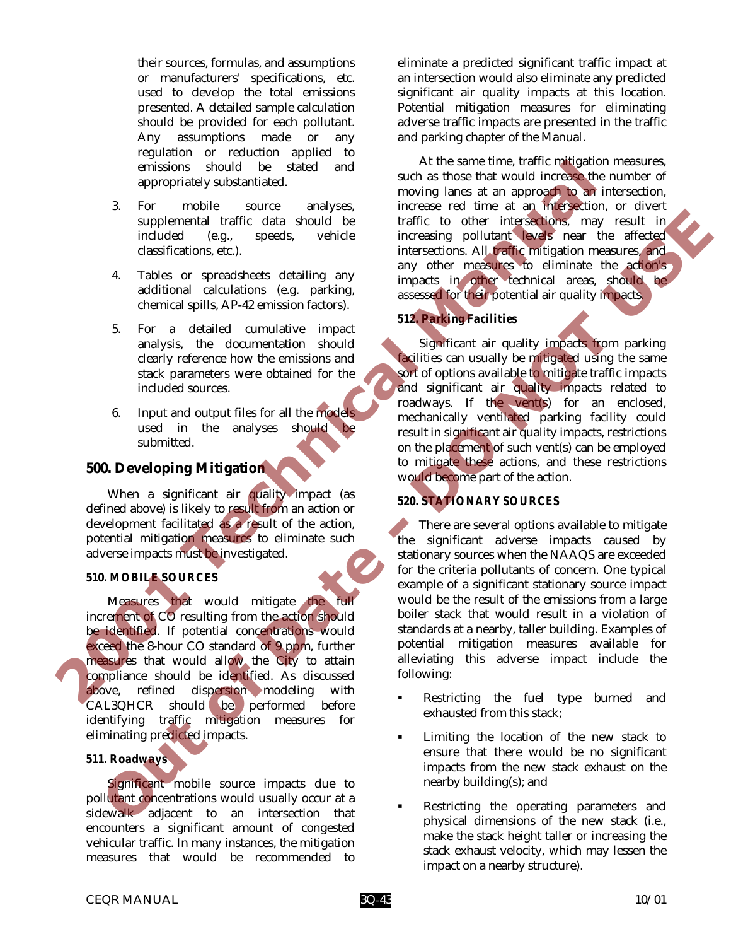their sources, formulas, and assumptions or manufacturers' specifications, etc. used to develop the total emissions presented. A detailed sample calculation should be provided for each pollutant. Any assumptions made or any regulation or reduction applied to emissions should be stated and appropriately substantiated.

- 3. For mobile source analyses, supplemental traffic data should be included (e.g., speeds, vehicle classifications, etc.).
- 4. Tables or spreadsheets detailing any additional calculations (e.g. parking, chemical spills, AP-42 emission factors).
- 5. For a detailed cumulative impact analysis, the documentation should clearly reference how the emissions and stack parameters were obtained for the included sources.
- 6. Input and output files for all the models used in the analyses should be submitted.

# **500. Developing Mitigation**

When a significant air quality impact (as defined above) is likely to result from an action or development facilitated as a result of the action, potential mitigation measures to eliminate such adverse impacts must be investigated.

## *510. MOBILE SOURCES*

Measures that would mitigate the full increment of CO resulting from the action should be identified. If potential concentrations would exceed the 8-hour CO standard of 9 ppm, further measures that would allow the City to attain compliance should be identified. As discussed above, refined dispersion modeling with CAL3QHCR should be performed before identifying traffic mitigation measures for eliminating predicted impacts.

## *511. Roadways*

Significant mobile source impacts due to pollutant concentrations would usually occur at a sidewalk adjacent to an intersection that encounters a significant amount of congested vehicular traffic. In many instances, the mitigation measures that would be recommended to

eliminate a predicted significant traffic impact at an intersection would also eliminate any predicted significant air quality impacts at this location. Potential mitigation measures for eliminating adverse traffic impacts are presented in the traffic and parking chapter of the Manual.

At the same time, traffic mitigation measures, such as those that would increase the number of moving lanes at an approach to an intersection, increase red time at an intersection, or divert traffic to other intersections, may result in increasing pollutant levels near the affected intersections. All traffic mitigation measures, and any other measures to eliminate the action's impacts in other technical areas, should be assessed for their potential air quality impacts.

# *512. Parking Facilities*

Significant air quality impacts from parking facilities can usually be mitigated using the same sort of options available to mitigate traffic impacts and significant air quality impacts related to roadways. If the vent(s) for an enclosed, mechanically ventilated parking facility could result in significant air quality impacts, restrictions on the placement of such vent(s) can be employed to mitigate these actions, and these restrictions would become part of the action.

## *520. STATIONARY SOURCES*

There are several options available to mitigate the significant adverse impacts caused by stationary sources when the NAAQS are exceeded for the criteria pollutants of concern. One typical example of a significant stationary source impact would be the result of the emissions from a large boiler stack that would result in a violation of standards at a nearby, taller building. Examples of potential mitigation measures available for alleviating this adverse impact include the following: emissions should be stated and a the same time, forther mugadle and a such as a many of the same time to the increase at time a many of the same that would increase in a such that a such that is a speed increase the dimens **Superiormize that clustering the state of the minimit (a) the minimit of the state of the minimit of the minimit of the minimit of the minimit of the minimit of the minimit of the minimit of the minimit of the minimit of** 

- Restricting the fuel type burned and exhausted from this stack;
- Limiting the location of the new stack to ensure that there would be no significant impacts from the new stack exhaust on the nearby building(s); and
- Restricting the operating parameters and physical dimensions of the new stack (i.e., make the stack height taller or increasing the stack exhaust velocity, which may lessen the impact on a nearby structure).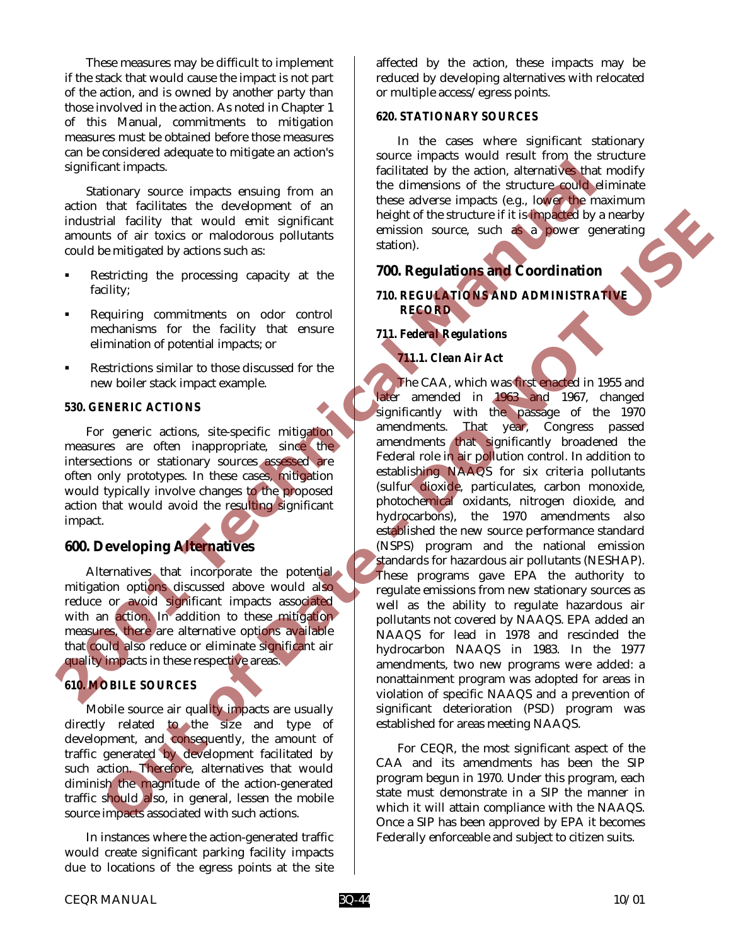These measures may be difficult to implement if the stack that would cause the impact is not part of the action, and is owned by another party than those involved in the action. As noted in Chapter 1 of this Manual, commitments to mitigation measures must be obtained before those measures can be considered adequate to mitigate an action's significant impacts.

Stationary source impacts ensuing from an action that facilitates the development of an industrial facility that would emit significant amounts of air toxics or malodorous pollutants could be mitigated by actions such as:

- Restricting the processing capacity at the facility;
- Requiring commitments on odor control mechanisms for the facility that ensure elimination of potential impacts; or
- Restrictions similar to those discussed for the new boiler stack impact example.

#### *530. GENERIC ACTIONS*

For generic actions, site-specific mitigation measures are often inappropriate, since the intersections or stationary sources assessed are often only prototypes. In these cases, mitigation would typically involve changes to the proposed action that would avoid the resulting significant impact.

# **600. Developing Alternatives**

Alternatives that incorporate the potential mitigation options discussed above would also reduce or avoid significant impacts associated with an action. In addition to these mitigation measures, there are alternative options available that could also reduce or eliminate significant air quality impacts in these respective areas.

# *610. MOBILE SOURCES*

Mobile source air quality impacts are usually directly related to the size and type of development, and consequently, the amount of traffic generated by development facilitated by such action. Therefore, alternatives that would diminish the magnitude of the action-generated traffic should also, in general, lessen the mobile source impacts associated with such actions.

In instances where the action-generated traffic would create significant parking facility impacts due to locations of the egress points at the site

affected by the action, these impacts may be reduced by developing alternatives with relocated or multiple access/egress points.

#### *620. STATIONARY SOURCES*

In the cases where significant stationary source impacts would result from the structure facilitated by the action, alternatives that modify the dimensions of the structure could eliminate these adverse impacts (e.g., lower the maximum height of the structure if it is impacted by a nearby emission source, such as a power generating station).

# **700. Regulations and Coordination**

*710. REGULATIONS AND ADMINISTRATIVE RECORD* 

## *711. Federal Regulations*

# *711.1. Clean Air Act*

The CAA, which was first enacted in 1955 and later amended in 1963 and 1967, changed significantly with the passage of the 1970 amendments. That year, Congress passed amendments that significantly broadened the Federal role in air pollution control. In addition to establishing NAAQS for six criteria pollutants (sulfur dioxide, particulates, carbon monoxide, photochemical oxidants, nitrogen dioxide, and hydrocarbons), the 1970 amendments also established the new source performance standard (NSPS) program and the national emission standards for hazardous air pollutants (NESHAP). These programs gave EPA the authority to regulate emissions from new stationary sources as well as the ability to regulate hazardous air pollutants not covered by NAAQS. EPA added an NAAQS for lead in 1978 and rescinded the hydrocarbon NAAQS in 1983. In the 1977 amendments, two new programs were added: a nonattainment program was adopted for areas in violation of specific NAAQS and a prevention of significant deterioration (PSD) program was established for areas meeting NAAQS. comparison timpacts. The third is the stationary source impacts and the dimension of the structure could<br>action that facilitates the development of an these adverse impacts (e.g. lower and<br>action that facilities the develo Tail finctilly that would eight of the structure lift is since the particular state of the structure if the since of the structure of the structure of the structure of the structure of the structure of the structure of the

For CEQR, the most significant aspect of the CAA and its amendments has been the SIP program begun in 1970. Under this program, each state must demonstrate in a SIP the manner in which it will attain compliance with the NAAQS. Once a SIP has been approved by EPA it becomes Federally enforceable and subject to citizen suits.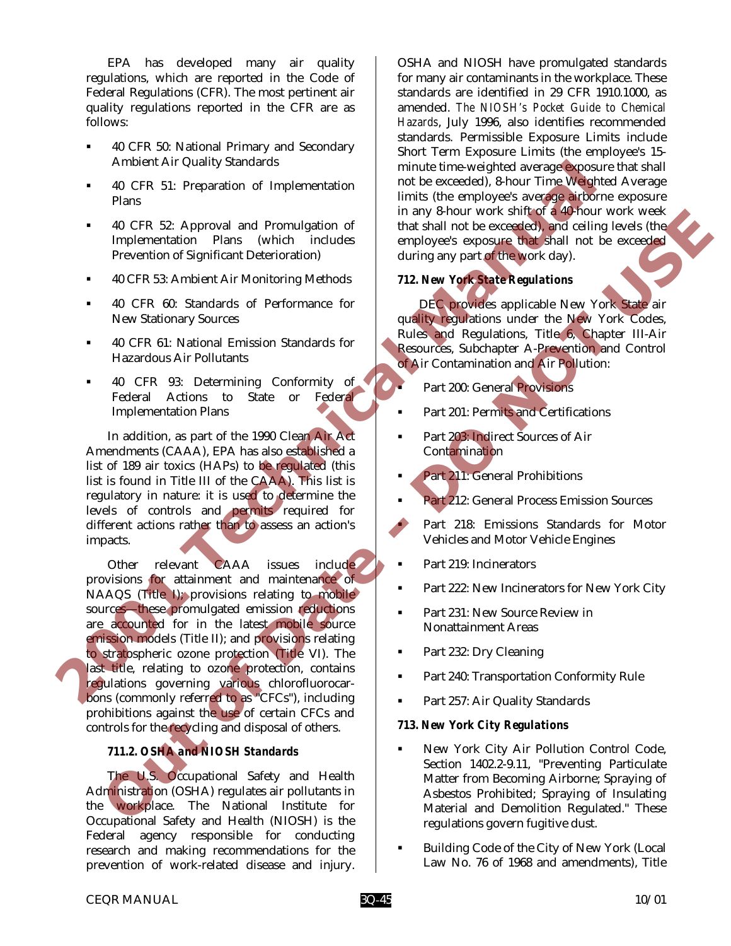EPA has developed many air quality regulations, which are reported in the Code of Federal Regulations (CFR). The most pertinent air quality regulations reported in the CFR are as follows:

- ! 40 CFR 50: National Primary and Secondary Ambient Air Quality Standards
- ! 40 CFR 51: Preparation of Implementation Plans
- ! 40 CFR 52: Approval and Promulgation of Implementation Plans (which includes Prevention of Significant Deterioration)
- ! 40 CFR 53: Ambient Air Monitoring Methods
- ! 40 CFR 60: Standards of Performance for New Stationary Sources
- ! 40 CFR 61: National Emission Standards for Hazardous Air Pollutants
- ! 40 CFR 93: Determining Conformity of Federal Actions to State or Federal Implementation Plans

In addition, as part of the 1990 Clean Air Act Amendments (CAAA), EPA has also established a list of 189 air toxics (HAPs) to be regulated (this list is found in Title III of the CAAA). This list is regulatory in nature: it is used to determine the levels of controls and permits required for different actions rather than to assess an action's impacts.

Other relevant CAAA issues include provisions for attainment and maintenance of NAAQS (Title I); provisions relating to mobile sources—these promulgated emission reductions are accounted for in the latest mobile source emission models (Title II); and provisions relating to stratospheric ozone protection (Title VI). The last title, relating to ozone protection, contains regulations governing various chlorofluorocarbons (commonly referred to as "CFCs"), including prohibitions against the use of certain CFCs and controls for the recycling and disposal of others. Ambend Art Quality Standards<br>
2016 FR 3: Preparation of Implementation and the screeded), 8-hour Time Weyl<br>
2016 FR 3: Approved and Promulgation of interval in any 8-hour Time Weyl<br>
2016 An CFR 8: Approximation Plans (whic 40 CFR 52: Approval and Promulgation of<br>
Imaginementation Phara (which includes complexes a polying of the second of the second of the cerebral<br>
Inverse control of Northern Art Monthemy Methods<br>
40 CFR 60: Satardam between

## *711.2. OSHA and NIOSH Standards*

The U.S. Occupational Safety and Health Administration (OSHA) regulates air pollutants in the workplace. The National Institute for Occupational Safety and Health (NIOSH) is the Federal agency responsible for conducting research and making recommendations for the prevention of work-related disease and injury.

OSHA and NIOSH have promulgated standards for many air contaminants in the workplace. These standards are identified in 29 CFR 1910.1000, as amended. *The NIOSH's Pocket Guide to Chemical Hazards*, July 1996, also identifies recommended standards. Permissible Exposure Limits include Short Term Exposure Limits (the employee's 15 minute time-weighted average exposure that shall not be exceeded), 8-hour Time Weighted Average limits (the employee's average airborne exposure in any 8-hour work shift of a 40-hour work week that shall not be exceeded), and ceiling levels (the employee's exposure that shall not be exceeded during any part of the work day).

## *712. New York State Regulations*

DEC provides applicable New York State air quality regulations under the New York Codes, Rules and Regulations, Title 6, Chapter III-Air Resources, Subchapter A-Prevention and Control of Air Contamination and Air Pollution:

- Part 200: General Provisions
- **Part 201: Permits and Certifications**
- Part 203: Indirect Sources of Air Contamination
- Part 211: General Prohibitions
- Part 212: General Process Emission Sources
- Part 218: Emissions Standards for Motor Vehicles and Motor Vehicle Engines
- **Part 219: Incinerators**
- ! Part 222: New Incinerators for New York City
- Part 231: New Source Review in Nonattainment Areas
- **Part 232: Dry Cleaning**
- ! Part 240: Transportation Conformity Rule
- Part 257: Air Quality Standards

#### *713. New York City Regulations*

- ! New York City Air Pollution Control Code, Section 1402.2-9.11, "Preventing Particulate Matter from Becoming Airborne; Spraying of Asbestos Prohibited; Spraying of Insulating Material and Demolition Regulated." These regulations govern fugitive dust.
- ! Building Code of the City of New York (Local Law No. 76 of 1968 and amendments), Title